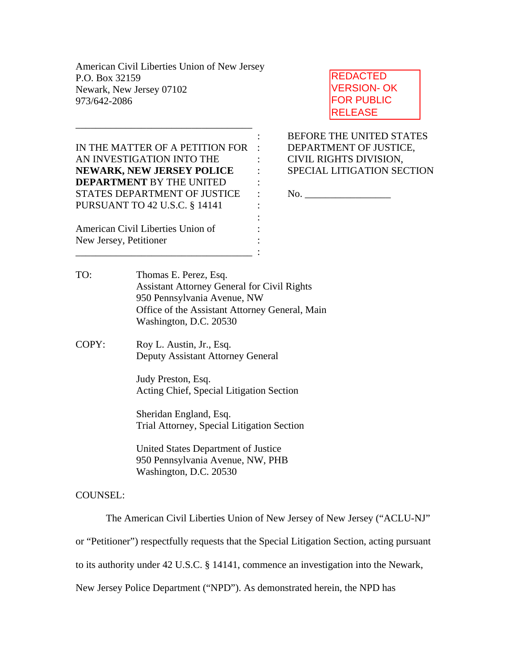American Civil Liberties Union of New Jersey P.O. Box 32159 Newark, New Jersey 07102 973/642-2086

IN THE MATTER OF A PETITION FOR : DEPARTMENT OF JUSTICE, AN INVESTIGATION INTO THE : CIVIL RIGHTS DIVISION, **NEWARK, NEW JERSEY POLICE** : SPECIAL LITIGATION SECTION **DEPARTMENT** BY THE UNITED : STATES DEPARTMENT OF JUSTICE : No. PURSUANT TO 42 U.S.C. § 14141 :

the contract of the contract of the contract of the contract of the contract of

\_\_\_\_\_\_\_\_\_\_\_\_\_\_\_\_\_\_\_\_\_\_\_\_\_\_\_\_\_\_\_\_\_\_\_ :

\_\_\_\_\_\_\_\_\_\_\_\_\_\_\_\_\_\_\_\_\_\_\_\_\_\_\_\_\_\_\_\_\_\_\_

American Civil Liberties Union of : New Jersey, Petitioner :

REDACTED VERSION- OK FOR PUBLIC RELEASE

: BEFORE THE UNITED STATES

TO: Thomas E. Perez, Esq. Assistant Attorney General for Civil Rights 950 Pennsylvania Avenue, NW Office of the Assistant Attorney General, Main Washington, D.C. 20530

COPY: Roy L. Austin, Jr., Esq. Deputy Assistant Attorney General

> Judy Preston, Esq. Acting Chief, Special Litigation Section

 Sheridan England, Esq. Trial Attorney, Special Litigation Section

 United States Department of Justice 950 Pennsylvania Avenue, NW, PHB Washington, D.C. 20530

COUNSEL:

The American Civil Liberties Union of New Jersey of New Jersey ("ACLU-NJ"

or "Petitioner") respectfully requests that the Special Litigation Section, acting pursuant

to its authority under 42 U.S.C. § 14141, commence an investigation into the Newark,

New Jersey Police Department ("NPD"). As demonstrated herein, the NPD has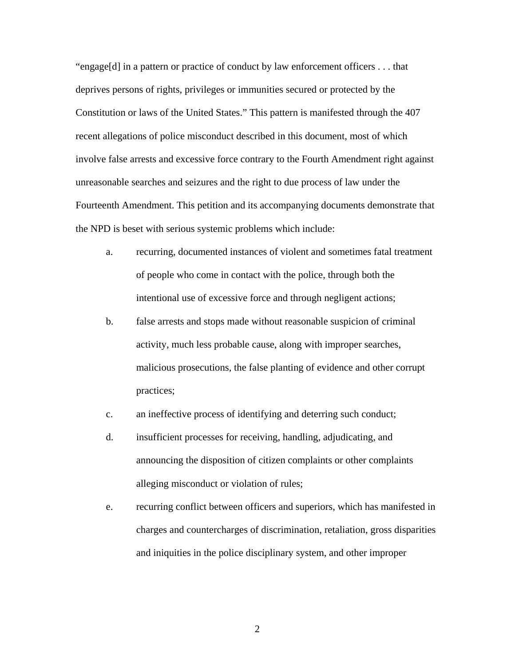"engage[d] in a pattern or practice of conduct by law enforcement officers . . . that deprives persons of rights, privileges or immunities secured or protected by the Constitution or laws of the United States." This pattern is manifested through the 407 recent allegations of police misconduct described in this document, most of which involve false arrests and excessive force contrary to the Fourth Amendment right against unreasonable searches and seizures and the right to due process of law under the Fourteenth Amendment. This petition and its accompanying documents demonstrate that the NPD is beset with serious systemic problems which include:

- a. recurring, documented instances of violent and sometimes fatal treatment of people who come in contact with the police, through both the intentional use of excessive force and through negligent actions;
- b. false arrests and stops made without reasonable suspicion of criminal activity, much less probable cause, along with improper searches, malicious prosecutions, the false planting of evidence and other corrupt practices;
- c. an ineffective process of identifying and deterring such conduct;
- d. insufficient processes for receiving, handling, adjudicating, and announcing the disposition of citizen complaints or other complaints alleging misconduct or violation of rules;
- e. recurring conflict between officers and superiors, which has manifested in charges and countercharges of discrimination, retaliation, gross disparities and iniquities in the police disciplinary system, and other improper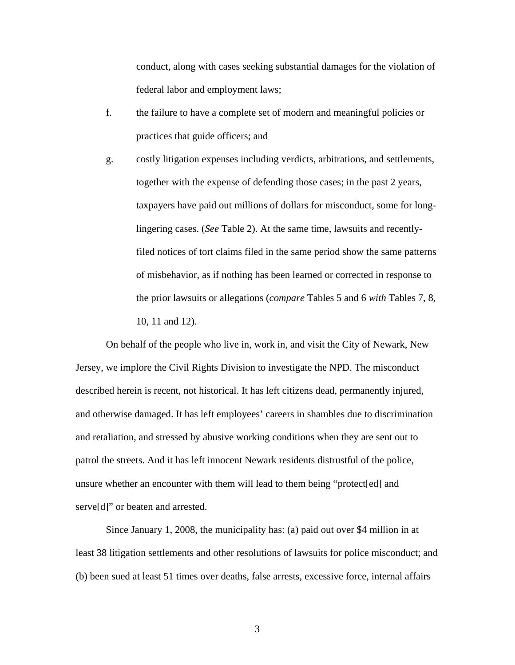conduct, along with cases seeking substantial damages for the violation of federal labor and employment laws;

- f. the failure to have a complete set of modern and meaningful policies or practices that guide officers; and
- g. costly litigation expenses including verdicts, arbitrations, and settlements, together with the expense of defending those cases; in the past 2 years, taxpayers have paid out millions of dollars for misconduct, some for longlingering cases. (*See* Table 2). At the same time, lawsuits and recentlyfiled notices of tort claims filed in the same period show the same patterns of misbehavior, as if nothing has been learned or corrected in response to the prior lawsuits or allegations (*compare* Tables 5 and 6 *with* Tables 7, 8, 10, 11 and 12).

On behalf of the people who live in, work in, and visit the City of Newark, New Jersey, we implore the Civil Rights Division to investigate the NPD. The misconduct described herein is recent, not historical. It has left citizens dead, permanently injured, and otherwise damaged. It has left employees' careers in shambles due to discrimination and retaliation, and stressed by abusive working conditions when they are sent out to patrol the streets. And it has left innocent Newark residents distrustful of the police, unsure whether an encounter with them will lead to them being "protect[ed] and serve<sup>[d]"</sup> or beaten and arrested.

Since January 1, 2008, the municipality has: (a) paid out over \$4 million in at least 38 litigation settlements and other resolutions of lawsuits for police misconduct; and (b) been sued at least 51 times over deaths, false arrests, excessive force, internal affairs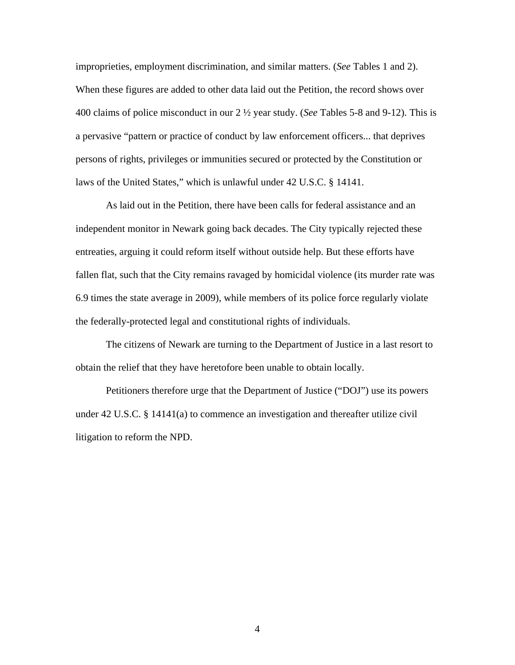improprieties, employment discrimination, and similar matters. (*See* Tables 1 and 2). When these figures are added to other data laid out the Petition, the record shows over 400 claims of police misconduct in our 2 ½ year study. (*See* Tables 5-8 and 9-12). This is a pervasive "pattern or practice of conduct by law enforcement officers... that deprives persons of rights, privileges or immunities secured or protected by the Constitution or laws of the United States," which is unlawful under 42 U.S.C. § 14141.

 As laid out in the Petition, there have been calls for federal assistance and an independent monitor in Newark going back decades. The City typically rejected these entreaties, arguing it could reform itself without outside help. But these efforts have fallen flat, such that the City remains ravaged by homicidal violence (its murder rate was 6.9 times the state average in 2009), while members of its police force regularly violate the federally-protected legal and constitutional rights of individuals.

 The citizens of Newark are turning to the Department of Justice in a last resort to obtain the relief that they have heretofore been unable to obtain locally.

Petitioners therefore urge that the Department of Justice ("DOJ") use its powers under 42 U.S.C. § 14141(a) to commence an investigation and thereafter utilize civil litigation to reform the NPD.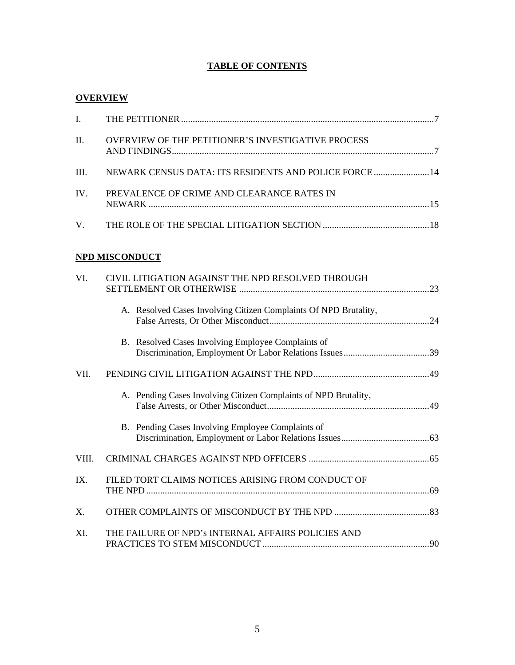# **TABLE OF CONTENTS**

## **OVERVIEW**

| II. | <b>OVERVIEW OF THE PETITIONER'S INVESTIGATIVE PROCESS</b>  |  |
|-----|------------------------------------------------------------|--|
|     | III. NEWARK CENSUS DATA: ITS RESIDENTS AND POLICE FORCE 14 |  |
| IV. | PREVALENCE OF CRIME AND CLEARANCE RATES IN                 |  |
|     |                                                            |  |

# **NPD MISCONDUCT**

| VI.   | CIVIL LITIGATION AGAINST THE NPD RESOLVED THROUGH                |  |  |
|-------|------------------------------------------------------------------|--|--|
|       | A. Resolved Cases Involving Citizen Complaints Of NPD Brutality, |  |  |
|       | B. Resolved Cases Involving Employee Complaints of               |  |  |
| VII.  |                                                                  |  |  |
|       | A. Pending Cases Involving Citizen Complaints of NPD Brutality,  |  |  |
|       | B. Pending Cases Involving Employee Complaints of                |  |  |
| VIII. |                                                                  |  |  |
| IX.   | FILED TORT CLAIMS NOTICES ARISING FROM CONDUCT OF                |  |  |
| Χ.    |                                                                  |  |  |
| XI.   | THE FAILURE OF NPD's INTERNAL AFFAIRS POLICIES AND               |  |  |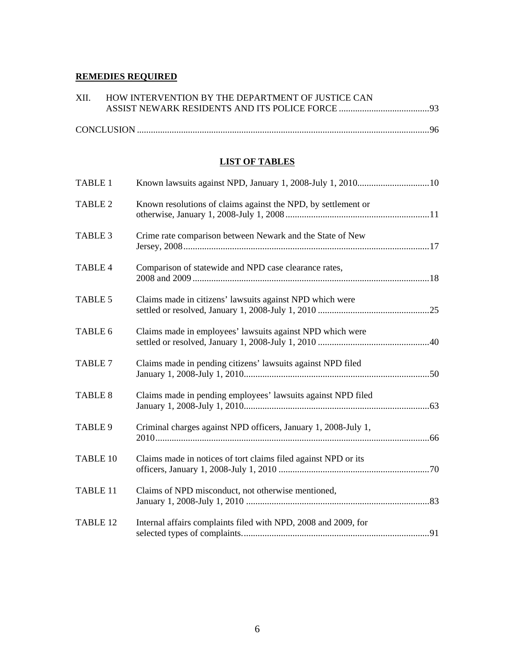## **REMEDIES REQUIRED**

| XII. HOW INTERVENTION BY THE DEPARTMENT OF JUSTICE CAN |  |
|--------------------------------------------------------|--|
|                                                        |  |
|                                                        |  |
|                                                        |  |

# **LIST OF TABLES**

| <b>TABLE 1</b> |                                                                |  |
|----------------|----------------------------------------------------------------|--|
| <b>TABLE 2</b> | Known resolutions of claims against the NPD, by settlement or  |  |
| TABLE 3        | Crime rate comparison between Newark and the State of New      |  |
| TABLE 4        | Comparison of statewide and NPD case clearance rates,          |  |
| <b>TABLE 5</b> | Claims made in citizens' lawsuits against NPD which were       |  |
| TABLE 6        | Claims made in employees' lawsuits against NPD which were      |  |
| <b>TABLE 7</b> | Claims made in pending citizens' lawsuits against NPD filed    |  |
| <b>TABLE 8</b> | Claims made in pending employees' lawsuits against NPD filed   |  |
| TABLE 9        | Criminal charges against NPD officers, January 1, 2008-July 1, |  |
| TABLE 10       | Claims made in notices of tort claims filed against NPD or its |  |
| TABLE 11       | Claims of NPD misconduct, not otherwise mentioned,             |  |
| TABLE 12       | Internal affairs complaints filed with NPD, 2008 and 2009, for |  |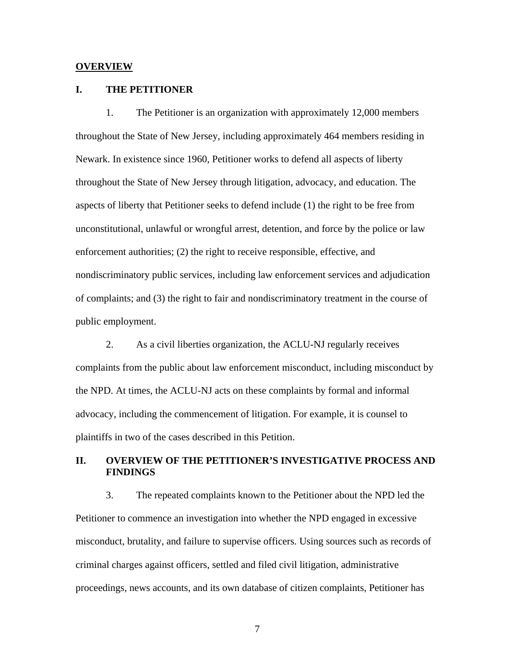#### **OVERVIEW**

### **I. THE PETITIONER**

1. The Petitioner is an organization with approximately 12,000 members throughout the State of New Jersey, including approximately 464 members residing in Newark. In existence since 1960, Petitioner works to defend all aspects of liberty throughout the State of New Jersey through litigation, advocacy, and education. The aspects of liberty that Petitioner seeks to defend include (1) the right to be free from unconstitutional, unlawful or wrongful arrest, detention, and force by the police or law enforcement authorities; (2) the right to receive responsible, effective, and nondiscriminatory public services, including law enforcement services and adjudication of complaints; and (3) the right to fair and nondiscriminatory treatment in the course of public employment.

2. As a civil liberties organization, the ACLU-NJ regularly receives complaints from the public about law enforcement misconduct, including misconduct by the NPD. At times, the ACLU-NJ acts on these complaints by formal and informal advocacy, including the commencement of litigation. For example, it is counsel to plaintiffs in two of the cases described in this Petition.

## **II. OVERVIEW OF THE PETITIONER'S INVESTIGATIVE PROCESS AND FINDINGS**

3. The repeated complaints known to the Petitioner about the NPD led the Petitioner to commence an investigation into whether the NPD engaged in excessive misconduct, brutality, and failure to supervise officers. Using sources such as records of criminal charges against officers, settled and filed civil litigation, administrative proceedings, news accounts, and its own database of citizen complaints, Petitioner has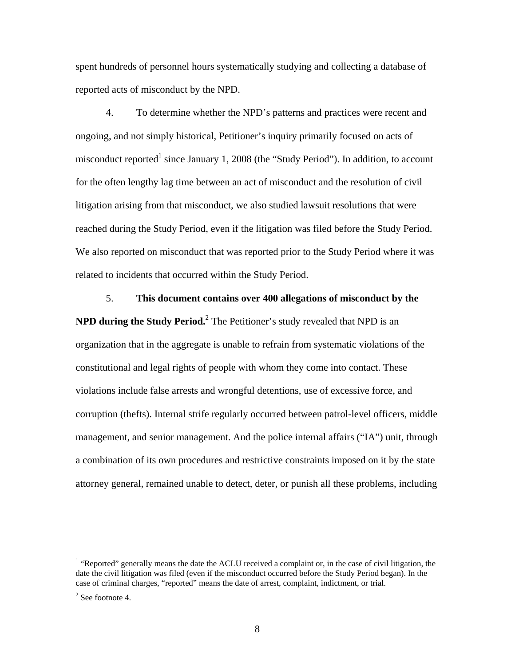spent hundreds of personnel hours systematically studying and collecting a database of reported acts of misconduct by the NPD.

4. To determine whether the NPD's patterns and practices were recent and ongoing, and not simply historical, Petitioner's inquiry primarily focused on acts of misconduct reported<sup>1</sup> since January 1, 2008 (the "Study Period"). In addition, to account for the often lengthy lag time between an act of misconduct and the resolution of civil litigation arising from that misconduct, we also studied lawsuit resolutions that were reached during the Study Period, even if the litigation was filed before the Study Period. We also reported on misconduct that was reported prior to the Study Period where it was related to incidents that occurred within the Study Period.

5. **This document contains over 400 allegations of misconduct by the NPD during the Study Period.** <sup>2</sup> The Petitioner's study revealed that NPD is an organization that in the aggregate is unable to refrain from systematic violations of the constitutional and legal rights of people with whom they come into contact. These violations include false arrests and wrongful detentions, use of excessive force, and corruption (thefts). Internal strife regularly occurred between patrol-level officers, middle management, and senior management. And the police internal affairs ("IA") unit, through a combination of its own procedures and restrictive constraints imposed on it by the state attorney general, remained unable to detect, deter, or punish all these problems, including

<u>.</u>

<sup>&</sup>lt;sup>1</sup> "Reported" generally means the date the ACLU received a complaint or, in the case of civil litigation, the date the civil litigation was filed (even if the misconduct occurred before the Study Period began). In the case of criminal charges, "reported" means the date of arrest, complaint, indictment, or trial.

 $2$  See footnote 4.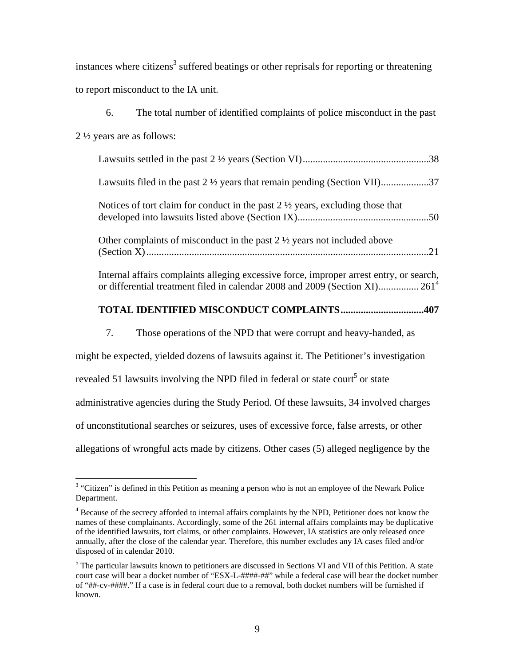instances where citizens<sup>3</sup> suffered beatings or other reprisals for reporting or threatening to report misconduct to the IA unit.

| 6. | The total number of identified complaints of police misconduct in the past                                                                                                         |    |
|----|------------------------------------------------------------------------------------------------------------------------------------------------------------------------------------|----|
|    | $2\frac{1}{2}$ years are as follows:                                                                                                                                               |    |
|    |                                                                                                                                                                                    |    |
|    | Lawsuits filed in the past $2\frac{1}{2}$ years that remain pending (Section VII)37                                                                                                |    |
|    | Notices of tort claim for conduct in the past $2 \frac{1}{2}$ years, excluding those that                                                                                          |    |
|    | Other complaints of misconduct in the past $2\frac{1}{2}$ years not included above                                                                                                 | 21 |
|    | Internal affairs complaints alleging excessive force, improper arrest entry, or search,<br>or differential treatment filed in calendar 2008 and 2009 (Section XI) 261 <sup>4</sup> |    |

# **TOTAL IDENTIFIED MISCONDUCT COMPLAINTS.................................407**

7. Those operations of the NPD that were corrupt and heavy-handed, as

might be expected, yielded dozens of lawsuits against it. The Petitioner's investigation

revealed 51 lawsuits involving the NPD filed in federal or state court<sup>5</sup> or state

administrative agencies during the Study Period. Of these lawsuits, 34 involved charges

of unconstitutional searches or seizures, uses of excessive force, false arrests, or other

allegations of wrongful acts made by citizens. Other cases (5) alleged negligence by the

 $3$  "Citizen" is defined in this Petition as meaning a person who is not an employee of the Newark Police Department.

<sup>&</sup>lt;sup>4</sup> Because of the secrecy afforded to internal affairs complaints by the NPD, Petitioner does not know the names of these complainants. Accordingly, some of the 261 internal affairs complaints may be duplicative of the identified lawsuits, tort claims, or other complaints. However, IA statistics are only released once annually, after the close of the calendar year. Therefore, this number excludes any IA cases filed and/or disposed of in calendar 2010.

<sup>&</sup>lt;sup>5</sup> The particular lawsuits known to petitioners are discussed in Sections VI and VII of this Petition. A state court case will bear a docket number of "ESX-L-####-##" while a federal case will bear the docket number of "##-cv-####." If a case is in federal court due to a removal, both docket numbers will be furnished if known.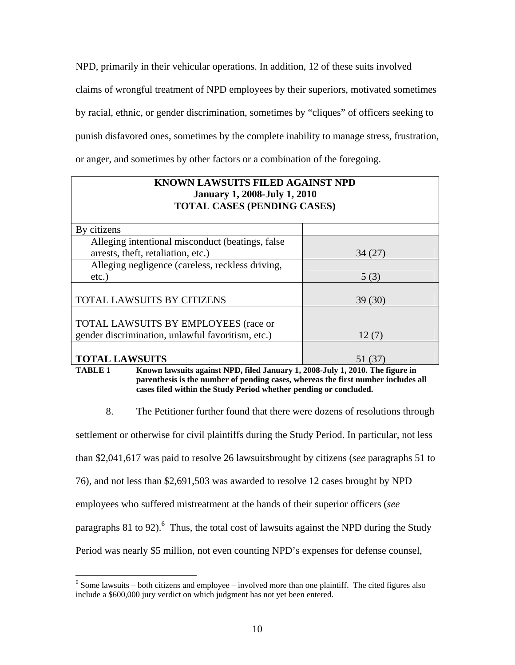NPD, primarily in their vehicular operations. In addition, 12 of these suits involved claims of wrongful treatment of NPD employees by their superiors, motivated sometimes by racial, ethnic, or gender discrimination, sometimes by "cliques" of officers seeking to punish disfavored ones, sometimes by the complete inability to manage stress, frustration, or anger, and sometimes by other factors or a combination of the foregoing.

## **KNOWN LAWSUITS FILED AGAINST NPD January 1, 2008-July 1, 2010 TOTAL CASES (PENDING CASES)**

| By citizens                                       |        |
|---------------------------------------------------|--------|
| Alleging intentional misconduct (beatings, false) |        |
| arrests, theft, retaliation, etc.)                | 34(27) |
| Alleging negligence (careless, reckless driving,  |        |
| $etc.$ )                                          | 5(3)   |
|                                                   |        |
| TOTAL LAWSUITS BY CITIZENS                        | 39(30) |
|                                                   |        |
| TOTAL LAWSUITS BY EMPLOYEES (race or              |        |
| gender discrimination, unlawful favoritism, etc.) | 12(7)  |
|                                                   |        |
| <b>TOTAL LAWSUITS</b>                             | 51 (37 |

**TABLE 1 Known lawsuits against NPD, filed January 1, 2008-July 1, 2010. The figure in parenthesis is the number of pending cases, whereas the first number includes all cases filed within the Study Period whether pending or concluded.** 

8. The Petitioner further found that there were dozens of resolutions through

settlement or otherwise for civil plaintiffs during the Study Period. In particular, not less

than \$2,041,617 was paid to resolve 26 lawsuitsbrought by citizens (*see* paragraphs 51 to

76), and not less than \$2,691,503 was awarded to resolve 12 cases brought by NPD

employees who suffered mistreatment at the hands of their superior officers (*see* 

1

paragraphs 81 to 92). <sup>6</sup> Thus, the total cost of lawsuits against the NPD during the Study

Period was nearly \$5 million, not even counting NPD's expenses for defense counsel,

 $6$  Some lawsuits – both citizens and employee – involved more than one plaintiff. The cited figures also include a \$600,000 jury verdict on which judgment has not yet been entered.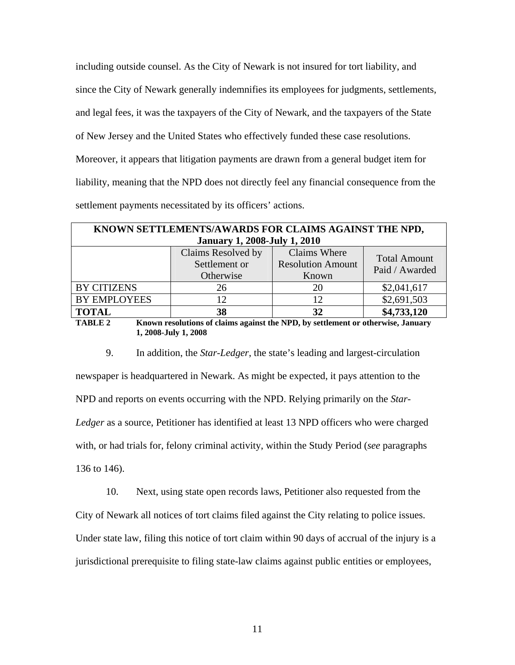including outside counsel. As the City of Newark is not insured for tort liability, and since the City of Newark generally indemnifies its employees for judgments, settlements, and legal fees, it was the taxpayers of the City of Newark, and the taxpayers of the State of New Jersey and the United States who effectively funded these case resolutions. Moreover, it appears that litigation payments are drawn from a general budget item for liability, meaning that the NPD does not directly feel any financial consequence from the settlement payments necessitated by its officers' actions.

| KNOWN SETTLEMENTS/AWARDS FOR CLAIMS AGAINST THE NPD,                                               |                                           |              |                     |
|----------------------------------------------------------------------------------------------------|-------------------------------------------|--------------|---------------------|
| <b>January 1, 2008-July 1, 2010</b>                                                                |                                           |              |                     |
|                                                                                                    | Claims Resolved by                        | Claims Where | <b>Total Amount</b> |
|                                                                                                    | <b>Resolution Amount</b><br>Settlement or |              | Paid / Awarded      |
|                                                                                                    | Otherwise                                 | Known        |                     |
| <b>BY CITIZENS</b>                                                                                 | 26                                        | 20           | \$2,041,617         |
| <b>BY EMPLOYEES</b>                                                                                | 12                                        | 12           | \$2,691,503         |
| <b>TOTAL</b>                                                                                       | 38                                        | 32           | \$4,733,120         |
| <b>TABLE 2</b><br>Known resolutions of claims against the NPD, by settlement or otherwise, January |                                           |              |                     |

**1, 2008-July 1, 2008** 

9. In addition, the *Star-Ledger*, the state's leading and largest-circulation newspaper is headquartered in Newark. As might be expected, it pays attention to the NPD and reports on events occurring with the NPD. Relying primarily on the *Star-Ledger* as a source, Petitioner has identified at least 13 NPD officers who were charged with, or had trials for, felony criminal activity, within the Study Period (*see* paragraphs 136 to 146).

10. Next, using state open records laws, Petitioner also requested from the City of Newark all notices of tort claims filed against the City relating to police issues. Under state law, filing this notice of tort claim within 90 days of accrual of the injury is a jurisdictional prerequisite to filing state-law claims against public entities or employees,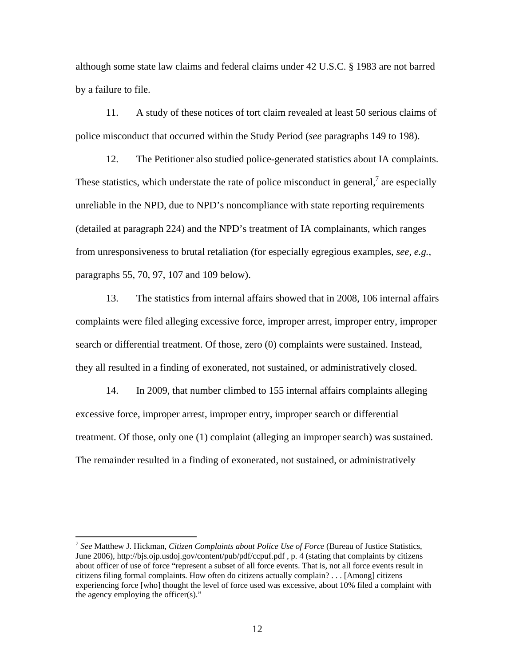although some state law claims and federal claims under 42 U.S.C. § 1983 are not barred by a failure to file.

11. A study of these notices of tort claim revealed at least 50 serious claims of police misconduct that occurred within the Study Period (*see* paragraphs 149 to 198).

12. The Petitioner also studied police-generated statistics about IA complaints. These statistics, which understate the rate of police misconduct in general, $\frac{7}{7}$  are especially unreliable in the NPD, due to NPD's noncompliance with state reporting requirements (detailed at paragraph 224) and the NPD's treatment of IA complainants, which ranges from unresponsiveness to brutal retaliation (for especially egregious examples, *see, e.g.*, paragraphs 55, 70, 97, 107 and 109 below).

13. The statistics from internal affairs showed that in 2008, 106 internal affairs complaints were filed alleging excessive force, improper arrest, improper entry, improper search or differential treatment. Of those, zero (0) complaints were sustained. Instead, they all resulted in a finding of exonerated, not sustained, or administratively closed.

14. In 2009, that number climbed to 155 internal affairs complaints alleging excessive force, improper arrest, improper entry, improper search or differential treatment. Of those, only one (1) complaint (alleging an improper search) was sustained. The remainder resulted in a finding of exonerated, not sustained, or administratively

<sup>7</sup> *See* Matthew J. Hickman, *Citizen Complaints about Police Use of Force* (Bureau of Justice Statistics, June 2006), http://bjs.ojp.usdoj.gov/content/pub/pdf/ccpuf.pdf , p. 4 (stating that complaints by citizens about officer of use of force "represent a subset of all force events. That is, not all force events result in citizens filing formal complaints. How often do citizens actually complain? . . . [Among] citizens experiencing force [who] thought the level of force used was excessive, about 10% filed a complaint with the agency employing the officer(s)."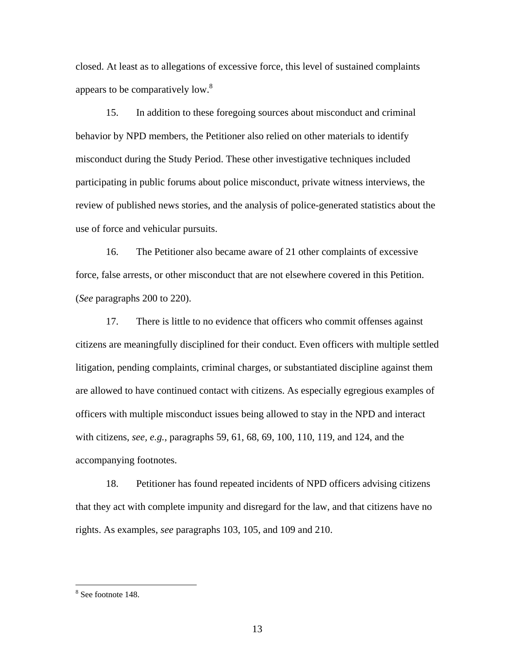closed. At least as to allegations of excessive force, this level of sustained complaints appears to be comparatively low.<sup>8</sup>

15. In addition to these foregoing sources about misconduct and criminal behavior by NPD members, the Petitioner also relied on other materials to identify misconduct during the Study Period. These other investigative techniques included participating in public forums about police misconduct, private witness interviews, the review of published news stories, and the analysis of police-generated statistics about the use of force and vehicular pursuits.

16. The Petitioner also became aware of 21 other complaints of excessive force, false arrests, or other misconduct that are not elsewhere covered in this Petition. (*See* paragraphs 200 to 220).

17. There is little to no evidence that officers who commit offenses against citizens are meaningfully disciplined for their conduct. Even officers with multiple settled litigation, pending complaints, criminal charges, or substantiated discipline against them are allowed to have continued contact with citizens. As especially egregious examples of officers with multiple misconduct issues being allowed to stay in the NPD and interact with citizens, *see, e.g.*, paragraphs 59, 61, 68, 69, 100, 110, 119, and 124, and the accompanying footnotes.

18. Petitioner has found repeated incidents of NPD officers advising citizens that they act with complete impunity and disregard for the law, and that citizens have no rights. As examples, *see* paragraphs 103, 105, and 109 and 210.

<sup>8</sup> See footnote 148.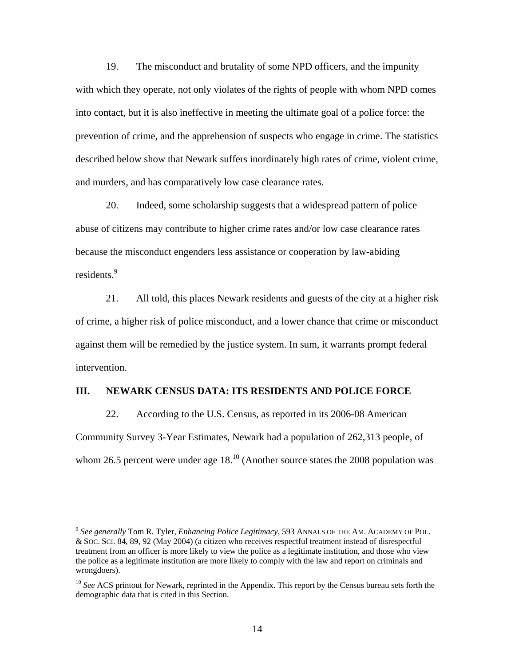19. The misconduct and brutality of some NPD officers, and the impunity with which they operate, not only violates of the rights of people with whom NPD comes into contact, but it is also ineffective in meeting the ultimate goal of a police force: the prevention of crime, and the apprehension of suspects who engage in crime. The statistics described below show that Newark suffers inordinately high rates of crime, violent crime, and murders, and has comparatively low case clearance rates.

20. Indeed, some scholarship suggests that a widespread pattern of police abuse of citizens may contribute to higher crime rates and/or low case clearance rates because the misconduct engenders less assistance or cooperation by law-abiding residents.<sup>9</sup>

21. All told, this places Newark residents and guests of the city at a higher risk of crime, a higher risk of police misconduct, and a lower chance that crime or misconduct against them will be remedied by the justice system. In sum, it warrants prompt federal intervention.

### **III. NEWARK CENSUS DATA: ITS RESIDENTS AND POLICE FORCE**

22. According to the U.S. Census, as reported in its 2006-08 American Community Survey 3-Year Estimates, Newark had a population of 262,313 people, of whom 26.5 percent were under age  $18<sup>10</sup>$  (Another source states the 2008 population was

<sup>9</sup> *See generally* Tom R. Tyler, *Enhancing Police Legitimacy*, 593 ANNALS OF THE AM. ACADEMY OF POL. & SOC. SCI. 84, 89, 92 (May 2004) (a citizen who receives respectful treatment instead of disrespectful treatment from an officer is more likely to view the police as a legitimate institution, and those who view the police as a legitimate institution are more likely to comply with the law and report on criminals and wrongdoers).

<sup>&</sup>lt;sup>10</sup> See ACS printout for Newark, reprinted in the Appendix. This report by the Census bureau sets forth the demographic data that is cited in this Section.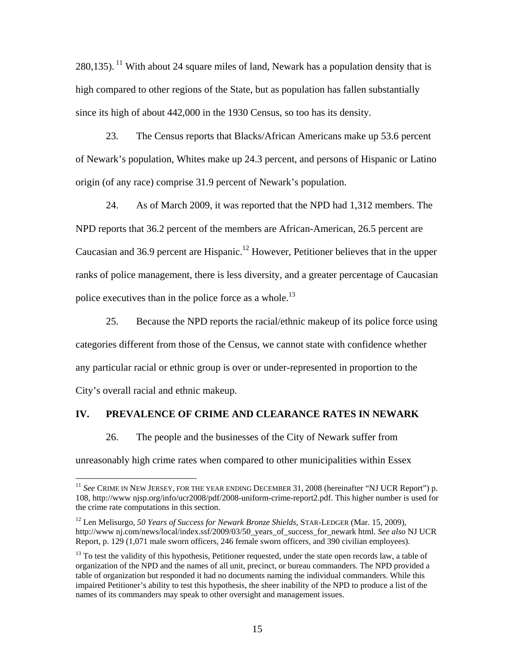280,135). <sup>11</sup> With about 24 square miles of land, Newark has a population density that is high compared to other regions of the State, but as population has fallen substantially since its high of about 442,000 in the 1930 Census, so too has its density.

23. The Census reports that Blacks/African Americans make up 53.6 percent of Newark's population, Whites make up 24.3 percent, and persons of Hispanic or Latino origin (of any race) comprise 31.9 percent of Newark's population.

24. As of March 2009, it was reported that the NPD had 1,312 members. The NPD reports that 36.2 percent of the members are African-American, 26.5 percent are Caucasian and 36.9 percent are Hispanic.<sup>12</sup> However, Petitioner believes that in the upper ranks of police management, there is less diversity, and a greater percentage of Caucasian police executives than in the police force as a whole.<sup>13</sup>

25. Because the NPD reports the racial/ethnic makeup of its police force using categories different from those of the Census, we cannot state with confidence whether any particular racial or ethnic group is over or under-represented in proportion to the City's overall racial and ethnic makeup.

## **IV. PREVALENCE OF CRIME AND CLEARANCE RATES IN NEWARK**

26. The people and the businesses of the City of Newark suffer from

unreasonably high crime rates when compared to other municipalities within Essex

<sup>&</sup>lt;sup>11</sup> See CRIME IN NEW JERSEY, FOR THE YEAR ENDING DECEMBER 31, 2008 (hereinafter "NJ UCR Report") p. 108, http://www njsp.org/info/ucr2008/pdf/2008-uniform-crime-report2.pdf. This higher number is used for the crime rate computations in this section.

<sup>12</sup> Len Melisurgo, *50 Years of Success for Newark Bronze Shields,* STAR-LEDGER (Mar. 15, 2009), http://www nj.com/news/local/index.ssf/2009/03/50\_years\_of\_success\_for\_newark html. *See also* NJ UCR Report, p. 129 (1,071 male sworn officers, 246 female sworn officers, and 390 civilian employees).

<sup>&</sup>lt;sup>13</sup> To test the validity of this hypothesis, Petitioner requested, under the state open records law, a table of organization of the NPD and the names of all unit, precinct, or bureau commanders. The NPD provided a table of organization but responded it had no documents naming the individual commanders. While this impaired Petitioner's ability to test this hypothesis, the sheer inability of the NPD to produce a list of the names of its commanders may speak to other oversight and management issues.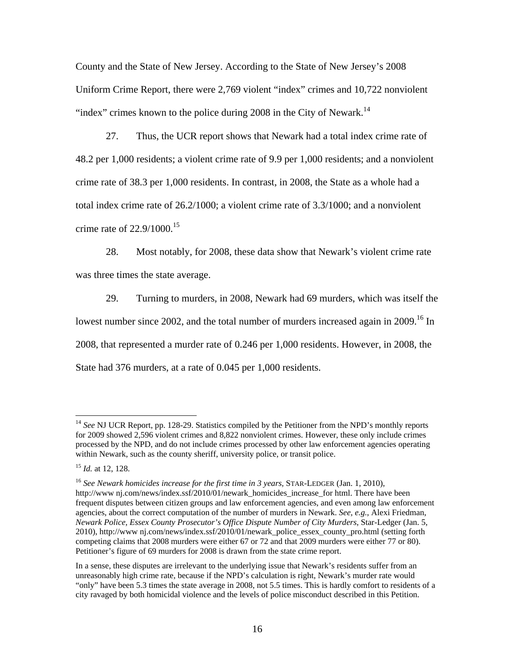County and the State of New Jersey. According to the State of New Jersey's 2008 Uniform Crime Report, there were 2,769 violent "index" crimes and 10,722 nonviolent "index" crimes known to the police during 2008 in the City of Newark.<sup>14</sup>

27. Thus, the UCR report shows that Newark had a total index crime rate of 48.2 per 1,000 residents; a violent crime rate of 9.9 per 1,000 residents; and a nonviolent crime rate of 38.3 per 1,000 residents. In contrast, in 2008, the State as a whole had a total index crime rate of 26.2/1000; a violent crime rate of 3.3/1000; and a nonviolent crime rate of  $22.9/1000^{15}$ 

28. Most notably, for 2008, these data show that Newark's violent crime rate was three times the state average.

29. Turning to murders, in 2008, Newark had 69 murders, which was itself the lowest number since 2002, and the total number of murders increased again in 2009.<sup>16</sup> In 2008, that represented a murder rate of 0.246 per 1,000 residents. However, in 2008, the State had 376 murders, at a rate of 0.045 per 1,000 residents.

<sup>&</sup>lt;sup>14</sup> See NJ UCR Report, pp. 128-29. Statistics compiled by the Petitioner from the NPD's monthly reports for 2009 showed 2,596 violent crimes and 8,822 nonviolent crimes. However, these only include crimes processed by the NPD, and do not include crimes processed by other law enforcement agencies operating within Newark, such as the county sheriff, university police, or transit police.

<sup>15</sup> *Id.* at 12, 128.

<sup>&</sup>lt;sup>16</sup> See Newark homicides increase for the first time in 3 years, STAR-LEDGER (Jan. 1, 2010), http://www nj.com/news/index.ssf/2010/01/newark\_homicides\_increase\_for html. There have been frequent disputes between citizen groups and law enforcement agencies, and even among law enforcement agencies, about the correct computation of the number of murders in Newark. *See, e.g.*, Alexi Friedman, *Newark Police, Essex County Prosecutor's Office Dispute Number of City Murders*, Star-Ledger (Jan. 5, 2010), http://www.nj.com/news/index.ssf/2010/01/newark\_police\_essex\_county\_pro.html (setting forth competing claims that 2008 murders were either 67 or 72 and that 2009 murders were either 77 or 80). Petitioner's figure of 69 murders for 2008 is drawn from the state crime report.

In a sense, these disputes are irrelevant to the underlying issue that Newark's residents suffer from an unreasonably high crime rate, because if the NPD's calculation is right, Newark's murder rate would "only" have been 5.3 times the state average in 2008, not 5.5 times. This is hardly comfort to residents of a city ravaged by both homicidal violence and the levels of police misconduct described in this Petition.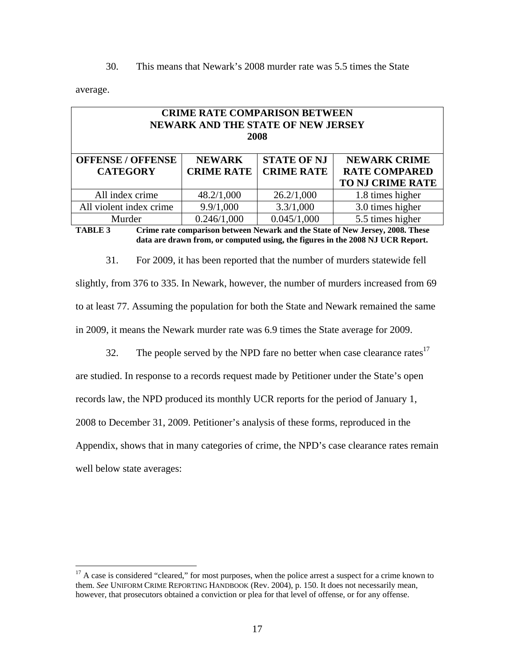30. This means that Newark's 2008 murder rate was 5.5 times the State

average.

 $\overline{a}$ 

| <b>CRIME RATE COMPARISON BETWEEN</b><br>NEWARK AND THE STATE OF NEW JERSEY<br>2008                                                                                          |  |                  |  |  |  |
|-----------------------------------------------------------------------------------------------------------------------------------------------------------------------------|--|------------------|--|--|--|
| <b>STATE OF NJ</b><br><b>OFFENSE / OFFENSE</b><br><b>NEWARK</b><br><b>NEWARK CRIME</b><br><b>CRIME RATE</b><br><b>CRIME RATE</b><br><b>RATE COMPARED</b><br><b>CATEGORY</b> |  |                  |  |  |  |
| <b>TO NJ CRIME RATE</b>                                                                                                                                                     |  |                  |  |  |  |
| All index crime<br>26.2/1,000<br>48.2/1,000<br>1.8 times higher                                                                                                             |  |                  |  |  |  |
| 9.9/1,000<br>3.3/1,000<br>All violent index crime                                                                                                                           |  | 3.0 times higher |  |  |  |
| 0.246/1,000<br>0.045/1,000<br>5.5 times higher<br>Murder                                                                                                                    |  |                  |  |  |  |
| Crime rate comparison between Newark and the State of New January 2008. These<br>TADI E 2                                                                                   |  |                  |  |  |  |

**TABLE 3 Crime rate comparison between Newark and the State of New Jersey, 2008. These data are drawn from, or computed using, the figures in the 2008 NJ UCR Report.** 

31. For 2009, it has been reported that the number of murders statewide fell slightly, from 376 to 335. In Newark, however, the number of murders increased from 69 to at least 77. Assuming the population for both the State and Newark remained the same in 2009, it means the Newark murder rate was 6.9 times the State average for 2009.

32. The people served by the NPD fare no better when case clearance rates $17$ are studied. In response to a records request made by Petitioner under the State's open records law, the NPD produced its monthly UCR reports for the period of January 1, 2008 to December 31, 2009. Petitioner's analysis of these forms, reproduced in the Appendix, shows that in many categories of crime, the NPD's case clearance rates remain well below state averages:

<sup>&</sup>lt;sup>17</sup> A case is considered "cleared," for most purposes, when the police arrest a suspect for a crime known to them. *See* UNIFORM CRIME REPORTING HANDBOOK (Rev. 2004), p. 150. It does not necessarily mean, however, that prosecutors obtained a conviction or plea for that level of offense, or for any offense.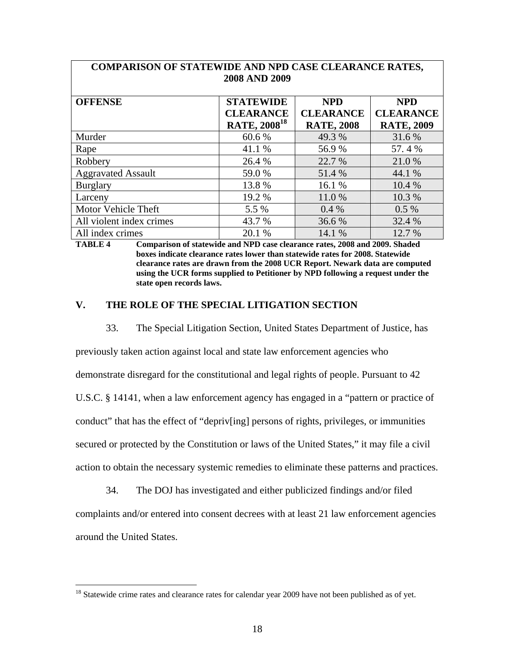|                           | ZUUO FIIND ZUUZ                |                   |                   |
|---------------------------|--------------------------------|-------------------|-------------------|
| <b>OFFENSE</b>            | <b>STATEWIDE</b>               | <b>NPD</b>        | <b>NPD</b>        |
|                           | <b>CLEARANCE</b>               | <b>CLEARANCE</b>  | <b>CLEARANCE</b>  |
|                           | <b>RATE, 2008<sup>18</sup></b> | <b>RATE, 2008</b> | <b>RATE, 2009</b> |
| Murder                    | 60.6 %                         | 49.3 %            | 31.6 %            |
| Rape                      | 41.1 %                         | 56.9%             | 57.4%             |
| Robbery                   | 26.4 %                         | 22.7 %            | 21.0%             |
| <b>Aggravated Assault</b> | 59.0 %                         | 51.4 %            | 44.1 %            |
| <b>Burglary</b>           | 13.8 %                         | 16.1 %            | 10.4 %            |
| Larceny                   | 19.2 %                         | 11.0%             | 10.3 %            |
| Motor Vehicle Theft       | 5.5 %                          | 0.4%              | $0.5\%$           |
| All violent index crimes  | 43.7 %                         | 36.6%             | 32.4 %            |
| All index crimes          | 20.1 %                         | 14.1 %            | 12.7 %            |

## **COMPARISON OF STATEWIDE AND NPD CASE CLEARANCE RATES, 2008 AND 2009**

**TABLE 4 Comparison of statewide and NPD case clearance rates, 2008 and 2009. Shaded boxes indicate clearance rates lower than statewide rates for 2008. Statewide clearance rates are drawn from the 2008 UCR Report. Newark data are computed using the UCR forms supplied to Petitioner by NPD following a request under the state open records laws.** 

## **V. THE ROLE OF THE SPECIAL LITIGATION SECTION**

33. The Special Litigation Section, United States Department of Justice, has

previously taken action against local and state law enforcement agencies who

demonstrate disregard for the constitutional and legal rights of people. Pursuant to 42

U.S.C. § 14141, when a law enforcement agency has engaged in a "pattern or practice of

conduct" that has the effect of "depriv[ing] persons of rights, privileges, or immunities

secured or protected by the Constitution or laws of the United States," it may file a civil

action to obtain the necessary systemic remedies to eliminate these patterns and practices.

34. The DOJ has investigated and either publicized findings and/or filed complaints and/or entered into consent decrees with at least 21 law enforcement agencies around the United States.

<sup>&</sup>lt;sup>18</sup> Statewide crime rates and clearance rates for calendar year 2009 have not been published as of yet.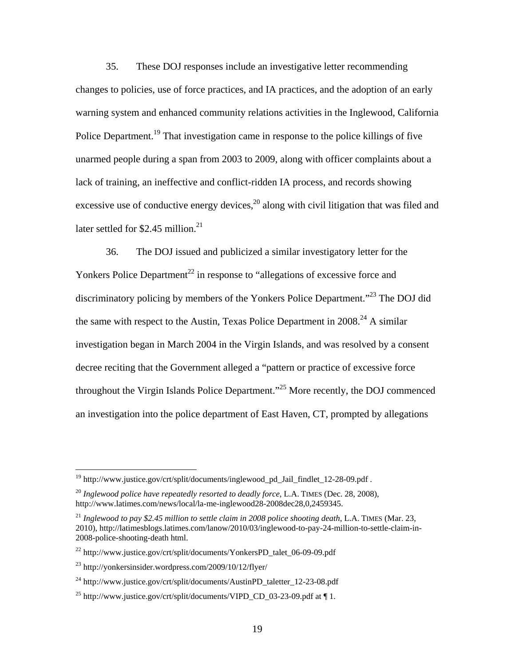35. These DOJ responses include an investigative letter recommending changes to policies, use of force practices, and IA practices, and the adoption of an early warning system and enhanced community relations activities in the Inglewood, California Police Department.<sup>19</sup> That investigation came in response to the police killings of five unarmed people during a span from 2003 to 2009, along with officer complaints about a lack of training, an ineffective and conflict-ridden IA process, and records showing excessive use of conductive energy devices, $^{20}$  along with civil litigation that was filed and later settled for \$2.45 million. $^{21}$ 

36. The DOJ issued and publicized a similar investigatory letter for the Yonkers Police Department<sup>22</sup> in response to "allegations of excessive force and discriminatory policing by members of the Yonkers Police Department."23 The DOJ did the same with respect to the Austin, Texas Police Department in 2008.<sup>24</sup> A similar investigation began in March 2004 in the Virgin Islands, and was resolved by a consent decree reciting that the Government alleged a "pattern or practice of excessive force throughout the Virgin Islands Police Department."25 More recently, the DOJ commenced an investigation into the police department of East Haven, CT, prompted by allegations

 $19$  http://www.justice.gov/crt/split/documents/inglewood\_pd\_Jail\_findlet\_12-28-09.pdf.

<sup>20</sup> *Inglewood police have repeatedly resorted to deadly force*, L.A. TIMES (Dec. 28, 2008), http://www.latimes.com/news/local/la-me-inglewood28-2008dec28,0,2459345.

<sup>21</sup> *Inglewood to pay \$2.45 million to settle claim in 2008 police shooting death*, L.A. TIMES (Mar. 23, 2010), http://latimesblogs.latimes.com/lanow/2010/03/inglewood-to-pay-24-million-to-settle-claim-in-2008-police-shooting-death html.

 $^{22}$  http://www.justice.gov/crt/split/documents/YonkersPD\_talet\_06-09-09.pdf

 $^{23}$  http://yonkersinsider.wordpress.com/2009/10/12/flyer/

 $^{24}$  http://www.justice.gov/crt/split/documents/AustinPD\_taletter\_12-23-08.pdf

<sup>&</sup>lt;sup>25</sup> http://www.justice.gov/crt/split/documents/VIPD\_CD\_03-23-09.pdf at  $\P$ 1.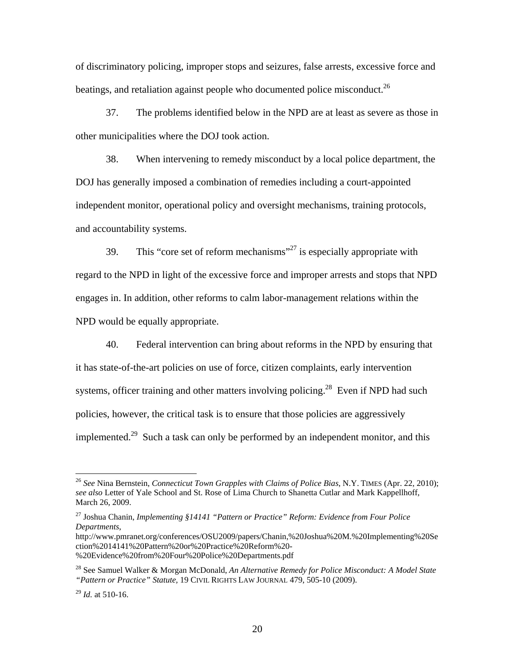of discriminatory policing, improper stops and seizures, false arrests, excessive force and beatings, and retaliation against people who documented police misconduct.<sup>26</sup>

37. The problems identified below in the NPD are at least as severe as those in other municipalities where the DOJ took action.

38. When intervening to remedy misconduct by a local police department, the DOJ has generally imposed a combination of remedies including a court-appointed independent monitor, operational policy and oversight mechanisms, training protocols, and accountability systems.

39. This "core set of reform mechanisms"<sup>27</sup> is especially appropriate with regard to the NPD in light of the excessive force and improper arrests and stops that NPD engages in. In addition, other reforms to calm labor-management relations within the NPD would be equally appropriate.

40. Federal intervention can bring about reforms in the NPD by ensuring that it has state-of-the-art policies on use of force, citizen complaints, early intervention systems, officer training and other matters involving policing.<sup>28</sup> Even if NPD had such policies, however, the critical task is to ensure that those policies are aggressively implemented.<sup>29</sup> Such a task can only be performed by an independent monitor, and this

http://www.pmranet.org/conferences/OSU2009/papers/Chanin,%20Joshua%20M.%20Implementing%20Se ction%2014141%20Pattern%20or%20Practice%20Reform%20-

%20Evidence%20from%20Four%20Police%20Departments.pdf

<sup>26</sup> *See* Nina Bernstein, *Connecticut Town Grapples with Claims of Police Bias*, N.Y. TIMES (Apr. 22, 2010); *see also* Letter of Yale School and St. Rose of Lima Church to Shanetta Cutlar and Mark Kappellhoff, March 26, 2009.

<sup>27</sup> Joshua Chanin, *Implementing §14141 "Pattern or Practice" Reform: Evidence from Four Police Departments*,

<sup>28</sup> See Samuel Walker & Morgan McDonald, *An Alternative Remedy for Police Misconduct: A Model State "Pattern or Practice" Statute,* 19 CIVIL RIGHTS LAW JOURNAL 479, 505-10 (2009).

 $^{29}$  *Id.* at 510-16.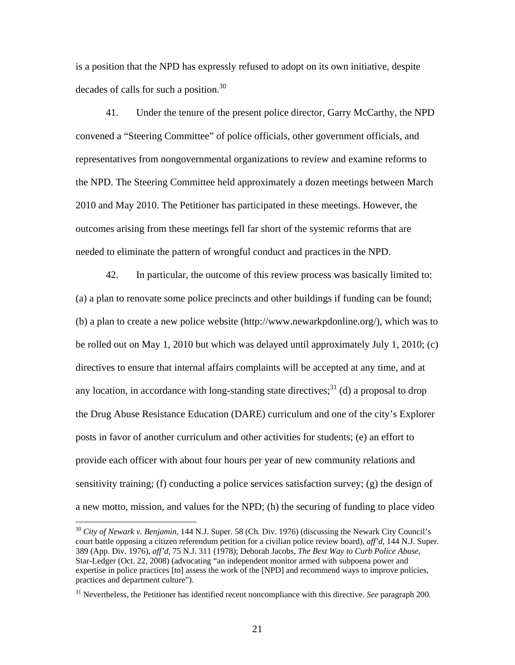is a position that the NPD has expressly refused to adopt on its own initiative, despite decades of calls for such a position.<sup>30</sup>

41. Under the tenure of the present police director, Garry McCarthy, the NPD convened a "Steering Committee" of police officials, other government officials, and representatives from nongovernmental organizations to review and examine reforms to the NPD. The Steering Committee held approximately a dozen meetings between March 2010 and May 2010. The Petitioner has participated in these meetings. However, the outcomes arising from these meetings fell far short of the systemic reforms that are needed to eliminate the pattern of wrongful conduct and practices in the NPD.

42. In particular, the outcome of this review process was basically limited to: (a) a plan to renovate some police precincts and other buildings if funding can be found; (b) a plan to create a new police website (http://www.newarkpdonline.org/), which was to be rolled out on May 1, 2010 but which was delayed until approximately July 1, 2010; (c) directives to ensure that internal affairs complaints will be accepted at any time, and at any location, in accordance with long-standing state directives;<sup>31</sup> (d) a proposal to drop the Drug Abuse Resistance Education (DARE) curriculum and one of the city's Explorer posts in favor of another curriculum and other activities for students; (e) an effort to provide each officer with about four hours per year of new community relations and sensitivity training; (f) conducting a police services satisfaction survey; (g) the design of a new motto, mission, and values for the NPD; (h) the securing of funding to place video

<sup>30</sup> *City of Newark v. Benjamin*, 144 N.J. Super. 58 (Ch. Div. 1976) (discussing the Newark City Council's court battle opposing a citizen referendum petition for a civilian police review board), *aff'd*, 144 N.J. Super. 389 (App. Div. 1976), *aff'd*, 75 N.J. 311 (1978); Deborah Jacobs, *The Best Way to Curb Police Abuse*, Star-Ledger (Oct. 22, 2008) (advocating "an independent monitor armed with subpoena power and expertise in police practices [to] assess the work of the [NPD] and recommend ways to improve policies, practices and department culture").

<sup>31</sup> Nevertheless, the Petitioner has identified recent noncompliance with this directive. *See* paragraph 200.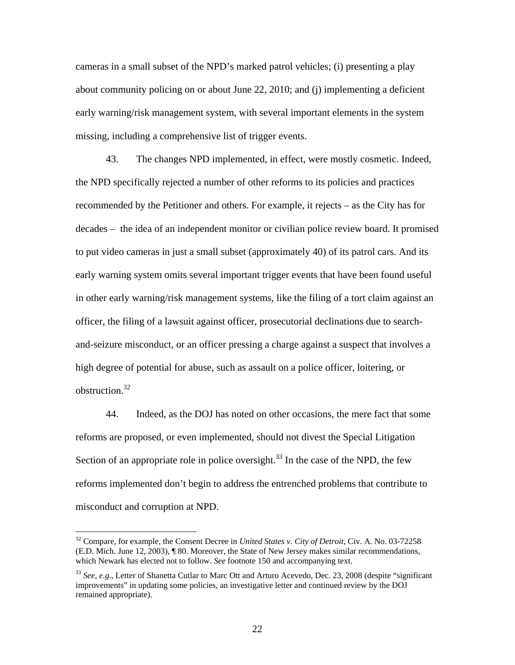cameras in a small subset of the NPD's marked patrol vehicles; (i) presenting a play about community policing on or about June 22, 2010; and (j) implementing a deficient early warning/risk management system, with several important elements in the system missing, including a comprehensive list of trigger events.

43. The changes NPD implemented, in effect, were mostly cosmetic. Indeed, the NPD specifically rejected a number of other reforms to its policies and practices recommended by the Petitioner and others. For example, it rejects – as the City has for decades – the idea of an independent monitor or civilian police review board. It promised to put video cameras in just a small subset (approximately 40) of its patrol cars. And its early warning system omits several important trigger events that have been found useful in other early warning/risk management systems, like the filing of a tort claim against an officer, the filing of a lawsuit against officer, prosecutorial declinations due to searchand-seizure misconduct, or an officer pressing a charge against a suspect that involves a high degree of potential for abuse, such as assault on a police officer, loitering, or obstruction  $32$ 

44. Indeed, as the DOJ has noted on other occasions, the mere fact that some reforms are proposed, or even implemented, should not divest the Special Litigation Section of an appropriate role in police oversight.<sup>33</sup> In the case of the NPD, the few reforms implemented don't begin to address the entrenched problems that contribute to misconduct and corruption at NPD.

<sup>32</sup> Compare, for example, the Consent Decree in *United States v. City of Detroit*, Civ. A. No. 03-72258 (E.D. Mich. June 12, 2003), ¶ 80. Moreover, the State of New Jersey makes similar recommendations, which Newark has elected not to follow. *See* footnote 150 and accompanying text.

<sup>33</sup> *See, e.g.*, Letter of Shanetta Cutlar to Marc Ott and Arturo Acevedo, Dec. 23, 2008 (despite "significant improvements" in updating some policies, an investigative letter and continued review by the DOJ remained appropriate).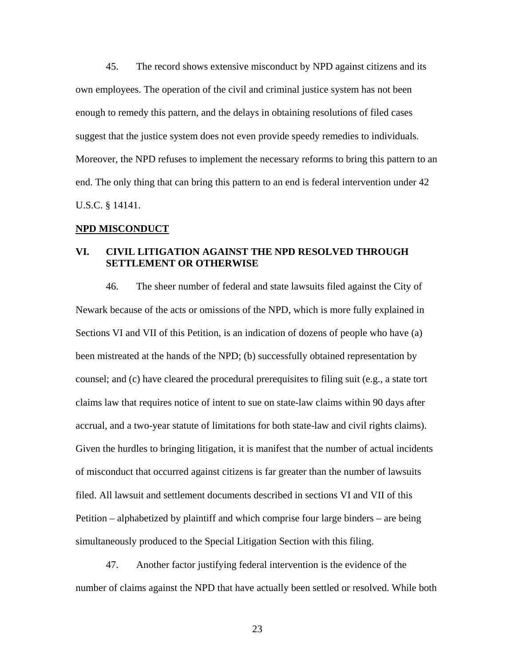45. The record shows extensive misconduct by NPD against citizens and its own employees. The operation of the civil and criminal justice system has not been enough to remedy this pattern, and the delays in obtaining resolutions of filed cases suggest that the justice system does not even provide speedy remedies to individuals. Moreover, the NPD refuses to implement the necessary reforms to bring this pattern to an end. The only thing that can bring this pattern to an end is federal intervention under 42 U.S.C. § 14141.

### **NPD MISCONDUCT**

## **VI. CIVIL LITIGATION AGAINST THE NPD RESOLVED THROUGH SETTLEMENT OR OTHERWISE**

46. The sheer number of federal and state lawsuits filed against the City of Newark because of the acts or omissions of the NPD, which is more fully explained in Sections VI and VII of this Petition, is an indication of dozens of people who have (a) been mistreated at the hands of the NPD; (b) successfully obtained representation by counsel; and (c) have cleared the procedural prerequisites to filing suit (e.g., a state tort claims law that requires notice of intent to sue on state-law claims within 90 days after accrual, and a two-year statute of limitations for both state-law and civil rights claims). Given the hurdles to bringing litigation, it is manifest that the number of actual incidents of misconduct that occurred against citizens is far greater than the number of lawsuits filed. All lawsuit and settlement documents described in sections VI and VII of this Petition – alphabetized by plaintiff and which comprise four large binders – are being simultaneously produced to the Special Litigation Section with this filing.

47. Another factor justifying federal intervention is the evidence of the number of claims against the NPD that have actually been settled or resolved. While both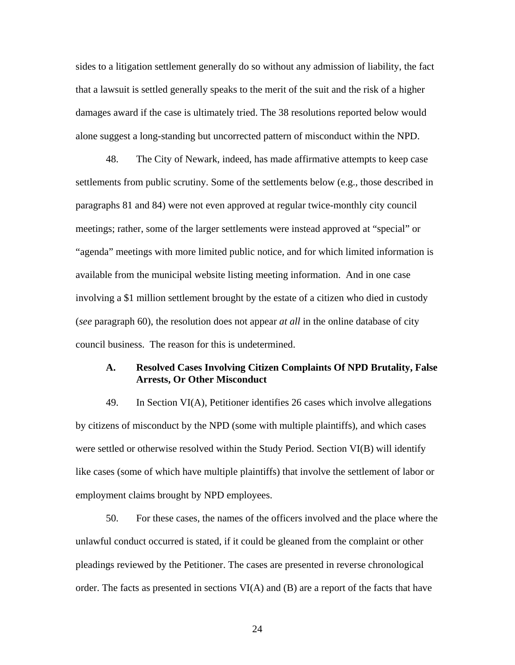sides to a litigation settlement generally do so without any admission of liability, the fact that a lawsuit is settled generally speaks to the merit of the suit and the risk of a higher damages award if the case is ultimately tried. The 38 resolutions reported below would alone suggest a long-standing but uncorrected pattern of misconduct within the NPD.

48. The City of Newark, indeed, has made affirmative attempts to keep case settlements from public scrutiny. Some of the settlements below (e.g., those described in paragraphs 81 and 84) were not even approved at regular twice-monthly city council meetings; rather, some of the larger settlements were instead approved at "special" or "agenda" meetings with more limited public notice, and for which limited information is available from the municipal website listing meeting information. And in one case involving a \$1 million settlement brought by the estate of a citizen who died in custody (*see* paragraph 60), the resolution does not appear *at all* in the online database of city council business. The reason for this is undetermined.

## **A. Resolved Cases Involving Citizen Complaints Of NPD Brutality, False Arrests, Or Other Misconduct**

49. In Section VI(A), Petitioner identifies 26 cases which involve allegations by citizens of misconduct by the NPD (some with multiple plaintiffs), and which cases were settled or otherwise resolved within the Study Period. Section VI(B) will identify like cases (some of which have multiple plaintiffs) that involve the settlement of labor or employment claims brought by NPD employees.

50. For these cases, the names of the officers involved and the place where the unlawful conduct occurred is stated, if it could be gleaned from the complaint or other pleadings reviewed by the Petitioner. The cases are presented in reverse chronological order. The facts as presented in sections VI(A) and (B) are a report of the facts that have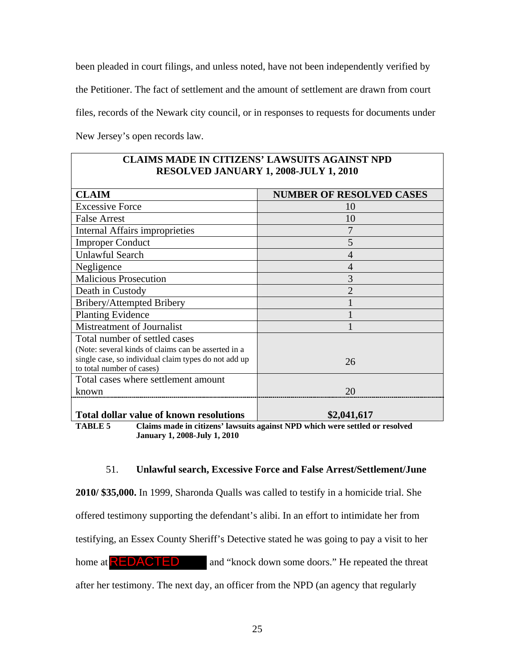been pleaded in court filings, and unless noted, have not been independently verified by the Petitioner. The fact of settlement and the amount of settlement are drawn from court files, records of the Newark city council, or in responses to requests for documents under New Jersey's open records law.

| CLAINS MADE IN CHIZENS' LAWSULIS AGAINST NPD<br><b>RESOLVED JANUARY 1, 2008-JULY 1, 2010</b>                                                                              |                                 |  |  |
|---------------------------------------------------------------------------------------------------------------------------------------------------------------------------|---------------------------------|--|--|
| <b>CLAIM</b>                                                                                                                                                              | <b>NUMBER OF RESOLVED CASES</b> |  |  |
| <b>Excessive Force</b>                                                                                                                                                    | 10                              |  |  |
| <b>False Arrest</b>                                                                                                                                                       | 10                              |  |  |
| Internal Affairs improprieties                                                                                                                                            | 7                               |  |  |
| <b>Improper Conduct</b>                                                                                                                                                   | 5                               |  |  |
| <b>Unlawful Search</b>                                                                                                                                                    | 4                               |  |  |
| Negligence                                                                                                                                                                | 4                               |  |  |
| <b>Malicious Prosecution</b>                                                                                                                                              | 3                               |  |  |
| Death in Custody                                                                                                                                                          | $\mathcal{D}_{\mathcal{A}}$     |  |  |
| Bribery/Attempted Bribery                                                                                                                                                 |                                 |  |  |
| <b>Planting Evidence</b>                                                                                                                                                  |                                 |  |  |
| <b>Mistreatment of Journalist</b>                                                                                                                                         |                                 |  |  |
| Total number of settled cases<br>(Note: several kinds of claims can be asserted in a<br>single case, so individual claim types do not add up<br>to total number of cases) | 26                              |  |  |
| Total cases where settlement amount<br>known                                                                                                                              | 20                              |  |  |
| <b>Total dollar value of known resolutions</b>                                                                                                                            | \$2,041,617                     |  |  |

**CLAIMS MADE IN CITIZENS' LAWSUITS AGAINST NPD** 

**TABLE 5 Claims made in citizens' lawsuits against NPD which were settled or resolved January 1, 2008-July 1, 2010** 

### 51. **Unlawful search, Excessive Force and False Arrest/Settlement/June**

**2010/ \$35,000.** In 1999, Sharonda Qualls was called to testify in a homicide trial. She

offered testimony supporting the defendant's alibi. In an effort to intimidate her from

testifying, an Essex County Sheriff's Detective stated he was going to pay a visit to her

home at  $\overline{\text{REDACTED}}$  and "knock down some doors." He repeated the threat

after her testimony. The next day, an officer from the NPD (an agency that regularly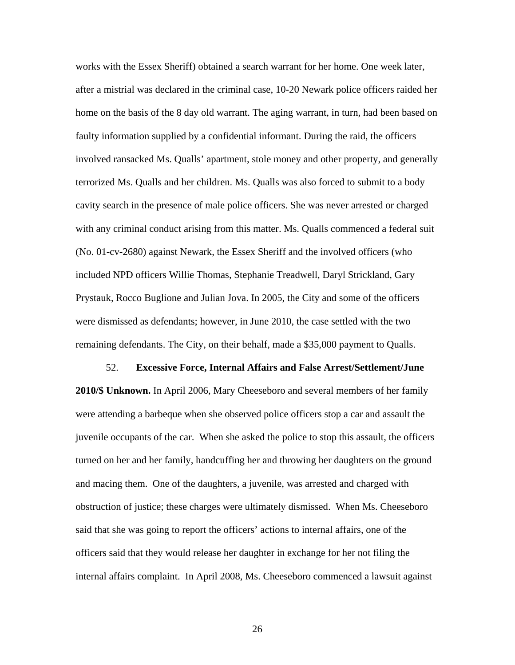works with the Essex Sheriff) obtained a search warrant for her home. One week later, after a mistrial was declared in the criminal case, 10-20 Newark police officers raided her home on the basis of the 8 day old warrant. The aging warrant, in turn, had been based on faulty information supplied by a confidential informant. During the raid, the officers involved ransacked Ms. Qualls' apartment, stole money and other property, and generally terrorized Ms. Qualls and her children. Ms. Qualls was also forced to submit to a body cavity search in the presence of male police officers. She was never arrested or charged with any criminal conduct arising from this matter. Ms. Qualls commenced a federal suit (No. 01-cv-2680) against Newark, the Essex Sheriff and the involved officers (who included NPD officers Willie Thomas, Stephanie Treadwell, Daryl Strickland, Gary Prystauk, Rocco Buglione and Julian Jova. In 2005, the City and some of the officers were dismissed as defendants; however, in June 2010, the case settled with the two remaining defendants. The City, on their behalf, made a \$35,000 payment to Qualls.

52. **Excessive Force, Internal Affairs and False Arrest/Settlement/June 2010/\$ Unknown.** In April 2006, Mary Cheeseboro and several members of her family were attending a barbeque when she observed police officers stop a car and assault the juvenile occupants of the car. When she asked the police to stop this assault, the officers turned on her and her family, handcuffing her and throwing her daughters on the ground and macing them. One of the daughters, a juvenile, was arrested and charged with obstruction of justice; these charges were ultimately dismissed. When Ms. Cheeseboro said that she was going to report the officers' actions to internal affairs, one of the officers said that they would release her daughter in exchange for her not filing the internal affairs complaint. In April 2008, Ms. Cheeseboro commenced a lawsuit against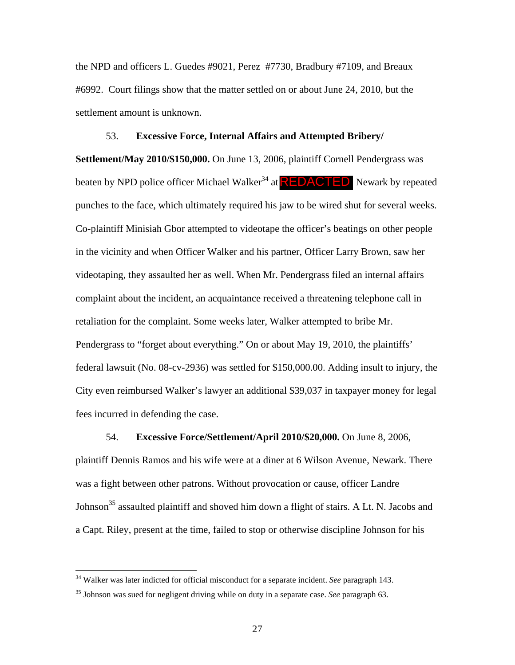the NPD and officers L. Guedes #9021, Perez #7730, Bradbury #7109, and Breaux #6992. Court filings show that the matter settled on or about June 24, 2010, but the settlement amount is unknown.

### 53. **Excessive Force, Internal Affairs and Attempted Bribery/**

**Settlement/May 2010/\$150,000.** On June 13, 2006, plaintiff Cornell Pendergrass was beaten by NPD police officer Michael Walker<sup>34</sup> at **REDACTED** Newark by repeated punches to the face, which ultimately required his jaw to be wired shut for several weeks. Co-plaintiff Minisiah Gbor attempted to videotape the officer's beatings on other people in the vicinity and when Officer Walker and his partner, Officer Larry Brown, saw her videotaping, they assaulted her as well. When Mr. Pendergrass filed an internal affairs complaint about the incident, an acquaintance received a threatening telephone call in retaliation for the complaint. Some weeks later, Walker attempted to bribe Mr. Pendergrass to "forget about everything." On or about May 19, 2010, the plaintiffs' federal lawsuit (No. 08-cv-2936) was settled for \$150,000.00. Adding insult to injury, the City even reimbursed Walker's lawyer an additional \$39,037 in taxpayer money for legal fees incurred in defending the case.

### 54. **Excessive Force/Settlement/April 2010/\$20,000.** On June 8, 2006,

plaintiff Dennis Ramos and his wife were at a diner at 6 Wilson Avenue, Newark. There was a fight between other patrons. Without provocation or cause, officer Landre Johnson<sup>35</sup> assaulted plaintiff and shoved him down a flight of stairs. A Lt. N. Jacobs and a Capt. Riley, present at the time, failed to stop or otherwise discipline Johnson for his

<sup>34</sup> Walker was later indicted for official misconduct for a separate incident. *See* paragraph 143.

<sup>35</sup> Johnson was sued for negligent driving while on duty in a separate case. *See* paragraph 63.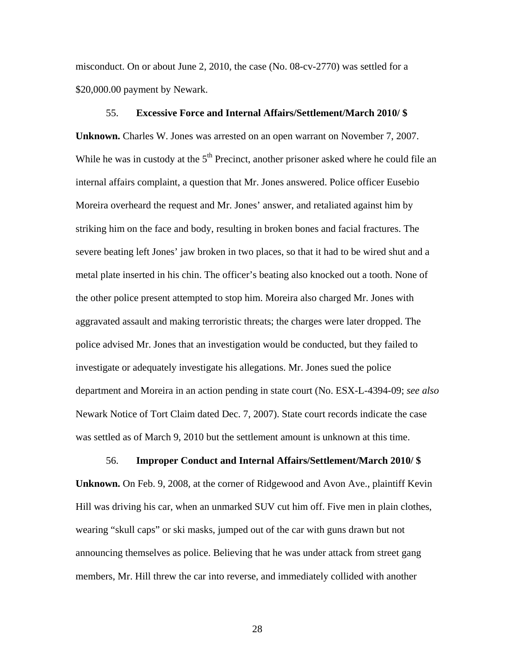misconduct. On or about June 2, 2010, the case (No. 08-cv-2770) was settled for a \$20,000.00 payment by Newark.

### 55. **Excessive Force and Internal Affairs/Settlement/March 2010/ \$**

**Unknown.** Charles W. Jones was arrested on an open warrant on November 7, 2007. While he was in custody at the  $5<sup>th</sup>$  Precinct, another prisoner asked where he could file an internal affairs complaint, a question that Mr. Jones answered. Police officer Eusebio Moreira overheard the request and Mr. Jones' answer, and retaliated against him by striking him on the face and body, resulting in broken bones and facial fractures. The severe beating left Jones' jaw broken in two places, so that it had to be wired shut and a metal plate inserted in his chin. The officer's beating also knocked out a tooth. None of the other police present attempted to stop him. Moreira also charged Mr. Jones with aggravated assault and making terroristic threats; the charges were later dropped. The police advised Mr. Jones that an investigation would be conducted, but they failed to investigate or adequately investigate his allegations. Mr. Jones sued the police department and Moreira in an action pending in state court (No. ESX-L-4394-09; *see also* Newark Notice of Tort Claim dated Dec. 7, 2007). State court records indicate the case was settled as of March 9, 2010 but the settlement amount is unknown at this time.

### 56. **Improper Conduct and Internal Affairs/Settlement/March 2010/ \$**

**Unknown.** On Feb. 9, 2008, at the corner of Ridgewood and Avon Ave., plaintiff Kevin Hill was driving his car, when an unmarked SUV cut him off. Five men in plain clothes, wearing "skull caps" or ski masks, jumped out of the car with guns drawn but not announcing themselves as police. Believing that he was under attack from street gang members, Mr. Hill threw the car into reverse, and immediately collided with another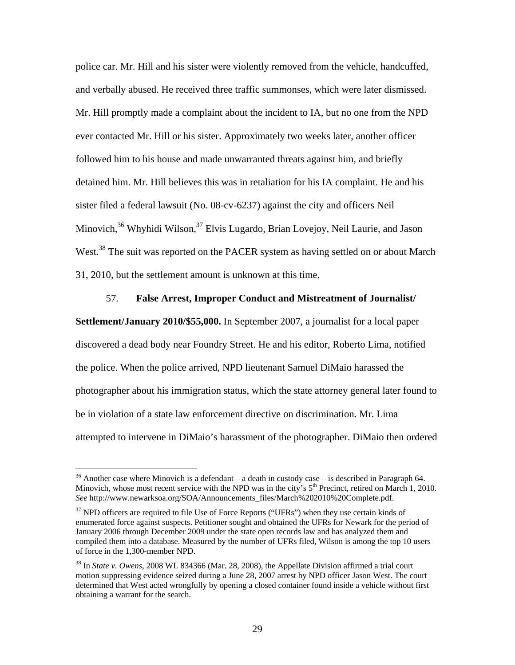police car. Mr. Hill and his sister were violently removed from the vehicle, handcuffed, and verbally abused. He received three traffic summonses, which were later dismissed. Mr. Hill promptly made a complaint about the incident to IA, but no one from the NPD ever contacted Mr. Hill or his sister. Approximately two weeks later, another officer followed him to his house and made unwarranted threats against him, and briefly detained him. Mr. Hill believes this was in retaliation for his IA complaint. He and his sister filed a federal lawsuit (No. 08-cv-6237) against the city and officers Neil Minovich, $36$  Whyhidi Wilson,  $37$  Elvis Lugardo, Brian Lovejoy, Neil Laurie, and Jason West.<sup>38</sup> The suit was reported on the PACER system as having settled on or about March 31, 2010, but the settlement amount is unknown at this time.

#### 57. **False Arrest, Improper Conduct and Mistreatment of Journalist/**

**Settlement/January 2010/\$55,000.** In September 2007, a journalist for a local paper discovered a dead body near Foundry Street. He and his editor, Roberto Lima, notified the police. When the police arrived, NPD lieutenant Samuel DiMaio harassed the photographer about his immigration status, which the state attorney general later found to be in violation of a state law enforcement directive on discrimination. Mr. Lima attempted to intervene in DiMaio's harassment of the photographer. DiMaio then ordered

<sup>&</sup>lt;sup>36</sup> Another case where Minovich is a defendant – a death in custody case – is described in Paragraph 64. Minovich, whose most recent service with the NPD was in the city's  $5<sup>th</sup>$  Precinct, retired on March 1, 2010. *See* http://www.newarksoa.org/SOA/Announcements\_files/March%202010%20Complete.pdf.

 $37$  NPD officers are required to file Use of Force Reports ("UFRs") when they use certain kinds of enumerated force against suspects. Petitioner sought and obtained the UFRs for Newark for the period of January 2006 through December 2009 under the state open records law and has analyzed them and compiled them into a database. Measured by the number of UFRs filed, Wilson is among the top 10 users of force in the 1,300-member NPD.

<sup>38</sup> In *State v. Owens*, 2008 WL 834366 (Mar. 28, 2008), the Appellate Division affirmed a trial court motion suppressing evidence seized during a June 28, 2007 arrest by NPD officer Jason West. The court determined that West acted wrongfully by opening a closed container found inside a vehicle without first obtaining a warrant for the search.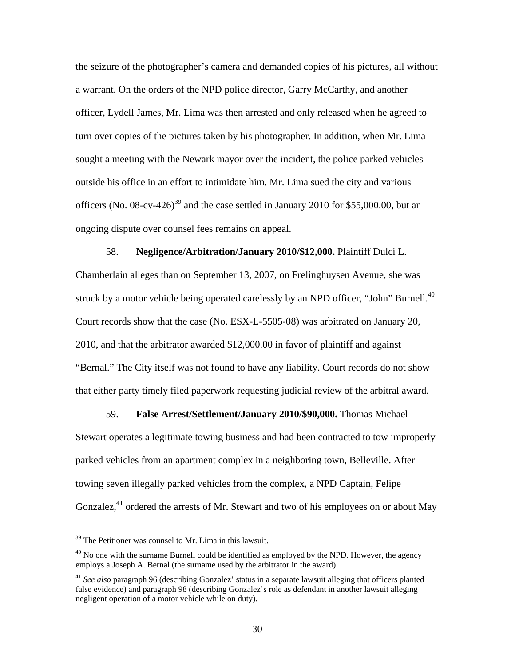the seizure of the photographer's camera and demanded copies of his pictures, all without a warrant. On the orders of the NPD police director, Garry McCarthy, and another officer, Lydell James, Mr. Lima was then arrested and only released when he agreed to turn over copies of the pictures taken by his photographer. In addition, when Mr. Lima sought a meeting with the Newark mayor over the incident, the police parked vehicles outside his office in an effort to intimidate him. Mr. Lima sued the city and various officers (No.  $08$ -cv-426)<sup>39</sup> and the case settled in January 2010 for \$55,000.00, but an ongoing dispute over counsel fees remains on appeal.

#### 58. **Negligence/Arbitration/January 2010/\$12,000.** Plaintiff Dulci L.

Chamberlain alleges than on September 13, 2007, on Frelinghuysen Avenue, she was struck by a motor vehicle being operated carelessly by an NPD officer, "John" Burnell.<sup>40</sup> Court records show that the case (No. ESX-L-5505-08) was arbitrated on January 20, 2010, and that the arbitrator awarded \$12,000.00 in favor of plaintiff and against "Bernal." The City itself was not found to have any liability. Court records do not show that either party timely filed paperwork requesting judicial review of the arbitral award.

59. **False Arrest/Settlement/January 2010/\$90,000.** Thomas Michael Stewart operates a legitimate towing business and had been contracted to tow improperly parked vehicles from an apartment complex in a neighboring town, Belleville. After towing seven illegally parked vehicles from the complex, a NPD Captain, Felipe Gonzalez,<sup>41</sup> ordered the arrests of Mr. Stewart and two of his employees on or about May

<sup>&</sup>lt;sup>39</sup> The Petitioner was counsel to Mr. Lima in this lawsuit.

 $^{40}$  No one with the surname Burnell could be identified as employed by the NPD. However, the agency employs a Joseph A. Bernal (the surname used by the arbitrator in the award).

<sup>41</sup> *See also* paragraph 96 (describing Gonzalez' status in a separate lawsuit alleging that officers planted false evidence) and paragraph 98 (describing Gonzalez's role as defendant in another lawsuit alleging negligent operation of a motor vehicle while on duty).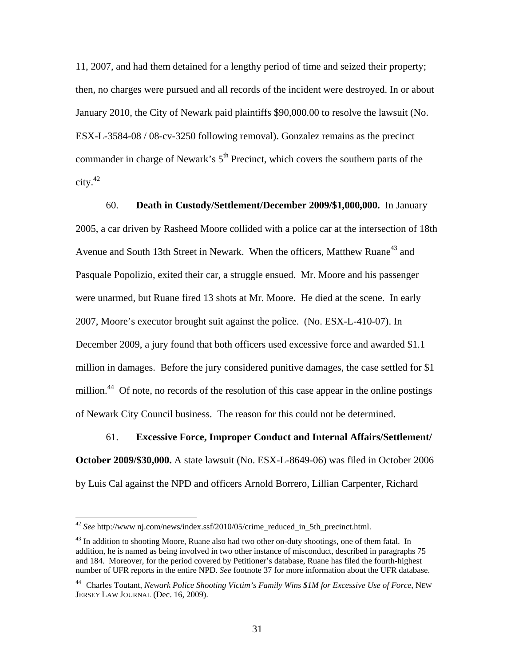11, 2007, and had them detained for a lengthy period of time and seized their property; then, no charges were pursued and all records of the incident were destroyed. In or about January 2010, the City of Newark paid plaintiffs \$90,000.00 to resolve the lawsuit (No. ESX-L-3584-08 / 08-cv-3250 following removal). Gonzalez remains as the precinct commander in charge of Newark's  $5<sup>th</sup>$  Precinct, which covers the southern parts of the city.42

60. **Death in Custody/Settlement/December 2009/\$1,000,000.** In January 2005, a car driven by Rasheed Moore collided with a police car at the intersection of 18th Avenue and South 13th Street in Newark. When the officers, Matthew Ruane<sup>43</sup> and Pasquale Popolizio, exited their car, a struggle ensued. Mr. Moore and his passenger were unarmed, but Ruane fired 13 shots at Mr. Moore. He died at the scene. In early 2007, Moore's executor brought suit against the police. (No. ESX-L-410-07). In December 2009, a jury found that both officers used excessive force and awarded \$1.1 million in damages. Before the jury considered punitive damages, the case settled for \$1 million.<sup>44</sup> Of note, no records of the resolution of this case appear in the online postings of Newark City Council business. The reason for this could not be determined.

61. **Excessive Force, Improper Conduct and Internal Affairs/Settlement/ October 2009/\$30,000.** A state lawsuit (No. ESX-L-8649-06) was filed in October 2006 by Luis Cal against the NPD and officers Arnold Borrero, Lillian Carpenter, Richard

<sup>42</sup> *See* http://www nj.com/news/index.ssf/2010/05/crime\_reduced\_in\_5th\_precinct.html.

<sup>&</sup>lt;sup>43</sup> In addition to shooting Moore, Ruane also had two other on-duty shootings, one of them fatal. In addition, he is named as being involved in two other instance of misconduct, described in paragraphs 75 and 184. Moreover, for the period covered by Petitioner's database, Ruane has filed the fourth-highest number of UFR reports in the entire NPD. *See* footnote 37 for more information about the UFR database.

<sup>44</sup> Charles Toutant, *Newark Police Shooting Victim's Family Wins \$1M for Excessive Use of Force*, NEW JERSEY LAW JOURNAL (Dec. 16, 2009).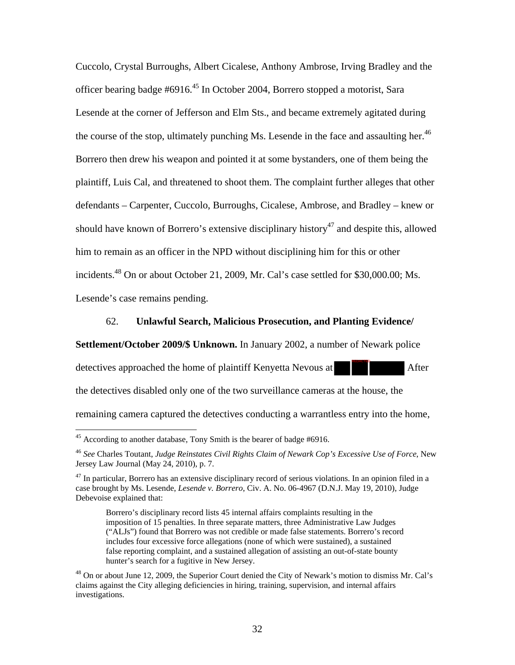Cuccolo, Crystal Burroughs, Albert Cicalese, Anthony Ambrose, Irving Bradley and the officer bearing badge #6916.<sup>45</sup> In October 2004, Borrero stopped a motorist, Sara Lesende at the corner of Jefferson and Elm Sts., and became extremely agitated during the course of the stop, ultimately punching Ms. Lesende in the face and assaulting her.<sup>46</sup> Borrero then drew his weapon and pointed it at some bystanders, one of them being the plaintiff, Luis Cal, and threatened to shoot them. The complaint further alleges that other defendants – Carpenter, Cuccolo, Burroughs, Cicalese, Ambrose, and Bradley – knew or should have known of Borrero's extensive disciplinary history<sup>47</sup> and despite this, allowed him to remain as an officer in the NPD without disciplining him for this or other incidents.48 On or about October 21, 2009, Mr. Cal's case settled for \$30,000.00; Ms. Lesende's case remains pending.

### 62. **Unlawful Search, Malicious Prosecution, and Planting Evidence/**

REDACTED

**Settlement/October 2009/\$ Unknown.** In January 2002, a number of Newark police

detectives approached the home of plaintiff Kenyetta Nevous at After

the detectives disabled only one of the two surveillance cameras at the house, the

remaining camera captured the detectives conducting a warrantless entry into the home,

 $45$  According to another database, Tony Smith is the bearer of badge #6916.

<sup>46</sup> *See* Charles Toutant, *Judge Reinstates Civil Rights Claim of Newark Cop's Excessive Use of Force*, New Jersey Law Journal (May 24, 2010), p. 7.

 $47$  In particular, Borrero has an extensive disciplinary record of serious violations. In an opinion filed in a case brought by Ms. Lesende, *Lesende v. Borrero*, Civ. A. No. 06-4967 (D.N.J. May 19, 2010), Judge Debevoise explained that:

Borrero's disciplinary record lists 45 internal affairs complaints resulting in the imposition of 15 penalties. In three separate matters, three Administrative Law Judges ("ALJs") found that Borrero was not credible or made false statements. Borrero's record includes four excessive force allegations (none of which were sustained), a sustained false reporting complaint, and a sustained allegation of assisting an out-of-state bounty hunter's search for a fugitive in New Jersey.

 $^{48}$  On or about June 12, 2009, the Superior Court denied the City of Newark's motion to dismiss Mr. Cal's claims against the City alleging deficiencies in hiring, training, supervision, and internal affairs investigations.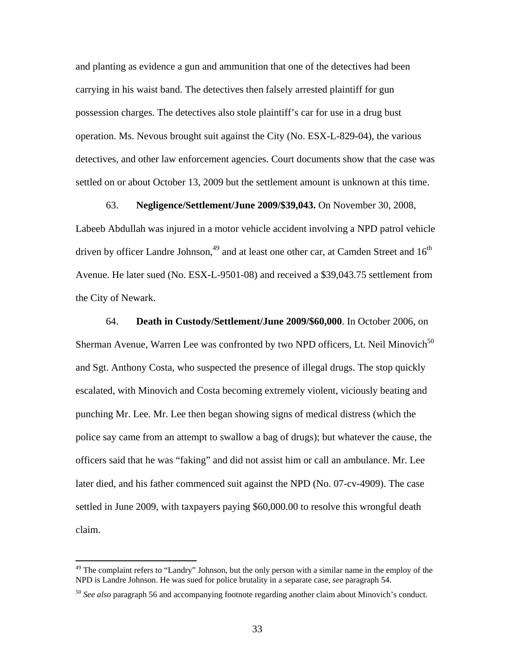and planting as evidence a gun and ammunition that one of the detectives had been carrying in his waist band. The detectives then falsely arrested plaintiff for gun possession charges. The detectives also stole plaintiff's car for use in a drug bust operation. Ms. Nevous brought suit against the City (No. ESX-L-829-04), the various detectives, and other law enforcement agencies. Court documents show that the case was settled on or about October 13, 2009 but the settlement amount is unknown at this time.

63. **Negligence/Settlement/June 2009/\$39,043.** On November 30, 2008, Labeeb Abdullah was injured in a motor vehicle accident involving a NPD patrol vehicle driven by officer Landre Johnson,<sup>49</sup> and at least one other car, at Camden Street and  $16<sup>th</sup>$ Avenue. He later sued (No. ESX-L-9501-08) and received a \$39,043.75 settlement from the City of Newark.

64. **Death in Custody/Settlement/June 2009/\$60,000**. In October 2006, on Sherman Avenue, Warren Lee was confronted by two NPD officers, Lt. Neil Minovich<sup>50</sup> and Sgt. Anthony Costa, who suspected the presence of illegal drugs. The stop quickly escalated, with Minovich and Costa becoming extremely violent, viciously beating and punching Mr. Lee. Mr. Lee then began showing signs of medical distress (which the police say came from an attempt to swallow a bag of drugs); but whatever the cause, the officers said that he was "faking" and did not assist him or call an ambulance. Mr. Lee later died, and his father commenced suit against the NPD (No. 07-cv-4909). The case settled in June 2009, with taxpayers paying \$60,000.00 to resolve this wrongful death claim.

<sup>&</sup>lt;sup>49</sup> The complaint refers to "Landry" Johnson, but the only person with a similar name in the employ of the NPD is Landre Johnson. He was sued for police brutality in a separate case, *see* paragraph 54.

<sup>50</sup> *See also* paragraph 56 and accompanying footnote regarding another claim about Minovich's conduct.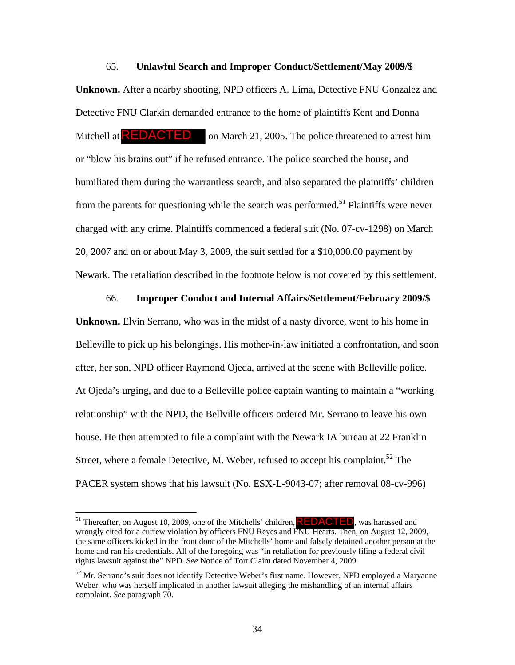#### 65. **Unlawful Search and Improper Conduct/Settlement/May 2009/\$**

**Unknown.** After a nearby shooting, NPD officers A. Lima, Detective FNU Gonzalez and Detective FNU Clarkin demanded entrance to the home of plaintiffs Kent and Donna on March 21, 2005. The police threatened to arrest him or "blow his brains out" if he refused entrance. The police searched the house, and humiliated them during the warrantless search, and also separated the plaintiffs' children from the parents for questioning while the search was performed.<sup>51</sup> Plaintiffs were never charged with any crime. Plaintiffs commenced a federal suit (No. 07-cv-1298) on March 20, 2007 and on or about May 3, 2009, the suit settled for a \$10,000.00 payment by Newark. The retaliation described in the footnote below is not covered by this settlement. Mitchell at **REDACTED** 

66. **Improper Conduct and Internal Affairs/Settlement/February 2009/\$** 

**Unknown.** Elvin Serrano, who was in the midst of a nasty divorce, went to his home in Belleville to pick up his belongings. His mother-in-law initiated a confrontation, and soon after, her son, NPD officer Raymond Ojeda, arrived at the scene with Belleville police. At Ojeda's urging, and due to a Belleville police captain wanting to maintain a "working relationship" with the NPD, the Bellville officers ordered Mr. Serrano to leave his own house. He then attempted to file a complaint with the Newark IA bureau at 22 Franklin Street, where a female Detective, M. Weber, refused to accept his complaint.<sup>52</sup> The PACER system shows that his lawsuit (No. ESX-L-9043-07; after removal 08-cv-996)

<sup>&</sup>lt;sup>51</sup> Thereafter, on August 10, 2009, one of the Mitchells' children, **REDACTED**, was harassed and wrongly cited for a curfew violation by officers FNU Reyes and FNU Hearts. Then, on August 12, 2009, the same officers kicked in the front door of the Mitchells' home and falsely detained another person at the home and ran his credentials. All of the foregoing was "in retaliation for previously filing a federal civil rights lawsuit against the" NPD. *See* Notice of Tort Claim dated November 4, 2009.

 $52$  Mr. Serrano's suit does not identify Detective Weber's first name. However, NPD employed a Maryanne Weber, who was herself implicated in another lawsuit alleging the mishandling of an internal affairs complaint. *See* paragraph 70.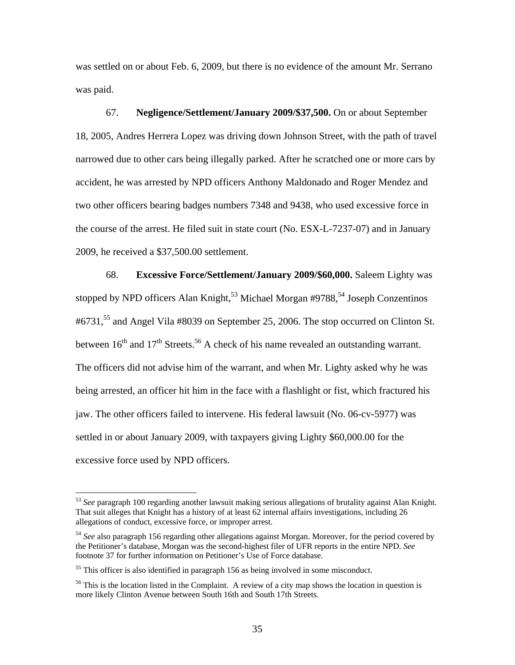was settled on or about Feb. 6, 2009, but there is no evidence of the amount Mr. Serrano was paid.

67. **Negligence/Settlement/January 2009/\$37,500.** On or about September 18, 2005, Andres Herrera Lopez was driving down Johnson Street, with the path of travel narrowed due to other cars being illegally parked. After he scratched one or more cars by accident, he was arrested by NPD officers Anthony Maldonado and Roger Mendez and two other officers bearing badges numbers 7348 and 9438, who used excessive force in the course of the arrest. He filed suit in state court (No. ESX-L-7237-07) and in January 2009, he received a \$37,500.00 settlement.

68. **Excessive Force/Settlement/January 2009/\$60,000.** Saleem Lighty was stopped by NPD officers Alan Knight,<sup>53</sup> Michael Morgan #9788,<sup>54</sup> Joseph Conzentinos #6731,<sup>55</sup> and Angel Vila #8039 on September 25, 2006. The stop occurred on Clinton St. between  $16<sup>th</sup>$  and  $17<sup>th</sup>$  Streets.<sup>56</sup> A check of his name revealed an outstanding warrant. The officers did not advise him of the warrant, and when Mr. Lighty asked why he was being arrested, an officer hit him in the face with a flashlight or fist, which fractured his jaw. The other officers failed to intervene. His federal lawsuit (No. 06-cv-5977) was settled in or about January 2009, with taxpayers giving Lighty \$60,000.00 for the excessive force used by NPD officers.

<sup>53</sup> *See* paragraph 100 regarding another lawsuit making serious allegations of brutality against Alan Knight. That suit alleges that Knight has a history of at least 62 internal affairs investigations, including 26 allegations of conduct, excessive force, or improper arrest.

<sup>54</sup> *See* also paragraph 156 regarding other allegations against Morgan. Moreover, for the period covered by the Petitioner's database, Morgan was the second-highest filer of UFR reports in the entire NPD. *See* footnote 37 for further information on Petitioner's Use of Force database.

<sup>&</sup>lt;sup>55</sup> This officer is also identified in paragraph 156 as being involved in some misconduct.

<sup>&</sup>lt;sup>56</sup> This is the location listed in the Complaint. A review of a city map shows the location in question is more likely Clinton Avenue between South 16th and South 17th Streets.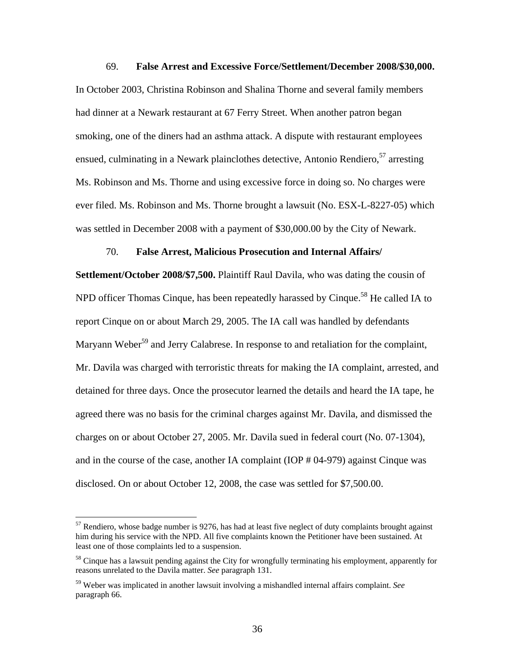#### 69. **False Arrest and Excessive Force/Settlement/December 2008/\$30,000.**

In October 2003, Christina Robinson and Shalina Thorne and several family members had dinner at a Newark restaurant at 67 Ferry Street. When another patron began smoking, one of the diners had an asthma attack. A dispute with restaurant employees ensued, culminating in a Newark plainclothes detective, Antonio Rendiero,  $57$  arresting Ms. Robinson and Ms. Thorne and using excessive force in doing so. No charges were ever filed. Ms. Robinson and Ms. Thorne brought a lawsuit (No. ESX-L-8227-05) which was settled in December 2008 with a payment of \$30,000.00 by the City of Newark.

### 70. **False Arrest, Malicious Prosecution and Internal Affairs/**

**Settlement/October 2008/\$7,500.** Plaintiff Raul Davila, who was dating the cousin of NPD officer Thomas Cinque, has been repeatedly harassed by Cinque.<sup>58</sup> He called IA to report Cinque on or about March 29, 2005. The IA call was handled by defendants Maryann Weber<sup>59</sup> and Jerry Calabrese. In response to and retaliation for the complaint, Mr. Davila was charged with terroristic threats for making the IA complaint, arrested, and detained for three days. Once the prosecutor learned the details and heard the IA tape, he agreed there was no basis for the criminal charges against Mr. Davila, and dismissed the charges on or about October 27, 2005. Mr. Davila sued in federal court (No. 07-1304), and in the course of the case, another IA complaint (IOP # 04-979) against Cinque was disclosed. On or about October 12, 2008, the case was settled for \$7,500.00.

 $57$  Rendiero, whose badge number is 9276, has had at least five neglect of duty complaints brought against him during his service with the NPD. All five complaints known the Petitioner have been sustained. At least one of those complaints led to a suspension.

<sup>&</sup>lt;sup>58</sup> Cinque has a lawsuit pending against the City for wrongfully terminating his employment, apparently for reasons unrelated to the Davila matter. *See* paragraph 131.

<sup>59</sup> Weber was implicated in another lawsuit involving a mishandled internal affairs complaint. *See* paragraph 66.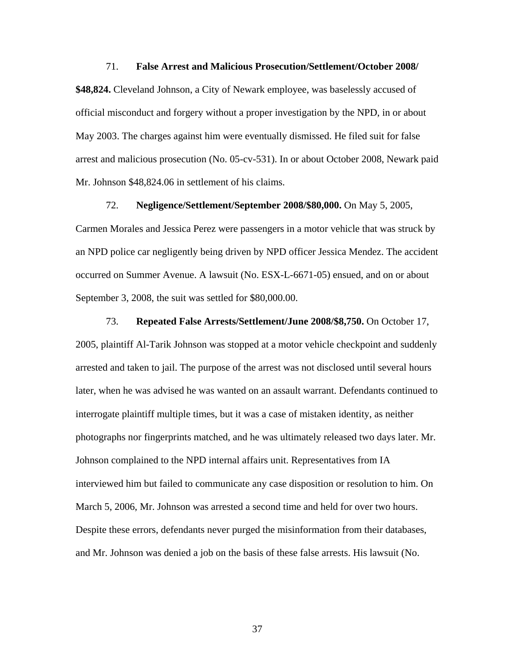#### 71. **False Arrest and Malicious Prosecution/Settlement/October 2008/**

**\$48,824.** Cleveland Johnson, a City of Newark employee, was baselessly accused of official misconduct and forgery without a proper investigation by the NPD, in or about May 2003. The charges against him were eventually dismissed. He filed suit for false arrest and malicious prosecution (No. 05-cv-531). In or about October 2008, Newark paid Mr. Johnson \$48,824.06 in settlement of his claims.

72. **Negligence/Settlement/September 2008/\$80,000.** On May 5, 2005, Carmen Morales and Jessica Perez were passengers in a motor vehicle that was struck by an NPD police car negligently being driven by NPD officer Jessica Mendez. The accident occurred on Summer Avenue. A lawsuit (No. ESX-L-6671-05) ensued, and on or about September 3, 2008, the suit was settled for \$80,000.00.

73. **Repeated False Arrests/Settlement/June 2008/\$8,750.** On October 17, 2005, plaintiff Al-Tarik Johnson was stopped at a motor vehicle checkpoint and suddenly arrested and taken to jail. The purpose of the arrest was not disclosed until several hours later, when he was advised he was wanted on an assault warrant. Defendants continued to interrogate plaintiff multiple times, but it was a case of mistaken identity, as neither photographs nor fingerprints matched, and he was ultimately released two days later. Mr. Johnson complained to the NPD internal affairs unit. Representatives from IA interviewed him but failed to communicate any case disposition or resolution to him. On March 5, 2006, Mr. Johnson was arrested a second time and held for over two hours. Despite these errors, defendants never purged the misinformation from their databases, and Mr. Johnson was denied a job on the basis of these false arrests. His lawsuit (No.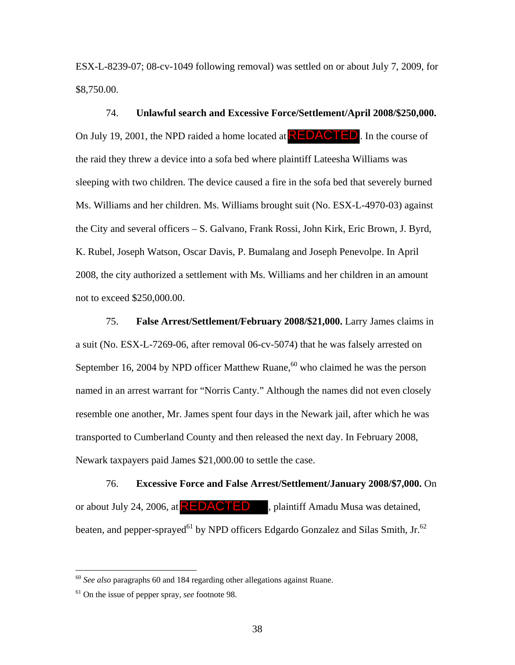ESX-L-8239-07; 08-cv-1049 following removal) was settled on or about July 7, 2009, for \$8,750.00.

74. **Unlawful search and Excessive Force/Settlement/April 2008/\$250,000.** On July 19, 2001, the NPD raided a home located at  $REDACTED$ . In the course of the raid they threw a device into a sofa bed where plaintiff Lateesha Williams was sleeping with two children. The device caused a fire in the sofa bed that severely burned Ms. Williams and her children. Ms. Williams brought suit (No. ESX-L-4970-03) against the City and several officers – S. Galvano, Frank Rossi, John Kirk, Eric Brown, J. Byrd, K. Rubel, Joseph Watson, Oscar Davis, P. Bumalang and Joseph Penevolpe. In April 2008, the city authorized a settlement with Ms. Williams and her children in an amount not to exceed \$250,000.00.

75. **False Arrest/Settlement/February 2008/\$21,000.** Larry James claims in a suit (No. ESX-L-7269-06, after removal 06-cv-5074) that he was falsely arrested on September 16, 2004 by NPD officer Matthew Ruane,  $60$  who claimed he was the person named in an arrest warrant for "Norris Canty." Although the names did not even closely resemble one another, Mr. James spent four days in the Newark jail, after which he was transported to Cumberland County and then released the next day. In February 2008, Newark taxpayers paid James \$21,000.00 to settle the case.

76. **Excessive Force and False Arrest/Settlement/January 2008/\$7,000.** On or about July 24, 2006, at **REDACTED**, plaintiff Amadu Musa was detained, beaten, and pepper-sprayed<sup>61</sup> by NPD officers Edgardo Gonzalez and Silas Smith, Jr.<sup>62</sup>

<sup>60</sup> *See also* paragraphs 60 and 184 regarding other allegations against Ruane.

<sup>61</sup> On the issue of pepper spray, *see* footnote 98.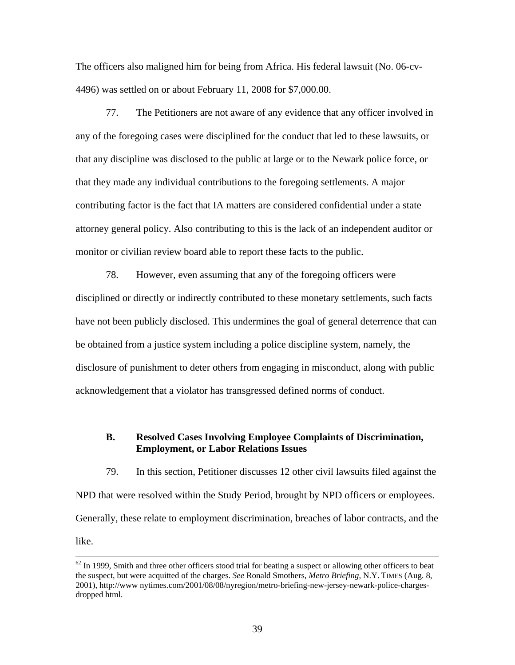The officers also maligned him for being from Africa. His federal lawsuit (No. 06-cv-4496) was settled on or about February 11, 2008 for \$7,000.00.

77. The Petitioners are not aware of any evidence that any officer involved in any of the foregoing cases were disciplined for the conduct that led to these lawsuits, or that any discipline was disclosed to the public at large or to the Newark police force, or that they made any individual contributions to the foregoing settlements. A major contributing factor is the fact that IA matters are considered confidential under a state attorney general policy. Also contributing to this is the lack of an independent auditor or monitor or civilian review board able to report these facts to the public.

78. However, even assuming that any of the foregoing officers were disciplined or directly or indirectly contributed to these monetary settlements, such facts have not been publicly disclosed. This undermines the goal of general deterrence that can be obtained from a justice system including a police discipline system, namely, the disclosure of punishment to deter others from engaging in misconduct, along with public acknowledgement that a violator has transgressed defined norms of conduct.

## **B. Resolved Cases Involving Employee Complaints of Discrimination, Employment, or Labor Relations Issues**

79. In this section, Petitioner discusses 12 other civil lawsuits filed against the NPD that were resolved within the Study Period, brought by NPD officers or employees. Generally, these relate to employment discrimination, breaches of labor contracts, and the like.

 $62$  In 1999, Smith and three other officers stood trial for beating a suspect or allowing other officers to beat the suspect, but were acquitted of the charges. *See* Ronald Smothers, *Metro Briefing*, N.Y. TIMES (Aug. 8, 2001), http://www nytimes.com/2001/08/08/nyregion/metro-briefing-new-jersey-newark-police-chargesdropped html.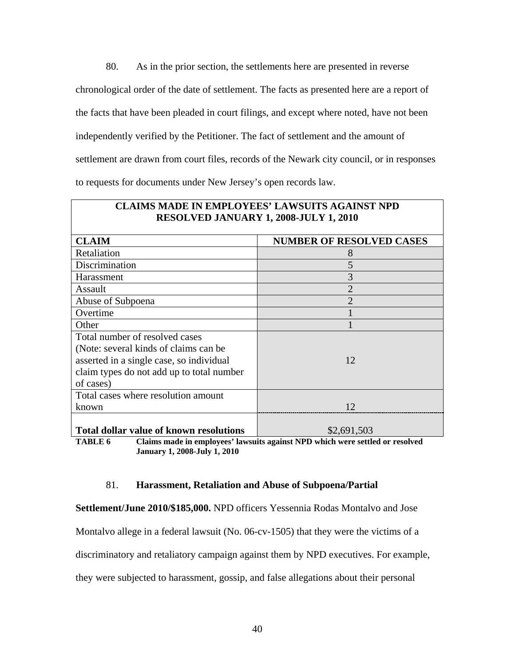80. As in the prior section, the settlements here are presented in reverse chronological order of the date of settlement. The facts as presented here are a report of the facts that have been pleaded in court filings, and except where noted, have not been independently verified by the Petitioner. The fact of settlement and the amount of settlement are drawn from court files, records of the Newark city council, or in responses to requests for documents under New Jersey's open records law.

| <b>CLAIMS MADE IN EMPLOYEES' LAWSUITS AGAINST NPD</b><br><b>RESOLVED JANUARY 1, 2008-JULY 1, 2010</b> |                                 |
|-------------------------------------------------------------------------------------------------------|---------------------------------|
| <b>CLAIM</b>                                                                                          | <b>NUMBER OF RESOLVED CASES</b> |
| Retaliation                                                                                           | 8                               |
| Discrimination                                                                                        | 5                               |
| Harassment                                                                                            | 3                               |
| Assault                                                                                               | $\overline{2}$                  |
| Abuse of Subpoena                                                                                     | $\overline{2}$                  |
| Overtime                                                                                              |                                 |
| Other                                                                                                 |                                 |
| Total number of resolved cases                                                                        |                                 |
| (Note: several kinds of claims can be)                                                                |                                 |
| asserted in a single case, so individual                                                              | 12                              |
| claim types do not add up to total number                                                             |                                 |
| of cases)                                                                                             |                                 |
| Total cases where resolution amount                                                                   |                                 |
| known                                                                                                 | 12                              |
| <b>Total dollar value of known resolutions</b>                                                        | \$2,691,503                     |

**TABLE 6 Claims made in employees' lawsuits against NPD which were settled or resolved January 1, 2008-July 1, 2010** 

### 81. **Harassment, Retaliation and Abuse of Subpoena/Partial**

**Settlement/June 2010/\$185,000.** NPD officers Yessennia Rodas Montalvo and Jose

Montalvo allege in a federal lawsuit (No. 06-cv-1505) that they were the victims of a

discriminatory and retaliatory campaign against them by NPD executives. For example,

they were subjected to harassment, gossip, and false allegations about their personal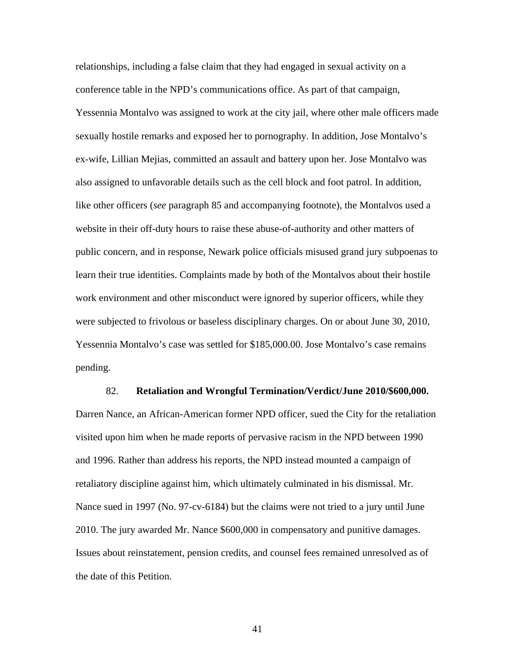relationships, including a false claim that they had engaged in sexual activity on a conference table in the NPD's communications office. As part of that campaign, Yessennia Montalvo was assigned to work at the city jail, where other male officers made sexually hostile remarks and exposed her to pornography. In addition, Jose Montalvo's ex-wife, Lillian Mejias, committed an assault and battery upon her. Jose Montalvo was also assigned to unfavorable details such as the cell block and foot patrol. In addition, like other officers (*see* paragraph 85 and accompanying footnote), the Montalvos used a website in their off-duty hours to raise these abuse-of-authority and other matters of public concern, and in response, Newark police officials misused grand jury subpoenas to learn their true identities. Complaints made by both of the Montalvos about their hostile work environment and other misconduct were ignored by superior officers, while they were subjected to frivolous or baseless disciplinary charges. On or about June 30, 2010, Yessennia Montalvo's case was settled for \$185,000.00. Jose Montalvo's case remains pending.

#### 82. **Retaliation and Wrongful Termination/Verdict/June 2010/\$600,000.**

Darren Nance, an African-American former NPD officer, sued the City for the retaliation visited upon him when he made reports of pervasive racism in the NPD between 1990 and 1996. Rather than address his reports, the NPD instead mounted a campaign of retaliatory discipline against him, which ultimately culminated in his dismissal. Mr. Nance sued in 1997 (No. 97-cv-6184) but the claims were not tried to a jury until June 2010. The jury awarded Mr. Nance \$600,000 in compensatory and punitive damages. Issues about reinstatement, pension credits, and counsel fees remained unresolved as of the date of this Petition.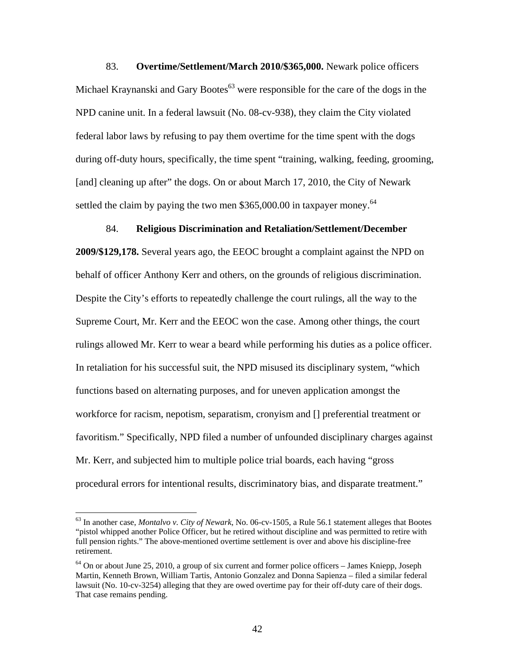83. **Overtime/Settlement/March 2010/\$365,000.** Newark police officers Michael Kraynanski and Gary Bootes $^{63}$  were responsible for the care of the dogs in the NPD canine unit. In a federal lawsuit (No. 08-cv-938), they claim the City violated federal labor laws by refusing to pay them overtime for the time spent with the dogs during off-duty hours, specifically, the time spent "training, walking, feeding, grooming, [and] cleaning up after" the dogs. On or about March 17, 2010, the City of Newark settled the claim by paying the two men \$365,000.00 in taxpayer money.<sup>64</sup>

### 84. **Religious Discrimination and Retaliation/Settlement/December**

**2009/\$129,178.** Several years ago, the EEOC brought a complaint against the NPD on behalf of officer Anthony Kerr and others, on the grounds of religious discrimination. Despite the City's efforts to repeatedly challenge the court rulings, all the way to the Supreme Court, Mr. Kerr and the EEOC won the case. Among other things, the court rulings allowed Mr. Kerr to wear a beard while performing his duties as a police officer. In retaliation for his successful suit, the NPD misused its disciplinary system, "which functions based on alternating purposes, and for uneven application amongst the workforce for racism, nepotism, separatism, cronyism and [] preferential treatment or favoritism." Specifically, NPD filed a number of unfounded disciplinary charges against Mr. Kerr, and subjected him to multiple police trial boards, each having "gross procedural errors for intentional results, discriminatory bias, and disparate treatment."

<sup>63</sup> In another case, *Montalvo v. City of Newark*, No. 06-cv-1505, a Rule 56.1 statement alleges that Bootes "pistol whipped another Police Officer, but he retired without discipline and was permitted to retire with full pension rights." The above-mentioned overtime settlement is over and above his discipline-free retirement.

 $64$  On or about June 25, 2010, a group of six current and former police officers – James Kniepp, Joseph Martin, Kenneth Brown, William Tartis, Antonio Gonzalez and Donna Sapienza – filed a similar federal lawsuit (No. 10-cv-3254) alleging that they are owed overtime pay for their off-duty care of their dogs. That case remains pending.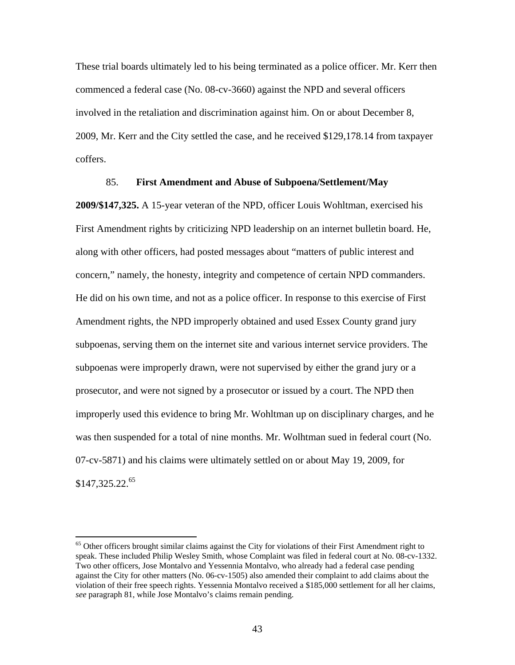These trial boards ultimately led to his being terminated as a police officer. Mr. Kerr then commenced a federal case (No. 08-cv-3660) against the NPD and several officers involved in the retaliation and discrimination against him. On or about December 8, 2009, Mr. Kerr and the City settled the case, and he received \$129,178.14 from taxpayer coffers.

### 85. **First Amendment and Abuse of Subpoena/Settlement/May**

**2009/\$147,325.** A 15-year veteran of the NPD, officer Louis Wohltman, exercised his First Amendment rights by criticizing NPD leadership on an internet bulletin board. He, along with other officers, had posted messages about "matters of public interest and concern," namely, the honesty, integrity and competence of certain NPD commanders. He did on his own time, and not as a police officer. In response to this exercise of First Amendment rights, the NPD improperly obtained and used Essex County grand jury subpoenas, serving them on the internet site and various internet service providers. The subpoenas were improperly drawn, were not supervised by either the grand jury or a prosecutor, and were not signed by a prosecutor or issued by a court. The NPD then improperly used this evidence to bring Mr. Wohltman up on disciplinary charges, and he was then suspended for a total of nine months. Mr. Wolhtman sued in federal court (No. 07-cv-5871) and his claims were ultimately settled on or about May 19, 2009, for \$147,325,22.<sup>65</sup>

<sup>&</sup>lt;sup>65</sup> Other officers brought similar claims against the City for violations of their First Amendment right to speak. These included Philip Wesley Smith, whose Complaint was filed in federal court at No. 08-cv-1332. Two other officers, Jose Montalvo and Yessennia Montalvo, who already had a federal case pending against the City for other matters (No. 06-cv-1505) also amended their complaint to add claims about the violation of their free speech rights. Yessennia Montalvo received a \$185,000 settlement for all her claims, *see* paragraph 81, while Jose Montalvo's claims remain pending.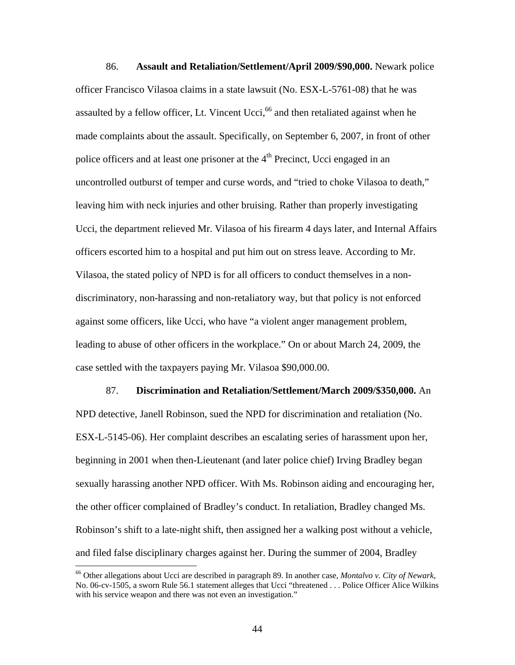86. **Assault and Retaliation/Settlement/April 2009/\$90,000.** Newark police officer Francisco Vilasoa claims in a state lawsuit (No. ESX-L-5761-08) that he was assaulted by a fellow officer, Lt. Vincent Ucci,  $66$  and then retaliated against when he made complaints about the assault. Specifically, on September 6, 2007, in front of other police officers and at least one prisoner at the  $4<sup>th</sup>$  Precinct, Ucci engaged in an uncontrolled outburst of temper and curse words, and "tried to choke Vilasoa to death," leaving him with neck injuries and other bruising. Rather than properly investigating Ucci, the department relieved Mr. Vilasoa of his firearm 4 days later, and Internal Affairs officers escorted him to a hospital and put him out on stress leave. According to Mr. Vilasoa, the stated policy of NPD is for all officers to conduct themselves in a nondiscriminatory, non-harassing and non-retaliatory way, but that policy is not enforced against some officers, like Ucci, who have "a violent anger management problem, leading to abuse of other officers in the workplace." On or about March 24, 2009, the case settled with the taxpayers paying Mr. Vilasoa \$90,000.00.

87. **Discrimination and Retaliation/Settlement/March 2009/\$350,000.** An NPD detective, Janell Robinson, sued the NPD for discrimination and retaliation (No. ESX-L-5145-06). Her complaint describes an escalating series of harassment upon her, beginning in 2001 when then-Lieutenant (and later police chief) Irving Bradley began sexually harassing another NPD officer. With Ms. Robinson aiding and encouraging her, the other officer complained of Bradley's conduct. In retaliation, Bradley changed Ms. Robinson's shift to a late-night shift, then assigned her a walking post without a vehicle, and filed false disciplinary charges against her. During the summer of 2004, Bradley

<sup>66</sup> Other allegations about Ucci are described in paragraph 89. In another case, *Montalvo v. City of Newark*, No. 06-cv-1505, a sworn Rule 56.1 statement alleges that Ucci "threatened . . . Police Officer Alice Wilkins with his service weapon and there was not even an investigation."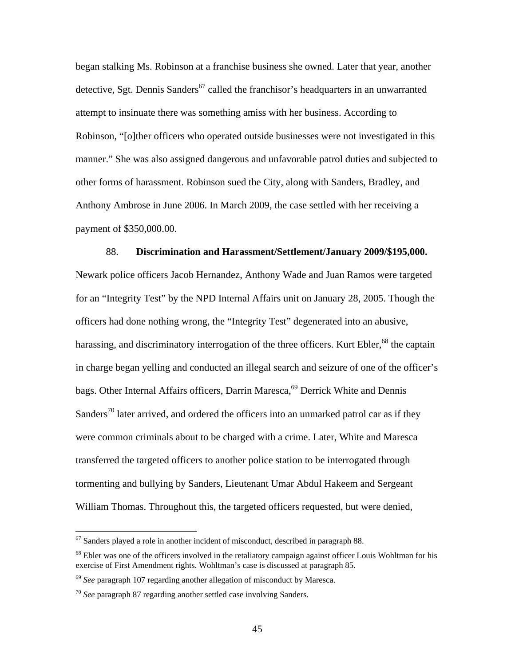began stalking Ms. Robinson at a franchise business she owned. Later that year, another detective, Sgt. Dennis Sanders<sup>67</sup> called the franchisor's headquarters in an unwarranted attempt to insinuate there was something amiss with her business. According to Robinson, "[o]ther officers who operated outside businesses were not investigated in this manner." She was also assigned dangerous and unfavorable patrol duties and subjected to other forms of harassment. Robinson sued the City, along with Sanders, Bradley, and Anthony Ambrose in June 2006. In March 2009, the case settled with her receiving a payment of \$350,000.00.

88. **Discrimination and Harassment/Settlement/January 2009/\$195,000.** Newark police officers Jacob Hernandez, Anthony Wade and Juan Ramos were targeted for an "Integrity Test" by the NPD Internal Affairs unit on January 28, 2005. Though the officers had done nothing wrong, the "Integrity Test" degenerated into an abusive, harassing, and discriminatory interrogation of the three officers. Kurt Ebler, $^{68}$  the captain in charge began yelling and conducted an illegal search and seizure of one of the officer's bags. Other Internal Affairs officers, Darrin Maresca,<sup>69</sup> Derrick White and Dennis Sanders<sup>70</sup> later arrived, and ordered the officers into an unmarked patrol car as if they were common criminals about to be charged with a crime. Later, White and Maresca transferred the targeted officers to another police station to be interrogated through tormenting and bullying by Sanders, Lieutenant Umar Abdul Hakeem and Sergeant William Thomas. Throughout this, the targeted officers requested, but were denied,

 $67$  Sanders played a role in another incident of misconduct, described in paragraph 88.

<sup>&</sup>lt;sup>68</sup> Ebler was one of the officers involved in the retaliatory campaign against officer Louis Wohltman for his exercise of First Amendment rights. Wohltman's case is discussed at paragraph 85.

<sup>69</sup> *See* paragraph 107 regarding another allegation of misconduct by Maresca.

<sup>70</sup> *See* paragraph 87 regarding another settled case involving Sanders.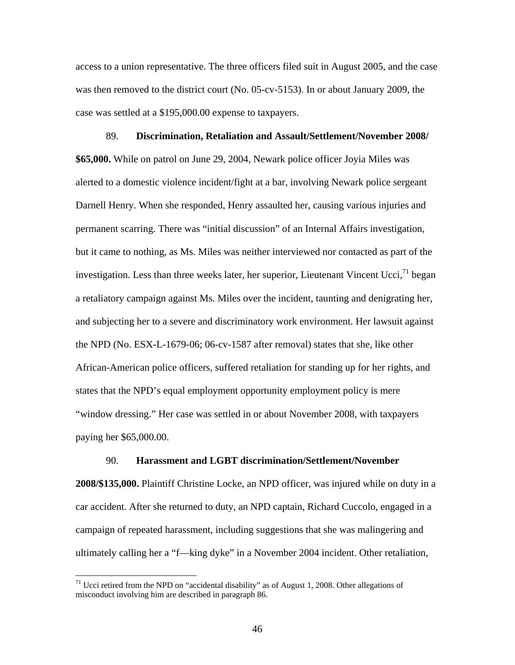access to a union representative. The three officers filed suit in August 2005, and the case was then removed to the district court (No. 05-cv-5153). In or about January 2009, the case was settled at a \$195,000.00 expense to taxpayers.

89. **Discrimination, Retaliation and Assault/Settlement/November 2008/ \$65,000.** While on patrol on June 29, 2004, Newark police officer Joyia Miles was alerted to a domestic violence incident/fight at a bar, involving Newark police sergeant Darnell Henry. When she responded, Henry assaulted her, causing various injuries and permanent scarring. There was "initial discussion" of an Internal Affairs investigation, but it came to nothing, as Ms. Miles was neither interviewed nor contacted as part of the investigation. Less than three weeks later, her superior, Lieutenant Vincent Ucci,  $1^1$  began a retaliatory campaign against Ms. Miles over the incident, taunting and denigrating her, and subjecting her to a severe and discriminatory work environment. Her lawsuit against the NPD (No. ESX-L-1679-06; 06-cv-1587 after removal) states that she, like other African-American police officers, suffered retaliation for standing up for her rights, and states that the NPD's equal employment opportunity employment policy is mere "window dressing." Her case was settled in or about November 2008, with taxpayers paying her \$65,000.00.

#### 90. **Harassment and LGBT discrimination/Settlement/November**

**2008/\$135,000.** Plaintiff Christine Locke, an NPD officer, was injured while on duty in a car accident. After she returned to duty, an NPD captain, Richard Cuccolo, engaged in a campaign of repeated harassment, including suggestions that she was malingering and ultimately calling her a "f—king dyke" in a November 2004 incident. Other retaliation,

 $71$  Ucci retired from the NPD on "accidental disability" as of August 1, 2008. Other allegations of misconduct involving him are described in paragraph 86.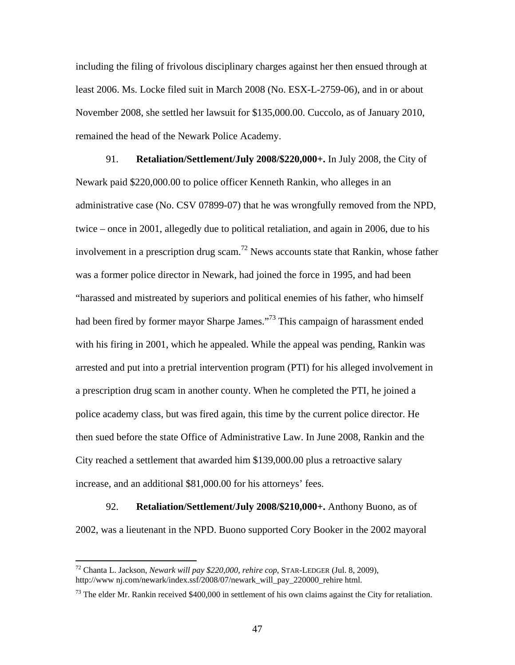including the filing of frivolous disciplinary charges against her then ensued through at least 2006. Ms. Locke filed suit in March 2008 (No. ESX-L-2759-06), and in or about November 2008, she settled her lawsuit for \$135,000.00. Cuccolo, as of January 2010, remained the head of the Newark Police Academy.

91. **Retaliation/Settlement/July 2008/\$220,000+.** In July 2008, the City of Newark paid \$220,000.00 to police officer Kenneth Rankin, who alleges in an administrative case (No. CSV 07899-07) that he was wrongfully removed from the NPD, twice – once in 2001, allegedly due to political retaliation, and again in 2006, due to his involvement in a prescription drug scam.<sup>72</sup> News accounts state that Rankin, whose father was a former police director in Newark, had joined the force in 1995, and had been "harassed and mistreated by superiors and political enemies of his father, who himself had been fired by former mayor Sharpe James."<sup>73</sup> This campaign of harassment ended with his firing in 2001, which he appealed. While the appeal was pending, Rankin was arrested and put into a pretrial intervention program (PTI) for his alleged involvement in a prescription drug scam in another county. When he completed the PTI, he joined a police academy class, but was fired again, this time by the current police director. He then sued before the state Office of Administrative Law. In June 2008, Rankin and the City reached a settlement that awarded him \$139,000.00 plus a retroactive salary increase, and an additional \$81,000.00 for his attorneys' fees.

92. **Retaliation/Settlement/July 2008/\$210,000+.** Anthony Buono, as of 2002, was a lieutenant in the NPD. Buono supported Cory Booker in the 2002 mayoral

<sup>72</sup> Chanta L. Jackson, *Newark will pay \$220,000, rehire cop*, STAR-LEDGER (Jul. 8, 2009), http://www nj.com/newark/index.ssf/2008/07/newark\_will\_pay\_220000\_rehire html.

 $^{73}$  The elder Mr. Rankin received \$400,000 in settlement of his own claims against the City for retaliation.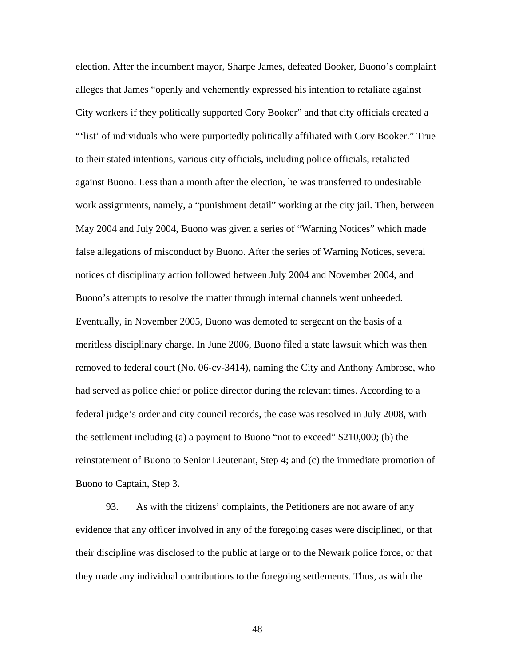election. After the incumbent mayor, Sharpe James, defeated Booker, Buono's complaint alleges that James "openly and vehemently expressed his intention to retaliate against City workers if they politically supported Cory Booker" and that city officials created a "'list' of individuals who were purportedly politically affiliated with Cory Booker." True to their stated intentions, various city officials, including police officials, retaliated against Buono. Less than a month after the election, he was transferred to undesirable work assignments, namely, a "punishment detail" working at the city jail. Then, between May 2004 and July 2004, Buono was given a series of "Warning Notices" which made false allegations of misconduct by Buono. After the series of Warning Notices, several notices of disciplinary action followed between July 2004 and November 2004, and Buono's attempts to resolve the matter through internal channels went unheeded. Eventually, in November 2005, Buono was demoted to sergeant on the basis of a meritless disciplinary charge. In June 2006, Buono filed a state lawsuit which was then removed to federal court (No. 06-cv-3414), naming the City and Anthony Ambrose, who had served as police chief or police director during the relevant times. According to a federal judge's order and city council records, the case was resolved in July 2008, with the settlement including (a) a payment to Buono "not to exceed" \$210,000; (b) the reinstatement of Buono to Senior Lieutenant, Step 4; and (c) the immediate promotion of Buono to Captain, Step 3.

93. As with the citizens' complaints, the Petitioners are not aware of any evidence that any officer involved in any of the foregoing cases were disciplined, or that their discipline was disclosed to the public at large or to the Newark police force, or that they made any individual contributions to the foregoing settlements. Thus, as with the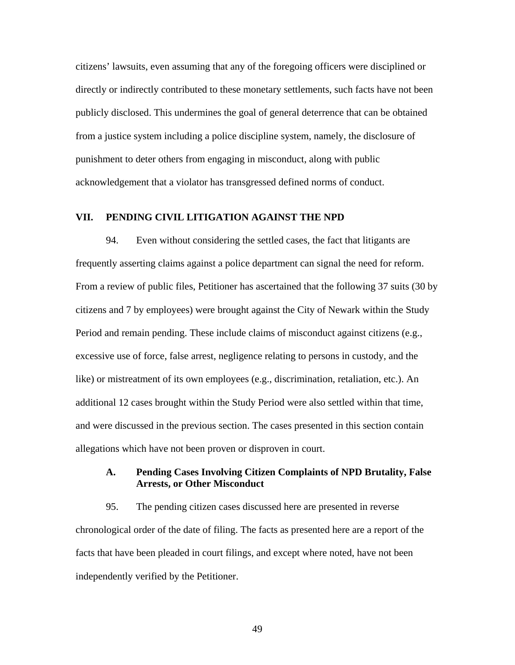citizens' lawsuits, even assuming that any of the foregoing officers were disciplined or directly or indirectly contributed to these monetary settlements, such facts have not been publicly disclosed. This undermines the goal of general deterrence that can be obtained from a justice system including a police discipline system, namely, the disclosure of punishment to deter others from engaging in misconduct, along with public acknowledgement that a violator has transgressed defined norms of conduct.

## **VII. PENDING CIVIL LITIGATION AGAINST THE NPD**

94. Even without considering the settled cases, the fact that litigants are frequently asserting claims against a police department can signal the need for reform. From a review of public files, Petitioner has ascertained that the following 37 suits (30 by citizens and 7 by employees) were brought against the City of Newark within the Study Period and remain pending. These include claims of misconduct against citizens (e.g., excessive use of force, false arrest, negligence relating to persons in custody, and the like) or mistreatment of its own employees (e.g., discrimination, retaliation, etc.). An additional 12 cases brought within the Study Period were also settled within that time, and were discussed in the previous section. The cases presented in this section contain allegations which have not been proven or disproven in court.

## **A. Pending Cases Involving Citizen Complaints of NPD Brutality, False Arrests, or Other Misconduct**

95. The pending citizen cases discussed here are presented in reverse chronological order of the date of filing. The facts as presented here are a report of the facts that have been pleaded in court filings, and except where noted, have not been independently verified by the Petitioner.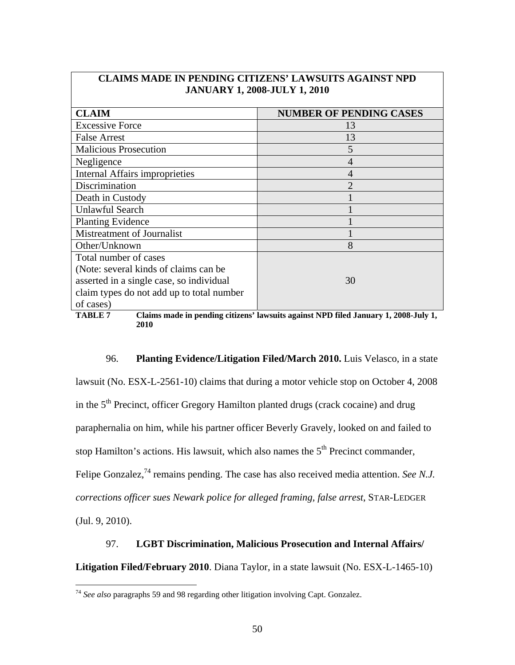| <b>CLAIM</b>                              | <b>NUMBER OF PENDING CASES</b> |
|-------------------------------------------|--------------------------------|
| <b>Excessive Force</b>                    | 13                             |
| <b>False Arrest</b>                       | 13                             |
| <b>Malicious Prosecution</b>              | 5                              |
| Negligence                                | 4                              |
| Internal Affairs improprieties            | 4                              |
| Discrimination                            | $\mathcal{D}_{\mathcal{L}}$    |
| Death in Custody                          |                                |
| Unlawful Search                           |                                |
| <b>Planting Evidence</b>                  |                                |
| Mistreatment of Journalist                |                                |
| Other/Unknown                             | 8                              |
| Total number of cases                     |                                |
| (Note: several kinds of claims can be)    |                                |
| asserted in a single case, so individual  | 30                             |
| claim types do not add up to total number |                                |
| of cases)                                 |                                |

## **CLAIMS MADE IN PENDING CITIZENS' LAWSUITS AGAINST NPD JANUARY 1, 2008-JULY 1, 2010**



96. **Planting Evidence/Litigation Filed/March 2010.** Luis Velasco, in a state lawsuit (No. ESX-L-2561-10) claims that during a motor vehicle stop on October 4, 2008 in the 5th Precinct, officer Gregory Hamilton planted drugs (crack cocaine) and drug paraphernalia on him, while his partner officer Beverly Gravely, looked on and failed to stop Hamilton's actions. His lawsuit, which also names the  $5<sup>th</sup>$  Precinct commander, Felipe Gonzalez,<sup>74</sup> remains pending. The case has also received media attention. *See N.J. corrections officer sues Newark police for alleged framing, false arrest*, STAR-LEDGER (Jul. 9, 2010).

# 97. **LGBT Discrimination, Malicious Prosecution and Internal Affairs/**

**Litigation Filed/February 2010**. Diana Taylor, in a state lawsuit (No. ESX-L-1465-10)

<u>.</u>

<sup>74</sup> *See also* paragraphs 59 and 98 regarding other litigation involving Capt. Gonzalez.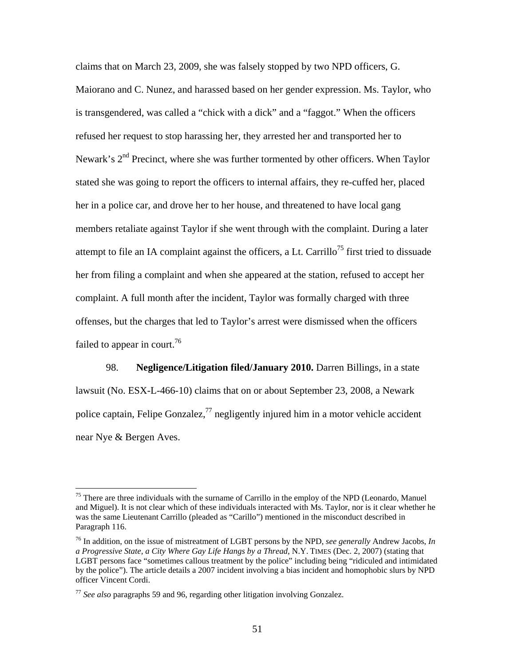claims that on March 23, 2009, she was falsely stopped by two NPD officers, G. Maiorano and C. Nunez, and harassed based on her gender expression. Ms. Taylor, who is transgendered, was called a "chick with a dick" and a "faggot." When the officers refused her request to stop harassing her, they arrested her and transported her to Newark's  $2<sup>nd</sup>$  Precinct, where she was further tormented by other officers. When Taylor stated she was going to report the officers to internal affairs, they re-cuffed her, placed her in a police car, and drove her to her house, and threatened to have local gang members retaliate against Taylor if she went through with the complaint. During a later attempt to file an IA complaint against the officers, a Lt. Carrillo<sup>75</sup> first tried to dissuade her from filing a complaint and when she appeared at the station, refused to accept her complaint. A full month after the incident, Taylor was formally charged with three offenses, but the charges that led to Taylor's arrest were dismissed when the officers failed to appear in court.<sup>76</sup>

98. **Negligence/Litigation filed/January 2010.** Darren Billings, in a state lawsuit (No. ESX-L-466-10) claims that on or about September 23, 2008, a Newark police captain, Felipe Gonzalez, $^{77}$  negligently injured him in a motor vehicle accident near Nye & Bergen Aves.

<sup>&</sup>lt;sup>75</sup> There are three individuals with the surname of Carrillo in the employ of the NPD (Leonardo, Manuel and Miguel). It is not clear which of these individuals interacted with Ms. Taylor, nor is it clear whether he was the same Lieutenant Carrillo (pleaded as "Carillo") mentioned in the misconduct described in Paragraph 116.

<sup>76</sup> In addition, on the issue of mistreatment of LGBT persons by the NPD, *see generally* Andrew Jacobs, *In a Progressive State, a City Where Gay Life Hangs by a Thread*, N.Y. TIMES (Dec. 2, 2007) (stating that LGBT persons face "sometimes callous treatment by the police" including being "ridiculed and intimidated by the police"). The article details a 2007 incident involving a bias incident and homophobic slurs by NPD officer Vincent Cordi.

<sup>77</sup> *See also* paragraphs 59 and 96, regarding other litigation involving Gonzalez.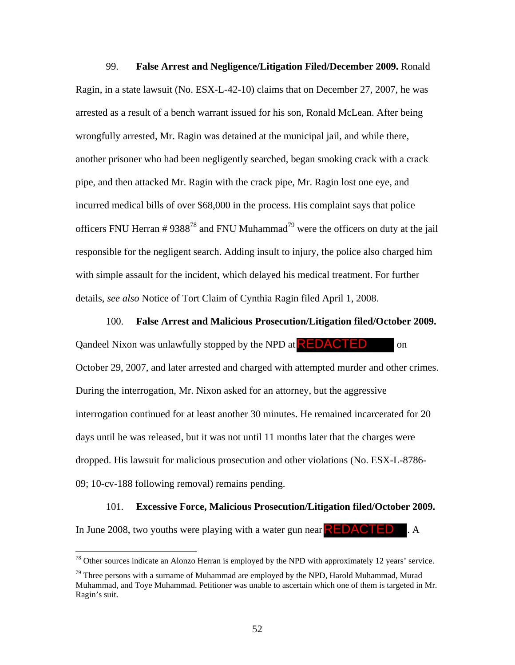99. **False Arrest and Negligence/Litigation Filed/December 2009.** Ronald Ragin, in a state lawsuit (No. ESX-L-42-10) claims that on December 27, 2007, he was arrested as a result of a bench warrant issued for his son, Ronald McLean. After being wrongfully arrested, Mr. Ragin was detained at the municipal jail, and while there, another prisoner who had been negligently searched, began smoking crack with a crack pipe, and then attacked Mr. Ragin with the crack pipe, Mr. Ragin lost one eye, and incurred medical bills of over \$68,000 in the process. His complaint says that police officers FNU Herran #  $9388^{78}$  and FNU Muhammad<sup>79</sup> were the officers on duty at the jail responsible for the negligent search. Adding insult to injury, the police also charged him with simple assault for the incident, which delayed his medical treatment. For further details, *see also* Notice of Tort Claim of Cynthia Ragin filed April 1, 2008.

#### 100. **False Arrest and Malicious Prosecution/Litigation filed/October 2009.**

Qandeel Nixon was unlawfully stopped by the NPD at **REDACTED** on October 29, 2007, and later arrested and charged with attempted murder and other crimes. During the interrogation, Mr. Nixon asked for an attorney, but the aggressive interrogation continued for at least another 30 minutes. He remained incarcerated for 20 days until he was released, but it was not until 11 months later that the charges were dropped. His lawsuit for malicious prosecution and other violations (No. ESX-L-8786- 09; 10-cv-188 following removal) remains pending.

#### 101. **Excessive Force, Malicious Prosecution/Litigation filed/October 2009.**

In June 2008, two youths were playing with a water gun near  $\sf{REDACTED}$  . A

<u>.</u>

 $78$  Other sources indicate an Alonzo Herran is employed by the NPD with approximately 12 years' service.

 $79$  Three persons with a surname of Muhammad are employed by the NPD, Harold Muhammad, Murad Muhammad, and Toye Muhammad. Petitioner was unable to ascertain which one of them is targeted in Mr. Ragin's suit.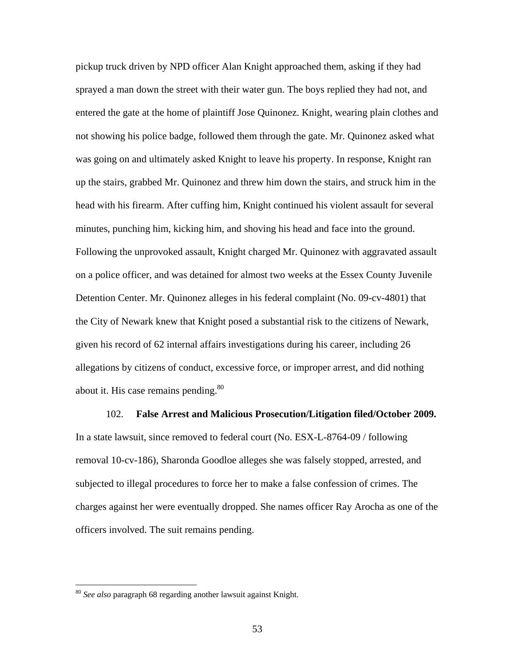pickup truck driven by NPD officer Alan Knight approached them, asking if they had sprayed a man down the street with their water gun. The boys replied they had not, and entered the gate at the home of plaintiff Jose Quinonez. Knight, wearing plain clothes and not showing his police badge, followed them through the gate. Mr. Quinonez asked what was going on and ultimately asked Knight to leave his property. In response, Knight ran up the stairs, grabbed Mr. Quinonez and threw him down the stairs, and struck him in the head with his firearm. After cuffing him, Knight continued his violent assault for several minutes, punching him, kicking him, and shoving his head and face into the ground. Following the unprovoked assault, Knight charged Mr. Quinonez with aggravated assault on a police officer, and was detained for almost two weeks at the Essex County Juvenile Detention Center. Mr. Quinonez alleges in his federal complaint (No. 09-cv-4801) that the City of Newark knew that Knight posed a substantial risk to the citizens of Newark, given his record of 62 internal affairs investigations during his career, including 26 allegations by citizens of conduct, excessive force, or improper arrest, and did nothing about it. His case remains pending.<sup>80</sup>

102. **False Arrest and Malicious Prosecution/Litigation filed/October 2009.**  In a state lawsuit, since removed to federal court (No. ESX-L-8764-09 / following removal 10-cv-186), Sharonda Goodloe alleges she was falsely stopped, arrested, and subjected to illegal procedures to force her to make a false confession of crimes. The charges against her were eventually dropped. She names officer Ray Arocha as one of the officers involved. The suit remains pending.

<sup>80</sup> *See also* paragraph 68 regarding another lawsuit against Knight.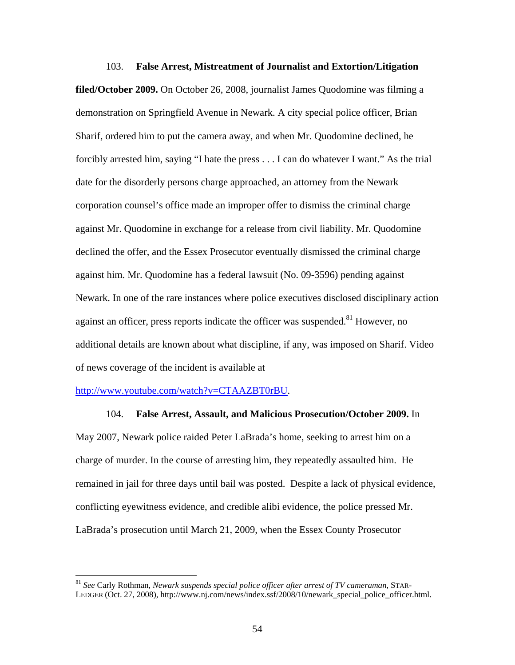103. **False Arrest, Mistreatment of Journalist and Extortion/Litigation filed/October 2009.** On October 26, 2008, journalist James Quodomine was filming a demonstration on Springfield Avenue in Newark. A city special police officer, Brian Sharif, ordered him to put the camera away, and when Mr. Quodomine declined, he forcibly arrested him, saying "I hate the press . . . I can do whatever I want." As the trial date for the disorderly persons charge approached, an attorney from the Newark corporation counsel's office made an improper offer to dismiss the criminal charge against Mr. Quodomine in exchange for a release from civil liability. Mr. Quodomine declined the offer, and the Essex Prosecutor eventually dismissed the criminal charge against him. Mr. Quodomine has a federal lawsuit (No. 09-3596) pending against Newark. In one of the rare instances where police executives disclosed disciplinary action against an officer, press reports indicate the officer was suspended.<sup>81</sup> However, no additional details are known about what discipline, if any, was imposed on Sharif. Video of news coverage of the incident is available at

#### http://www.youtube.com/watch?v=CTAAZBT0rBU.

1

104. **False Arrest, Assault, and Malicious Prosecution/October 2009.** In May 2007, Newark police raided Peter LaBrada's home, seeking to arrest him on a charge of murder. In the course of arresting him, they repeatedly assaulted him. He remained in jail for three days until bail was posted. Despite a lack of physical evidence, conflicting eyewitness evidence, and credible alibi evidence, the police pressed Mr. LaBrada's prosecution until March 21, 2009, when the Essex County Prosecutor

<sup>81</sup> *See* Carly Rothman, *Newark suspends special police officer after arrest of TV cameraman*, STAR-LEDGER (Oct. 27, 2008), http://www.nj.com/news/index.ssf/2008/10/newark\_special\_police\_officer.html.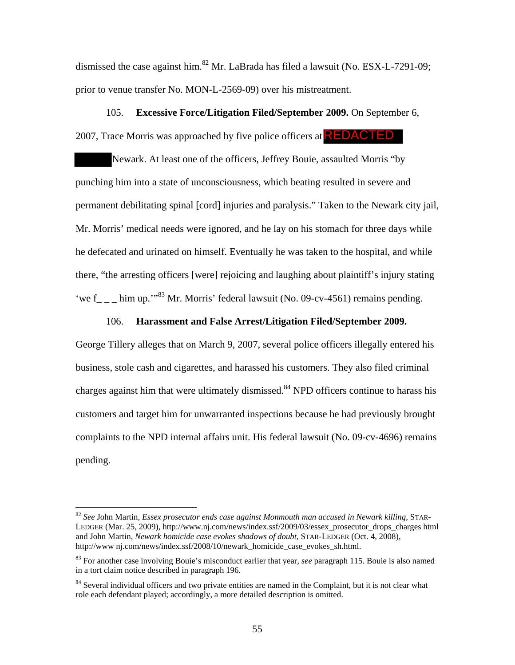dismissed the case against him.<sup>82</sup> Mr. LaBrada has filed a lawsuit (No. ESX-L-7291-09; prior to venue transfer No. MON-L-2569-09) over his mistreatment.

105. **Excessive Force/Litigation Filed/September 2009.** On September 6, 2007, Trace Morris was approached by five police officers at **REDACTED** 

Newark. At least one of the officers, Jeffrey Bouie, assaulted Morris "by punching him into a state of unconsciousness, which beating resulted in severe and permanent debilitating spinal [cord] injuries and paralysis." Taken to the Newark city jail, Mr. Morris' medical needs were ignored, and he lay on his stomach for three days while he defecated and urinated on himself. Eventually he was taken to the hospital, and while there, "the arresting officers [were] rejoicing and laughing about plaintiff's injury stating 'we f<sub>\_\_\_</sub> him up.''<sup>83</sup> Mr. Morris' federal lawsuit (No. 09-cv-4561) remains pending.

#### 106. **Harassment and False Arrest/Litigation Filed/September 2009.**

George Tillery alleges that on March 9, 2007, several police officers illegally entered his business, stole cash and cigarettes, and harassed his customers. They also filed criminal charges against him that were ultimately dismissed.<sup>84</sup> NPD officers continue to harass his customers and target him for unwarranted inspections because he had previously brought complaints to the NPD internal affairs unit. His federal lawsuit (No. 09-cv-4696) remains pending.

<sup>82</sup> *See* John Martin, *Essex prosecutor ends case against Monmouth man accused in Newark killing*, STAR-LEDGER (Mar. 25, 2009), http://www.nj.com/news/index.ssf/2009/03/essex\_prosecutor\_drops\_charges html and John Martin, *Newark homicide case evokes shadows of doubt*, STAR-LEDGER (Oct. 4, 2008), http://www nj.com/news/index.ssf/2008/10/newark\_homicide\_case\_evokes\_sh.html.

<sup>83</sup> For another case involving Bouie's misconduct earlier that year, *see* paragraph 115. Bouie is also named in a tort claim notice described in paragraph 196.

<sup>&</sup>lt;sup>84</sup> Several individual officers and two private entities are named in the Complaint, but it is not clear what role each defendant played; accordingly, a more detailed description is omitted.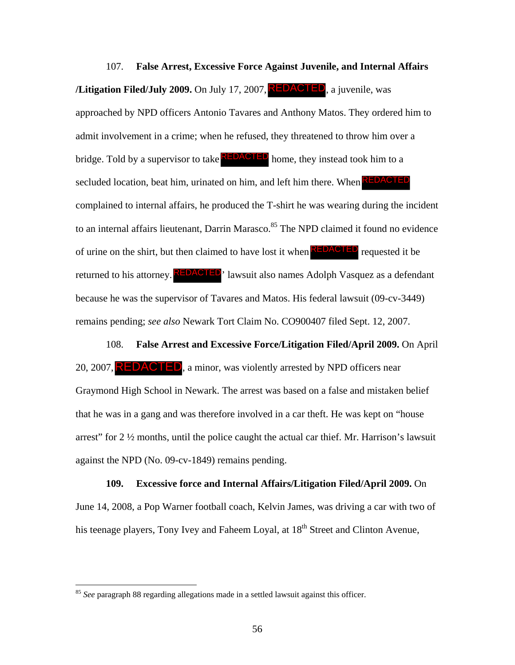107. **False Arrest, Excessive Force Against Juvenile, and Internal Affairs /Litigation Filed/July 2009.** On July 17, 2007, **REDACTED**, a juvenile, was approached by NPD officers Antonio Tavares and Anthony Matos. They ordered him to admit involvement in a crime; when he refused, they threatened to throw him over a bridge. Told by a supervisor to take **REDACTED** home, they instead took him to a secluded location, beat him, urinated on him, and left him there. When **REDACTED** complained to internal affairs, he produced the T-shirt he was wearing during the incident to an internal affairs lieutenant, Darrin Marasco.<sup>85</sup> The NPD claimed it found no evidence of urine on the shirt, but then claimed to have lost it when **REDACTED** requested it be returned to his attorney. **REDACTED**, lawsuit also names Adolph Vasquez as a defendant because he was the supervisor of Tavares and Matos. His federal lawsuit (09-cv-3449) remains pending; *see also* Newark Tort Claim No. CO900407 filed Sept. 12, 2007. **n Filed/July 2009.** On July 17, 2007, **REDACTED**, a juvenile, was<br>ed by NPD officers Antonio Tavares and Anthony Matos. They ordered h<br>olvement in a crime; when he refused, they threatened to throw him over<br>bld by a super

108. **False Arrest and Excessive Force/Litigation Filed/April 2009.** On April 20, 2007,  $REDACTED$ , a minor, was violently arrested by NPD officers near Graymond High School in Newark. The arrest was based on a false and mistaken belief that he was in a gang and was therefore involved in a car theft. He was kept on "house arrest" for  $2\frac{1}{2}$  months, until the police caught the actual car thief. Mr. Harrison's lawsuit against the NPD (No. 09-cv-1849) remains pending.

**109. Excessive force and Internal Affairs/Litigation Filed/April 2009.** On June 14, 2008, a Pop Warner football coach, Kelvin James, was driving a car with two of his teenage players, Tony Ivey and Faheem Loyal, at 18<sup>th</sup> Street and Clinton Avenue,

<sup>85</sup> *See* paragraph 88 regarding allegations made in a settled lawsuit against this officer.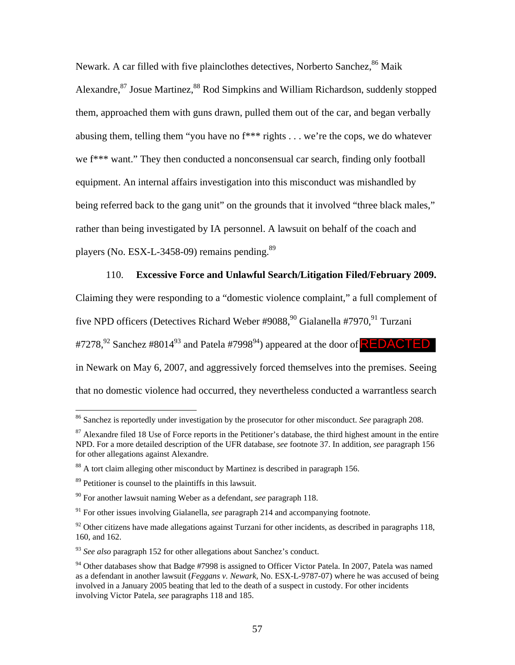Newark. A car filled with five plainclothes detectives, Norberto Sanchez, <sup>86</sup> Maik Alexandre,<sup>87</sup> Josue Martinez, <sup>88</sup> Rod Simpkins and William Richardson, suddenly stopped them, approached them with guns drawn, pulled them out of the car, and began verbally abusing them, telling them "you have no f\*\*\* rights . . . we're the cops, we do whatever we f\*\*\* want." They then conducted a nonconsensual car search, finding only football equipment. An internal affairs investigation into this misconduct was mishandled by being referred back to the gang unit" on the grounds that it involved "three black males," rather than being investigated by IA personnel. A lawsuit on behalf of the coach and players (No. ESX-L-3458-09) remains pending.<sup>89</sup>

## 110. **Excessive Force and Unlawful Search/Litigation Filed/February 2009.**

Claiming they were responding to a "domestic violence complaint," a full complement of five NPD officers (Detectives Richard Weber #9088,<sup>90</sup> Gialanella #7970,<sup>91</sup> Turzani #7278,<sup>92</sup> Sanchez #8014<sup>93</sup> and Patela #7998<sup>94</sup>) appeared at the door of <mark>REDACTED</mark> in Newark on May 6, 2007, and aggressively forced themselves into the premises. Seeing that no domestic violence had occurred, they nevertheless conducted a warrantless search

<sup>86</sup> Sanchez is reportedly under investigation by the prosecutor for other misconduct. *See* paragraph 208.

 $87$  Alexandre filed 18 Use of Force reports in the Petitioner's database, the third highest amount in the entire NPD. For a more detailed description of the UFR database, *see* footnote 37. In addition, *see* paragraph 156 for other allegations against Alexandre.

<sup>&</sup>lt;sup>88</sup> A tort claim alleging other misconduct by Martinez is described in paragraph 156.

<sup>89</sup> Petitioner is counsel to the plaintiffs in this lawsuit.

<sup>90</sup> For another lawsuit naming Weber as a defendant, *see* paragraph 118.

<sup>91</sup> For other issues involving Gialanella, *see* paragraph 214 and accompanying footnote.

 $92$  Other citizens have made allegations against Turzani for other incidents, as described in paragraphs 118, 160, and 162.

<sup>93</sup> *See also* paragraph 152 for other allegations about Sanchez's conduct.

 $94$  Other databases show that Badge #7998 is assigned to Officer Victor Patela. In 2007, Patela was named as a defendant in another lawsuit (*Feggans v. Newark*, No. ESX-L-9787-07) where he was accused of being involved in a January 2005 beating that led to the death of a suspect in custody. For other incidents involving Victor Patela, *see* paragraphs 118 and 185.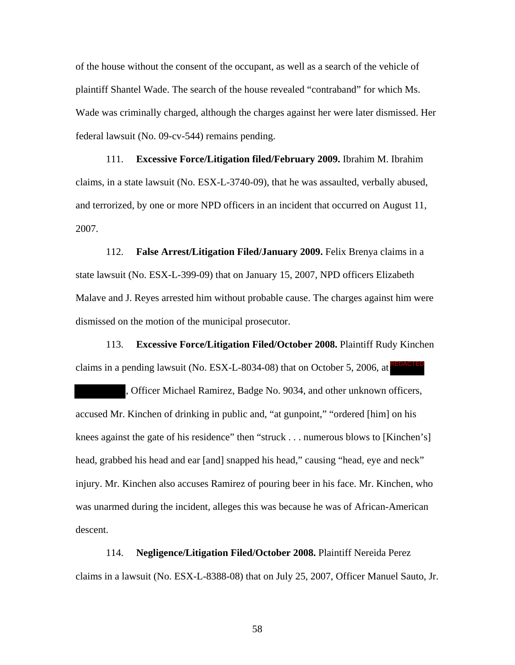of the house without the consent of the occupant, as well as a search of the vehicle of plaintiff Shantel Wade. The search of the house revealed "contraband" for which Ms. Wade was criminally charged, although the charges against her were later dismissed. Her federal lawsuit (No. 09-cv-544) remains pending.

111. **Excessive Force/Litigation filed/February 2009.** Ibrahim M. Ibrahim claims, in a state lawsuit (No. ESX-L-3740-09), that he was assaulted, verbally abused, and terrorized, by one or more NPD officers in an incident that occurred on August 11, 2007.

112. **False Arrest/Litigation Filed/January 2009.** Felix Brenya claims in a state lawsuit (No. ESX-L-399-09) that on January 15, 2007, NPD officers Elizabeth Malave and J. Reyes arrested him without probable cause. The charges against him were dismissed on the motion of the municipal prosecutor.

113. **Excessive Force/Litigation Filed/October 2008.** Plaintiff Rudy Kinchen claims in a pending lawsuit (No. ESX-L-8034-08) that on October 5, 2006, at REDACTED

, Officer Michael Ramirez, Badge No. 9034, and other unknown officers, accused Mr. Kinchen of drinking in public and, "at gunpoint," "ordered [him] on his knees against the gate of his residence" then "struck . . . numerous blows to [Kinchen's] head, grabbed his head and ear [and] snapped his head," causing "head, eye and neck" injury. Mr. Kinchen also accuses Ramirez of pouring beer in his face. Mr. Kinchen, who was unarmed during the incident, alleges this was because he was of African-American descent.

114. **Negligence/Litigation Filed/October 2008.** Plaintiff Nereida Perez claims in a lawsuit (No. ESX-L-8388-08) that on July 25, 2007, Officer Manuel Sauto, Jr.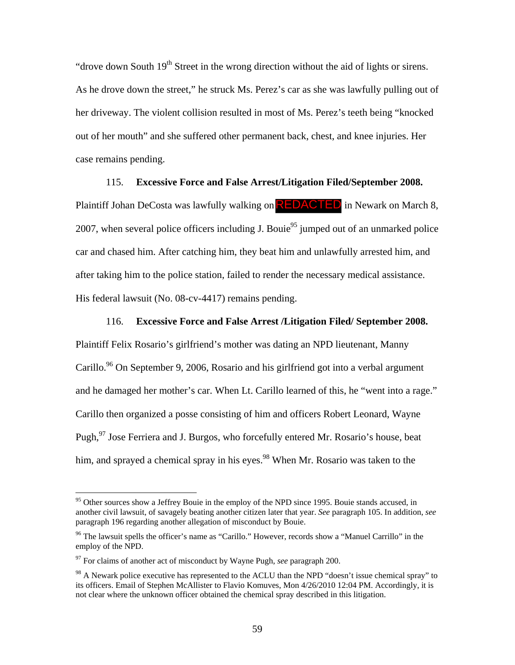"drove down South  $19<sup>th</sup>$  Street in the wrong direction without the aid of lights or sirens. As he drove down the street," he struck Ms. Perez's car as she was lawfully pulling out of her driveway. The violent collision resulted in most of Ms. Perez's teeth being "knocked out of her mouth" and she suffered other permanent back, chest, and knee injuries. Her case remains pending.

## 115. **Excessive Force and False Arrest/Litigation Filed/September 2008.**

Plaintiff Johan DeCosta was lawfully walking on **REDACTED** in Newark on March 8, 2007, when several police officers including J. Bouie<sup>95</sup> jumped out of an unmarked police car and chased him. After catching him, they beat him and unlawfully arrested him, and after taking him to the police station, failed to render the necessary medical assistance. His federal lawsuit (No. 08-cv-4417) remains pending.

116. **Excessive Force and False Arrest /Litigation Filed/ September 2008.**  Plaintiff Felix Rosario's girlfriend's mother was dating an NPD lieutenant, Manny Carillo.<sup>96</sup> On September 9, 2006, Rosario and his girlfriend got into a verbal argument and he damaged her mother's car. When Lt. Carillo learned of this, he "went into a rage." Carillo then organized a posse consisting of him and officers Robert Leonard, Wayne Pugh,  $97$  Jose Ferriera and J. Burgos, who forcefully entered Mr. Rosario's house, beat him, and sprayed a chemical spray in his eyes.<sup>98</sup> When Mr. Rosario was taken to the

<sup>&</sup>lt;sup>95</sup> Other sources show a Jeffrey Bouie in the employ of the NPD since 1995. Bouie stands accused, in another civil lawsuit, of savagely beating another citizen later that year. *See* paragraph 105. In addition, *see* paragraph 196 regarding another allegation of misconduct by Bouie.

<sup>&</sup>lt;sup>96</sup> The lawsuit spells the officer's name as "Carillo." However, records show a "Manuel Carrillo" in the employ of the NPD.

<sup>97</sup> For claims of another act of misconduct by Wayne Pugh, *see* paragraph 200.

<sup>&</sup>lt;sup>98</sup> A Newark police executive has represented to the ACLU than the NPD "doesn't issue chemical spray" to its officers. Email of Stephen McAllister to Flavio Komuves, Mon 4/26/2010 12:04 PM. Accordingly, it is not clear where the unknown officer obtained the chemical spray described in this litigation.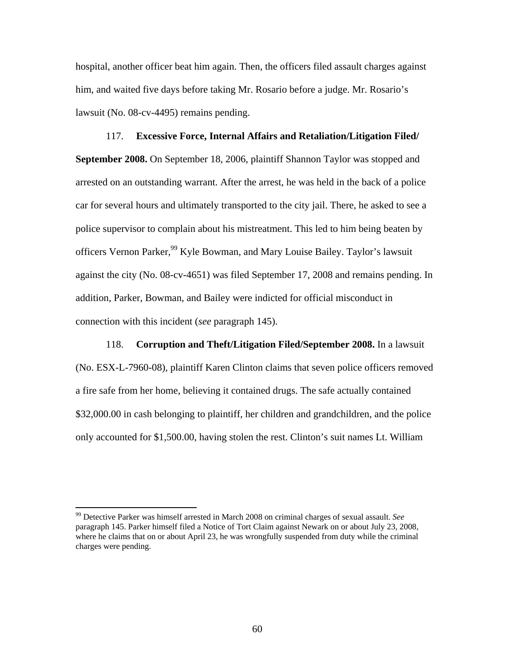hospital, another officer beat him again. Then, the officers filed assault charges against him, and waited five days before taking Mr. Rosario before a judge. Mr. Rosario's lawsuit (No. 08-cv-4495) remains pending.

117. **Excessive Force, Internal Affairs and Retaliation/Litigation Filed/ September 2008.** On September 18, 2006, plaintiff Shannon Taylor was stopped and arrested on an outstanding warrant. After the arrest, he was held in the back of a police car for several hours and ultimately transported to the city jail. There, he asked to see a police supervisor to complain about his mistreatment. This led to him being beaten by officers Vernon Parker,<sup>99</sup> Kyle Bowman, and Mary Louise Bailey. Taylor's lawsuit against the city (No. 08-cv-4651) was filed September 17, 2008 and remains pending. In addition, Parker, Bowman, and Bailey were indicted for official misconduct in connection with this incident (*see* paragraph 145).

118. **Corruption and Theft/Litigation Filed/September 2008.** In a lawsuit (No. ESX-L-7960-08), plaintiff Karen Clinton claims that seven police officers removed a fire safe from her home, believing it contained drugs. The safe actually contained \$32,000.00 in cash belonging to plaintiff, her children and grandchildren, and the police only accounted for \$1,500.00, having stolen the rest. Clinton's suit names Lt. William

<sup>99</sup> Detective Parker was himself arrested in March 2008 on criminal charges of sexual assault. *See*  paragraph 145. Parker himself filed a Notice of Tort Claim against Newark on or about July 23, 2008, where he claims that on or about April 23, he was wrongfully suspended from duty while the criminal charges were pending.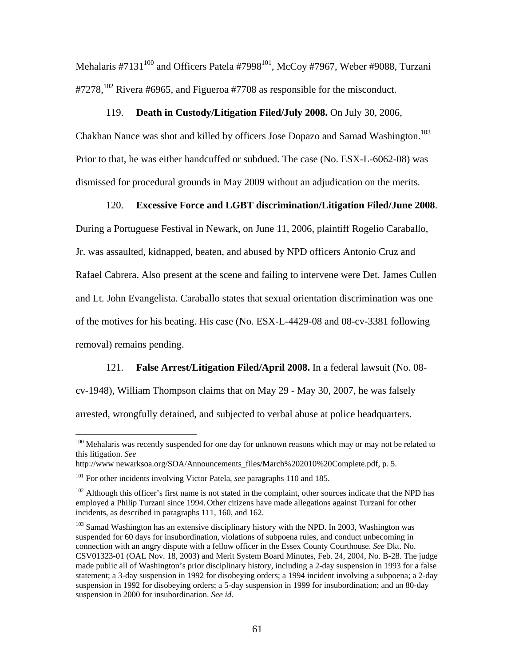Mehalaris #7131 $^{100}$  and Officers Patela #7998 $^{101}$ , McCoy #7967, Weber #9088, Turzani  $\text{\#}7278$ ,<sup>102</sup> Rivera #6965, and Figueroa #7708 as responsible for the misconduct.

## 119. **Death in Custody/Litigation Filed/July 2008.** On July 30, 2006,

Chakhan Nance was shot and killed by officers Jose Dopazo and Samad Washington.<sup>103</sup> Prior to that, he was either handcuffed or subdued. The case (No. ESX-L-6062-08) was dismissed for procedural grounds in May 2009 without an adjudication on the merits.

## 120. **Excessive Force and LGBT discrimination/Litigation Filed/June 2008**.

During a Portuguese Festival in Newark, on June 11, 2006, plaintiff Rogelio Caraballo, Jr. was assaulted, kidnapped, beaten, and abused by NPD officers Antonio Cruz and Rafael Cabrera. Also present at the scene and failing to intervene were Det. James Cullen and Lt. John Evangelista. Caraballo states that sexual orientation discrimination was one of the motives for his beating. His case (No. ESX-L-4429-08 and 08-cv-3381 following removal) remains pending.

121. **False Arrest/Litigation Filed/April 2008.** In a federal lawsuit (No. 08-

cv-1948), William Thompson claims that on May 29 - May 30, 2007, he was falsely

arrested, wrongfully detained, and subjected to verbal abuse at police headquarters.

<sup>&</sup>lt;sup>100</sup> Mehalaris was recently suspended for one day for unknown reasons which may or may not be related to this litigation. *See*

http://www.newarksoa.org/SOA/Announcements\_files/March%202010%20Complete.pdf, p. 5.

<sup>101</sup> For other incidents involving Victor Patela, *see* paragraphs 110 and 185.

<sup>&</sup>lt;sup>102</sup> Although this officer's first name is not stated in the complaint, other sources indicate that the NPD has employed a Philip Turzani since 1994. Other citizens have made allegations against Turzani for other incidents, as described in paragraphs 111, 160, and 162.

<sup>&</sup>lt;sup>103</sup> Samad Washington has an extensive disciplinary history with the NPD. In 2003, Washington was suspended for 60 days for insubordination, violations of subpoena rules, and conduct unbecoming in connection with an angry dispute with a fellow officer in the Essex County Courthouse. *See* Dkt. No. CSV01323-01 (OAL Nov. 18, 2003) and Merit System Board Minutes, Feb. 24, 2004, No. B-28. The judge made public all of Washington's prior disciplinary history, including a 2-day suspension in 1993 for a false statement; a 3-day suspension in 1992 for disobeying orders; a 1994 incident involving a subpoena; a 2-day suspension in 1992 for disobeying orders; a 5-day suspension in 1999 for insubordination; and an 80-day suspension in 2000 for insubordination. *See id.*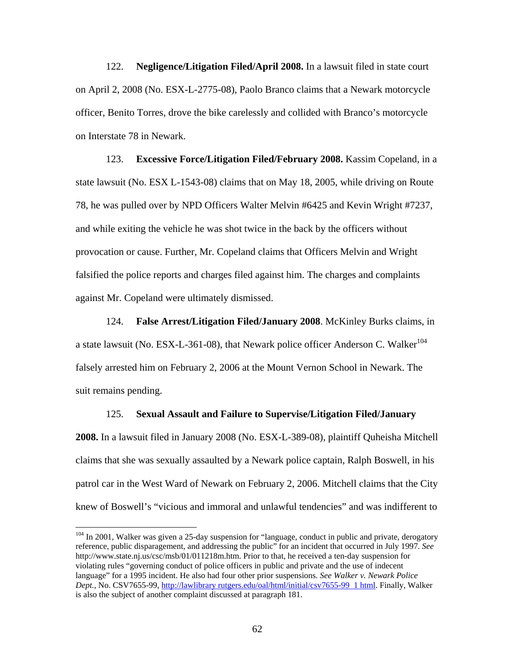122. **Negligence/Litigation Filed/April 2008.** In a lawsuit filed in state court on April 2, 2008 (No. ESX-L-2775-08), Paolo Branco claims that a Newark motorcycle officer, Benito Torres, drove the bike carelessly and collided with Branco's motorcycle on Interstate 78 in Newark.

123. **Excessive Force/Litigation Filed/February 2008.** Kassim Copeland, in a state lawsuit (No. ESX L-1543-08) claims that on May 18, 2005, while driving on Route 78, he was pulled over by NPD Officers Walter Melvin #6425 and Kevin Wright #7237, and while exiting the vehicle he was shot twice in the back by the officers without provocation or cause. Further, Mr. Copeland claims that Officers Melvin and Wright falsified the police reports and charges filed against him. The charges and complaints against Mr. Copeland were ultimately dismissed.

124. **False Arrest/Litigation Filed/January 2008**. McKinley Burks claims, in a state lawsuit (No. ESX-L-361-08), that Newark police officer Anderson C. Walker $^{104}$ falsely arrested him on February 2, 2006 at the Mount Vernon School in Newark. The suit remains pending.

#### 125. **Sexual Assault and Failure to Supervise/Litigation Filed/January**

**2008.** In a lawsuit filed in January 2008 (No. ESX-L-389-08), plaintiff Quheisha Mitchell claims that she was sexually assaulted by a Newark police captain, Ralph Boswell, in his patrol car in the West Ward of Newark on February 2, 2006. Mitchell claims that the City knew of Boswell's "vicious and immoral and unlawful tendencies" and was indifferent to

 $104$  In 2001, Walker was given a 25-day suspension for "language, conduct in public and private, derogatory reference, public disparagement, and addressing the public" for an incident that occurred in July 1997. *See* http://www.state.nj.us/csc/msb/01/011218m.htm. Prior to that, he received a ten-day suspension for violating rules "governing conduct of police officers in public and private and the use of indecent language" for a 1995 incident. He also had four other prior suspensions. *See Walker v. Newark Police Dept.*, No. CSV7655-99, http://lawlibrary rutgers.edu/oal/html/initial/csv7655-99 1 html. Finally, Walker is also the subject of another complaint discussed at paragraph 181.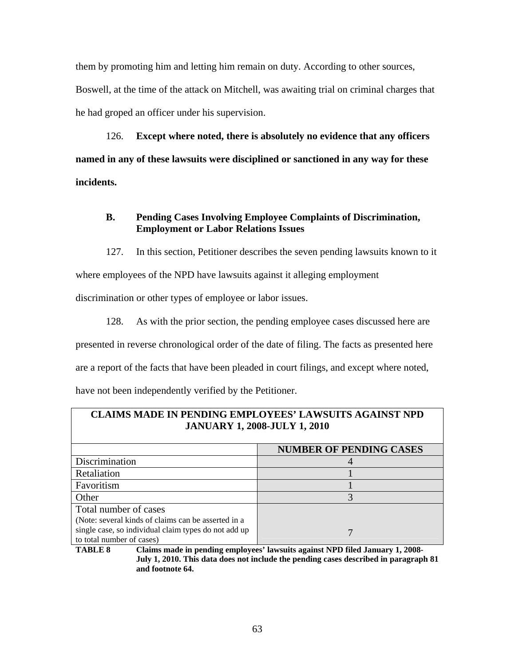them by promoting him and letting him remain on duty. According to other sources, Boswell, at the time of the attack on Mitchell, was awaiting trial on criminal charges that he had groped an officer under his supervision.

126. **Except where noted, there is absolutely no evidence that any officers named in any of these lawsuits were disciplined or sanctioned in any way for these incidents.**

# **B. Pending Cases Involving Employee Complaints of Discrimination, Employment or Labor Relations Issues**

127. In this section, Petitioner describes the seven pending lawsuits known to it where employees of the NPD have lawsuits against it alleging employment

discrimination or other types of employee or labor issues.

128. As with the prior section, the pending employee cases discussed here are presented in reverse chronological order of the date of filing. The facts as presented here are a report of the facts that have been pleaded in court filings, and except where noted, have not been independently verified by the Petitioner.

| <b>CLAIMS MADE IN PENDING EMPLOYEES' LAWSUITS AGAINST NPD</b><br><b>JANUARY 1, 2008-JULY 1, 2010</b> |                                |
|------------------------------------------------------------------------------------------------------|--------------------------------|
|                                                                                                      | <b>NUMBER OF PENDING CASES</b> |
| Discrimination                                                                                       |                                |
| Retaliation                                                                                          |                                |
| Favoritism                                                                                           |                                |
| Other                                                                                                | 3                              |
| Total number of cases                                                                                |                                |
| (Note: several kinds of claims can be asserted in a                                                  |                                |
| single case, so individual claim types do not add up<br>to total number of cases)                    |                                |

**TABLE 8 Claims made in pending employees' lawsuits against NPD filed January 1, 2008- July 1, 2010. This data does not include the pending cases described in paragraph 81 and footnote 64.**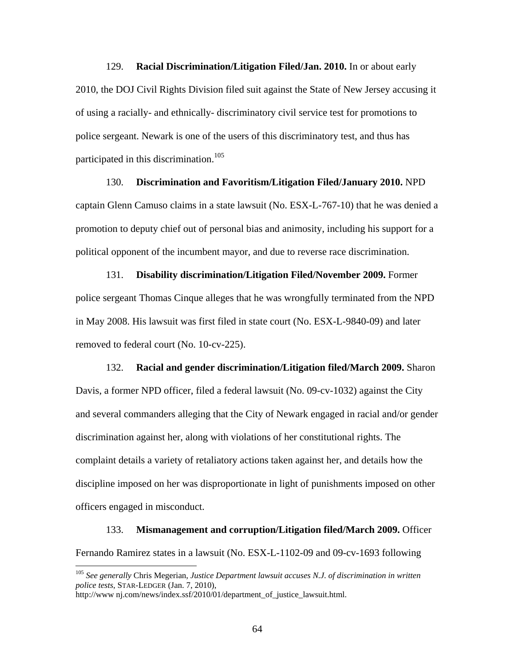129. **Racial Discrimination/Litigation Filed/Jan. 2010.** In or about early 2010, the DOJ Civil Rights Division filed suit against the State of New Jersey accusing it of using a racially- and ethnically- discriminatory civil service test for promotions to police sergeant. Newark is one of the users of this discriminatory test, and thus has participated in this discrimination.<sup>105</sup>

130. **Discrimination and Favoritism/Litigation Filed/January 2010.** NPD captain Glenn Camuso claims in a state lawsuit (No. ESX-L-767-10) that he was denied a promotion to deputy chief out of personal bias and animosity, including his support for a political opponent of the incumbent mayor, and due to reverse race discrimination.

131. **Disability discrimination/Litigation Filed/November 2009.** Former police sergeant Thomas Cinque alleges that he was wrongfully terminated from the NPD in May 2008. His lawsuit was first filed in state court (No. ESX-L-9840-09) and later removed to federal court (No. 10-cv-225).

132. **Racial and gender discrimination/Litigation filed/March 2009.** Sharon Davis, a former NPD officer, filed a federal lawsuit (No. 09-cv-1032) against the City and several commanders alleging that the City of Newark engaged in racial and/or gender discrimination against her, along with violations of her constitutional rights. The complaint details a variety of retaliatory actions taken against her, and details how the discipline imposed on her was disproportionate in light of punishments imposed on other officers engaged in misconduct.

133. **Mismanagement and corruption/Litigation filed/March 2009.** Officer Fernando Ramirez states in a lawsuit (No. ESX-L-1102-09 and 09-cv-1693 following

<sup>105</sup> *See generally* Chris Megerian, *Justice Department lawsuit accuses N.J. of discrimination in written police tests*, STAR-LEDGER (Jan. 7, 2010),

http://www nj.com/news/index.ssf/2010/01/department\_of\_justice\_lawsuit.html.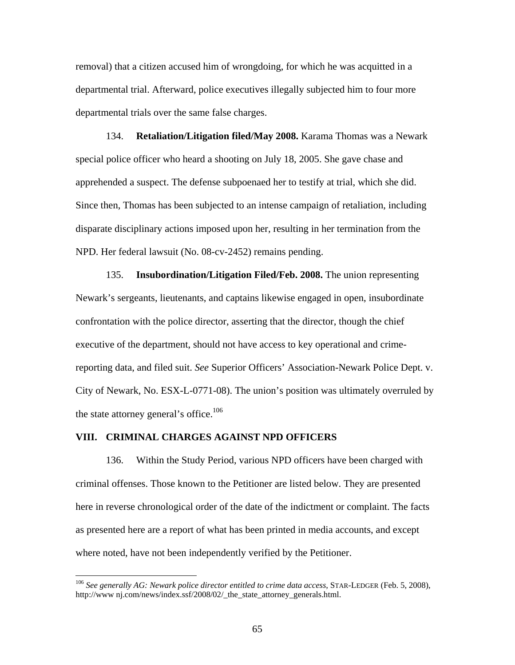removal) that a citizen accused him of wrongdoing, for which he was acquitted in a departmental trial. Afterward, police executives illegally subjected him to four more departmental trials over the same false charges.

134. **Retaliation/Litigation filed/May 2008.** Karama Thomas was a Newark special police officer who heard a shooting on July 18, 2005. She gave chase and apprehended a suspect. The defense subpoenaed her to testify at trial, which she did. Since then, Thomas has been subjected to an intense campaign of retaliation, including disparate disciplinary actions imposed upon her, resulting in her termination from the NPD. Her federal lawsuit (No. 08-cv-2452) remains pending.

135. **Insubordination/Litigation Filed/Feb. 2008.** The union representing Newark's sergeants, lieutenants, and captains likewise engaged in open, insubordinate confrontation with the police director, asserting that the director, though the chief executive of the department, should not have access to key operational and crimereporting data, and filed suit. *See* Superior Officers' Association-Newark Police Dept. v. City of Newark, No. ESX-L-0771-08). The union's position was ultimately overruled by the state attorney general's office.<sup>106</sup>

#### **VIII. CRIMINAL CHARGES AGAINST NPD OFFICERS**

1

136. Within the Study Period, various NPD officers have been charged with criminal offenses. Those known to the Petitioner are listed below. They are presented here in reverse chronological order of the date of the indictment or complaint. The facts as presented here are a report of what has been printed in media accounts, and except where noted, have not been independently verified by the Petitioner.

<sup>106</sup> *See generally AG: Newark police director entitled to crime data access*, STAR-LEDGER (Feb. 5, 2008), http://www.nj.com/news/index.ssf/2008/02/ the state attorney generals.html.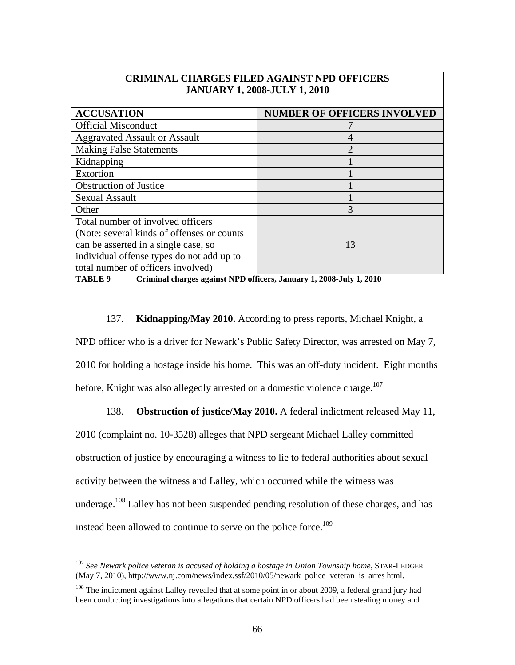| <b>CRIMINAL CHARGES FILED AGAINST NPD OFFICERS</b> |  |  |
|----------------------------------------------------|--|--|
| <b>JANUARY 1, 2008-JULY 1, 2010</b>                |  |  |
|                                                    |  |  |

| <b>ACCUSATION</b>                           | <b>NUMBER OF OFFICERS INVOLVED</b> |
|---------------------------------------------|------------------------------------|
| <b>Official Misconduct</b>                  |                                    |
| <b>Aggravated Assault or Assault</b>        | 4                                  |
| <b>Making False Statements</b>              | $\mathcal{D}_{\mathcal{A}}$        |
| Kidnapping                                  |                                    |
| Extortion                                   |                                    |
| <b>Obstruction of Justice</b>               |                                    |
| <b>Sexual Assault</b>                       |                                    |
| Other                                       | 3                                  |
| Total number of involved officers           |                                    |
| (Note: several kinds of offenses or counts) |                                    |
| can be asserted in a single case, so        | 13                                 |
| individual offense types do not add up to   |                                    |
| total number of officers involved)          |                                    |

**TABLE 9 Criminal charges against NPD officers, January 1, 2008-July 1, 2010** 

## 137. **Kidnapping/May 2010.** According to press reports, Michael Knight, a

NPD officer who is a driver for Newark's Public Safety Director, was arrested on May 7,

2010 for holding a hostage inside his home. This was an off-duty incident. Eight months before, Knight was also allegedly arrested on a domestic violence charge.<sup>107</sup>

# 138. **Obstruction of justice/May 2010.** A federal indictment released May 11,

2010 (complaint no. 10-3528) alleges that NPD sergeant Michael Lalley committed obstruction of justice by encouraging a witness to lie to federal authorities about sexual activity between the witness and Lalley, which occurred while the witness was underage.<sup>108</sup> Lalley has not been suspended pending resolution of these charges, and has instead been allowed to continue to serve on the police force.<sup>109</sup>

<sup>107</sup> *See Newark police veteran is accused of holding a hostage in Union Township home*, STAR-LEDGER (May 7, 2010), http://www.nj.com/news/index.ssf/2010/05/newark\_police\_veteran\_is\_arres html.

<sup>&</sup>lt;sup>108</sup> The indictment against Lalley revealed that at some point in or about 2009, a federal grand jury had been conducting investigations into allegations that certain NPD officers had been stealing money and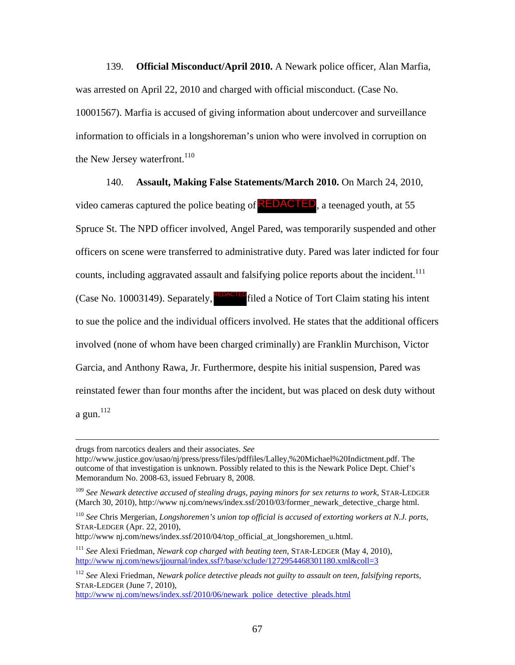139. **Official Misconduct/April 2010.** A Newark police officer, Alan Marfia, was arrested on April 22, 2010 and charged with official misconduct. (Case No. 10001567). Marfia is accused of giving information about undercover and surveillance information to officials in a longshoreman's union who were involved in corruption on the New Jersey waterfront.<sup>110</sup>

140. **Assault, Making False Statements/March 2010.** On March 24, 2010,

video cameras captured the police beating of **REDACTED**, a teenaged youth, at 55 Spruce St. The NPD officer involved, Angel Pared, was temporarily suspended and other officers on scene were transferred to administrative duty. Pared was later indicted for four counts, including aggravated assault and falsifying police reports about the incident.<sup>111</sup> (Case No. 10003149). Separately, **REDACTED** filed a Notice of Tort Claim stating his intent to sue the police and the individual officers involved. He states that the additional officers involved (none of whom have been charged criminally) are Franklin Murchison, Victor Garcia, and Anthony Rawa, Jr. Furthermore, despite his initial suspension, Pared was reinstated fewer than four months after the incident, but was placed on desk duty without a gun. 112

<sup>110</sup> *See* Chris Mergerian, *Longshoremen's union top official is accused of extorting workers at N.J. ports*, STAR-LEDGER (Apr. 22, 2010),

http://www.nj.com/news/index.ssf/2010/04/top\_official\_at\_longshoremen\_u.html.

http://www.nj.com/news/index.ssf/2010/06/newark police detective pleads.html

drugs from narcotics dealers and their associates. *See*

http://www.justice.gov/usao/nj/press/press/files/pdffiles/Lalley,%20Michael%20Indictment.pdf. The outcome of that investigation is unknown. Possibly related to this is the Newark Police Dept. Chief's Memorandum No. 2008-63, issued February 8, 2008.

<sup>109</sup> *See Newark detective accused of stealing drugs, paying minors for sex returns to work*, STAR-LEDGER (March 30, 2010), http://www.nj.com/news/index.ssf/2010/03/former\_newark\_detective\_charge html.

<sup>111</sup> *See* Alexi Friedman, *Newark cop charged with beating teen*, STAR-LEDGER (May 4, 2010), http://www.nj.com/news/jjournal/index.ssf?/base/xclude/1272954468301180.xml&coll=3

<sup>112</sup> *See* Alexi Friedman, *Newark police detective pleads not guilty to assault on teen, falsifying reports*, STAR-LEDGER (June 7, 2010),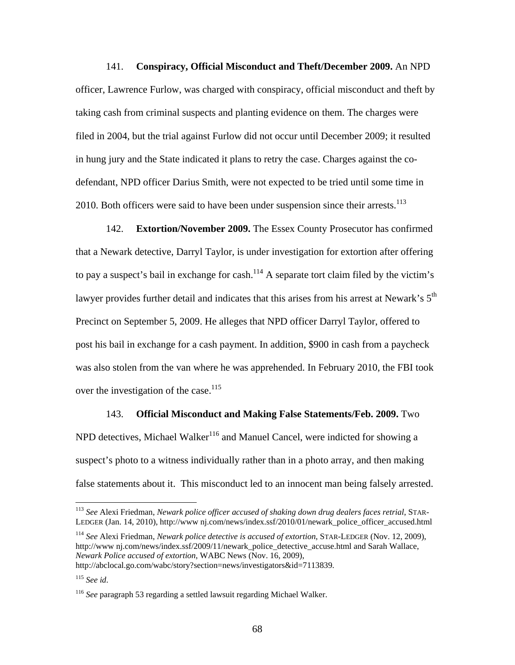141. **Conspiracy, Official Misconduct and Theft/December 2009.** An NPD officer, Lawrence Furlow, was charged with conspiracy, official misconduct and theft by taking cash from criminal suspects and planting evidence on them. The charges were filed in 2004, but the trial against Furlow did not occur until December 2009; it resulted in hung jury and the State indicated it plans to retry the case. Charges against the codefendant, NPD officer Darius Smith, were not expected to be tried until some time in 2010. Both officers were said to have been under suspension since their arrests.<sup>113</sup>

142. **Extortion/November 2009.** The Essex County Prosecutor has confirmed that a Newark detective, Darryl Taylor, is under investigation for extortion after offering to pay a suspect's bail in exchange for cash.<sup>114</sup> A separate tort claim filed by the victim's lawyer provides further detail and indicates that this arises from his arrest at Newark's  $5<sup>th</sup>$ Precinct on September 5, 2009. He alleges that NPD officer Darryl Taylor, offered to post his bail in exchange for a cash payment. In addition, \$900 in cash from a paycheck was also stolen from the van where he was apprehended. In February 2010, the FBI took over the investigation of the case.<sup>115</sup>

143. **Official Misconduct and Making False Statements/Feb. 2009.** Two NPD detectives, Michael Walker<sup>116</sup> and Manuel Cancel, were indicted for showing a suspect's photo to a witness individually rather than in a photo array, and then making false statements about it. This misconduct led to an innocent man being falsely arrested.

<sup>114</sup> *See* Alexi Friedman, *Newark police detective is accused of extortion*, STAR-LEDGER (Nov. 12, 2009), http://www nj.com/news/index.ssf/2009/11/newark\_police\_detective\_accuse.html and Sarah Wallace, *Newark Police accused of extortion*, WABC News (Nov. 16, 2009), http://abclocal.go.com/wabc/story?section=news/investigators&id=7113839.

<sup>113</sup> *See* Alexi Friedman, *Newark police officer accused of shaking down drug dealers faces retrial*, STAR-LEDGER (Jan. 14, 2010), http://www nj.com/news/index.ssf/2010/01/newark\_police\_officer\_accused.html

<sup>115</sup> *See id*.

<sup>116</sup> *See* paragraph 53 regarding a settled lawsuit regarding Michael Walker.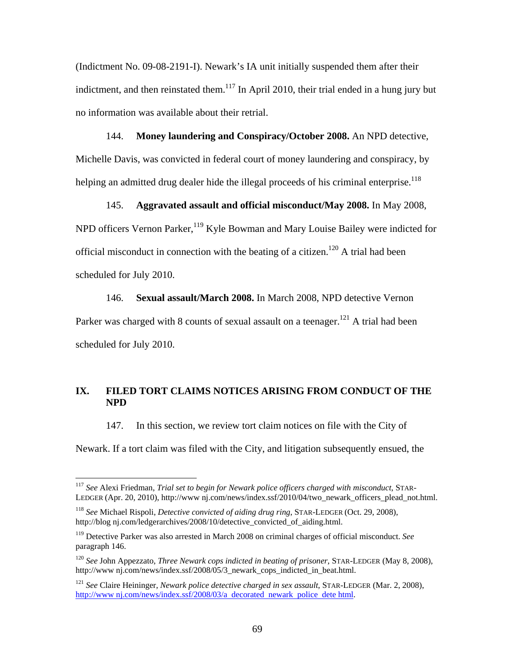(Indictment No. 09-08-2191-I). Newark's IA unit initially suspended them after their indictment, and then reinstated them.<sup>117</sup> In April 2010, their trial ended in a hung jury but no information was available about their retrial.

144. **Money laundering and Conspiracy/October 2008.** An NPD detective, Michelle Davis, was convicted in federal court of money laundering and conspiracy, by helping an admitted drug dealer hide the illegal proceeds of his criminal enterprise.<sup>118</sup>

145. **Aggravated assault and official misconduct/May 2008.** In May 2008, NPD officers Vernon Parker,<sup>119</sup> Kyle Bowman and Mary Louise Bailey were indicted for official misconduct in connection with the beating of a citizen.<sup>120</sup> A trial had been scheduled for July 2010.

146. **Sexual assault/March 2008.** In March 2008, NPD detective Vernon Parker was charged with 8 counts of sexual assault on a teenager.<sup>121</sup> A trial had been scheduled for July 2010.

## **IX. FILED TORT CLAIMS NOTICES ARISING FROM CONDUCT OF THE NPD**

147. In this section, we review tort claim notices on file with the City of

Newark. If a tort claim was filed with the City, and litigation subsequently ensued, the

<sup>117</sup> *See* Alexi Friedman, *Trial set to begin for Newark police officers charged with misconduct*, STAR-LEDGER (Apr. 20, 2010), http://www nj.com/news/index.ssf/2010/04/two\_newark\_officers\_plead\_not.html.

<sup>118</sup> *See* Michael Rispoli, *Detective convicted of aiding drug ring*, STAR-LEDGER (Oct. 29, 2008), http://blog nj.com/ledgerarchives/2008/10/detective\_convicted\_of\_aiding.html.

<sup>119</sup> Detective Parker was also arrested in March 2008 on criminal charges of official misconduct. *See* paragraph 146.

<sup>120</sup> *See* John Appezzato, *Three Newark cops indicted in beating of prisoner*, STAR-LEDGER (May 8, 2008), http://www.nj.com/news/index.ssf/2008/05/3\_newark\_cops\_indicted\_in\_beat.html.

<sup>121</sup> *See* Claire Heininger, *Newark police detective charged in sex assault*, STAR-LEDGER (Mar. 2, 2008), http://www.nj.com/news/index.ssf/2008/03/a decorated newark police dete html.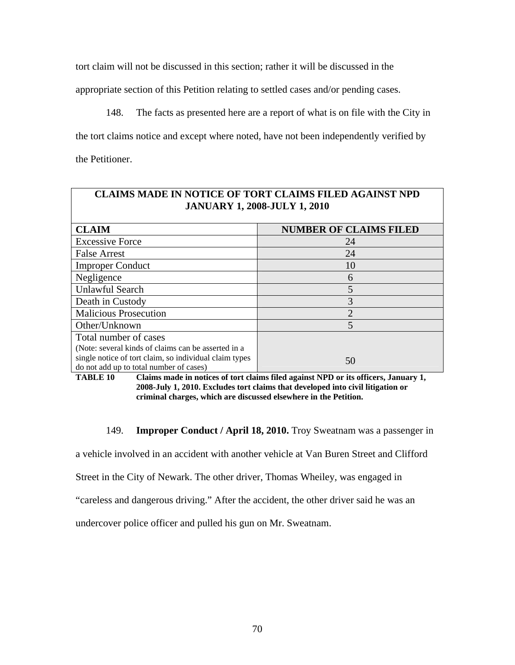tort claim will not be discussed in this section; rather it will be discussed in the

appropriate section of this Petition relating to settled cases and/or pending cases.

148. The facts as presented here are a report of what is on file with the City in the tort claims notice and except where noted, have not been independently verified by the Petitioner.

| <b>CLAIMS MADE IN NOTICE OF TORT CLAIMS FILED AGAINST NPD</b><br><b>JANUARY 1, 2008-JULY 1, 2010</b> |                               |  |
|------------------------------------------------------------------------------------------------------|-------------------------------|--|
| <b>CLAIM</b>                                                                                         | <b>NUMBER OF CLAIMS FILED</b> |  |
| <b>Excessive Force</b>                                                                               | 24                            |  |
| <b>False Arrest</b>                                                                                  | 24                            |  |
| <b>Improper Conduct</b>                                                                              | 10                            |  |
| Negligence                                                                                           | 6                             |  |
| <b>Unlawful Search</b>                                                                               | 5                             |  |
| Death in Custody                                                                                     | 3                             |  |
| <b>Malicious Prosecution</b>                                                                         | $\mathcal{D}_{\cdot}$         |  |
| Other/Unknown                                                                                        | 5                             |  |
| Total number of cases                                                                                |                               |  |
| (Note: several kinds of claims can be asserted in a                                                  |                               |  |
| single notice of tort claim, so individual claim types<br>do not add up to total number of cases)    | 50                            |  |

**TABLE 10 Claims made in notices of tort claims filed against NPD or its officers, January 1, 2008-July 1, 2010. Excludes tort claims that developed into civil litigation or criminal charges, which are discussed elsewhere in the Petition.** 

149. **Improper Conduct / April 18, 2010.** Troy Sweatnam was a passenger in

a vehicle involved in an accident with another vehicle at Van Buren Street and Clifford

Street in the City of Newark. The other driver, Thomas Wheiley, was engaged in

"careless and dangerous driving." After the accident, the other driver said he was an

undercover police officer and pulled his gun on Mr. Sweatnam.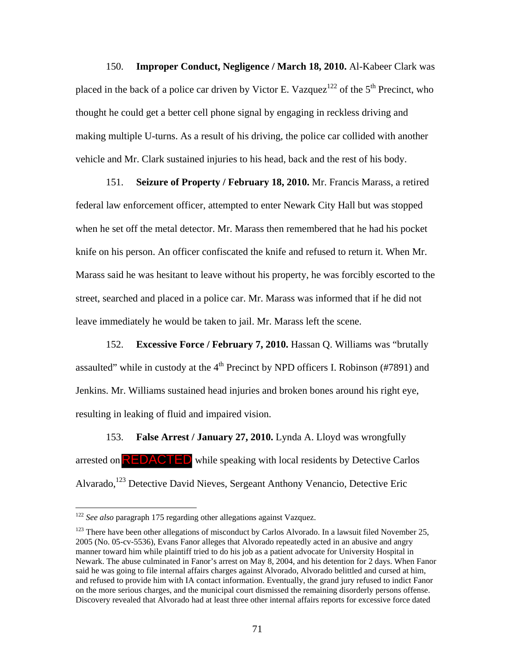150. **Improper Conduct, Negligence / March 18, 2010.** Al-Kabeer Clark was placed in the back of a police car driven by Victor E. Vazquez<sup>122</sup> of the 5<sup>th</sup> Precinct, who thought he could get a better cell phone signal by engaging in reckless driving and making multiple U-turns. As a result of his driving, the police car collided with another vehicle and Mr. Clark sustained injuries to his head, back and the rest of his body.

151. **Seizure of Property / February 18, 2010.** Mr. Francis Marass, a retired federal law enforcement officer, attempted to enter Newark City Hall but was stopped when he set off the metal detector. Mr. Marass then remembered that he had his pocket knife on his person. An officer confiscated the knife and refused to return it. When Mr. Marass said he was hesitant to leave without his property, he was forcibly escorted to the street, searched and placed in a police car. Mr. Marass was informed that if he did not leave immediately he would be taken to jail. Mr. Marass left the scene.

152. **Excessive Force / February 7, 2010.** Hassan Q. Williams was "brutally assaulted" while in custody at the  $4<sup>th</sup>$  Precinct by NPD officers I. Robinson (#7891) and Jenkins. Mr. Williams sustained head injuries and broken bones around his right eye, resulting in leaking of fluid and impaired vision.

153. **False Arrest / January 27, 2010.** Lynda A. Lloyd was wrongfully arrested on **REDACTED** while speaking with local residents by Detective Carlos Alvarado,123 Detective David Nieves, Sergeant Anthony Venancio, Detective Eric

<sup>122</sup> *See also* paragraph 175 regarding other allegations against Vazquez.

 $123$  There have been other allegations of misconduct by Carlos Alvorado. In a lawsuit filed November 25, 2005 (No. 05-cv-5536), Evans Fanor alleges that Alvorado repeatedly acted in an abusive and angry manner toward him while plaintiff tried to do his job as a patient advocate for University Hospital in Newark. The abuse culminated in Fanor's arrest on May 8, 2004, and his detention for 2 days. When Fanor said he was going to file internal affairs charges against Alvorado, Alvorado belittled and cursed at him, and refused to provide him with IA contact information. Eventually, the grand jury refused to indict Fanor on the more serious charges, and the municipal court dismissed the remaining disorderly persons offense. Discovery revealed that Alvorado had at least three other internal affairs reports for excessive force dated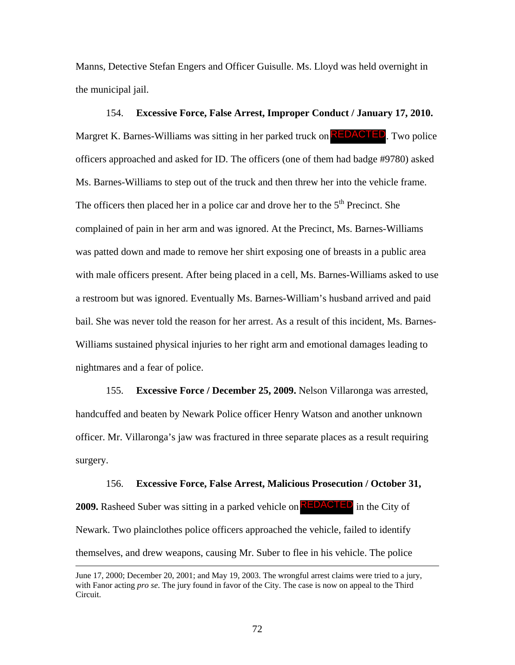Manns, Detective Stefan Engers and Officer Guisulle. Ms. Lloyd was held overnight in the municipal jail.

154. **Excessive Force, False Arrest, Improper Conduct / January 17, 2010.** Margret K. Barnes-Williams was sitting in her parked truck on **REDACTED**. Two police officers approached and asked for ID. The officers (one of them had badge #9780) asked Ms. Barnes-Williams to step out of the truck and then threw her into the vehicle frame. The officers then placed her in a police car and drove her to the  $5<sup>th</sup>$  Precinct. She complained of pain in her arm and was ignored. At the Precinct, Ms. Barnes-Williams was patted down and made to remove her shirt exposing one of breasts in a public area with male officers present. After being placed in a cell, Ms. Barnes-Williams asked to use a restroom but was ignored. Eventually Ms. Barnes-William's husband arrived and paid bail. She was never told the reason for her arrest. As a result of this incident, Ms. Barnes-Williams sustained physical injuries to her right arm and emotional damages leading to nightmares and a fear of police.

155. **Excessive Force / December 25, 2009.** Nelson Villaronga was arrested, handcuffed and beaten by Newark Police officer Henry Watson and another unknown officer. Mr. Villaronga's jaw was fractured in three separate places as a result requiring surgery.

156. **Excessive Force, False Arrest, Malicious Prosecution / October 31, 2009.** Rasheed Suber was sitting in a parked vehicle on **REDACTED** in the City of Newark. Two plainclothes police officers approached the vehicle, failed to identify themselves, and drew weapons, causing Mr. Suber to flee in his vehicle. The police

June 17, 2000; December 20, 2001; and May 19, 2003. The wrongful arrest claims were tried to a jury, with Fanor acting *pro se*. The jury found in favor of the City. The case is now on appeal to the Third Circuit.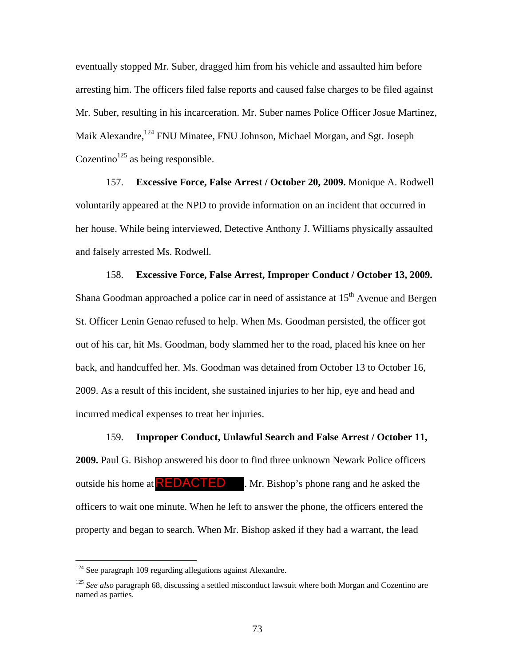eventually stopped Mr. Suber, dragged him from his vehicle and assaulted him before arresting him. The officers filed false reports and caused false charges to be filed against Mr. Suber, resulting in his incarceration. Mr. Suber names Police Officer Josue Martinez, Maik Alexandre,<sup>124</sup> FNU Minatee, FNU Johnson, Michael Morgan, and Sgt. Joseph Cozentino<sup>125</sup> as being responsible.

157. **Excessive Force, False Arrest / October 20, 2009.** Monique A. Rodwell voluntarily appeared at the NPD to provide information on an incident that occurred in her house. While being interviewed, Detective Anthony J. Williams physically assaulted and falsely arrested Ms. Rodwell.

158. **Excessive Force, False Arrest, Improper Conduct / October 13, 2009.** Shana Goodman approached a police car in need of assistance at  $15<sup>th</sup>$  Avenue and Bergen St. Officer Lenin Genao refused to help. When Ms. Goodman persisted, the officer got out of his car, hit Ms. Goodman, body slammed her to the road, placed his knee on her back, and handcuffed her. Ms. Goodman was detained from October 13 to October 16, 2009. As a result of this incident, she sustained injuries to her hip, eye and head and incurred medical expenses to treat her injuries.

159. **Improper Conduct, Unlawful Search and False Arrest / October 11, 2009.** Paul G. Bishop answered his door to find three unknown Newark Police officers outside his home at  $\mathsf{REDACTED}$ . Mr. Bishop's phone rang and he asked the officers to wait one minute. When he left to answer the phone, the officers entered the property and began to search. When Mr. Bishop asked if they had a warrant, the lead

 $124$  See paragraph 109 regarding allegations against Alexandre.

<sup>&</sup>lt;sup>125</sup> See also paragraph 68, discussing a settled misconduct lawsuit where both Morgan and Cozentino are named as parties.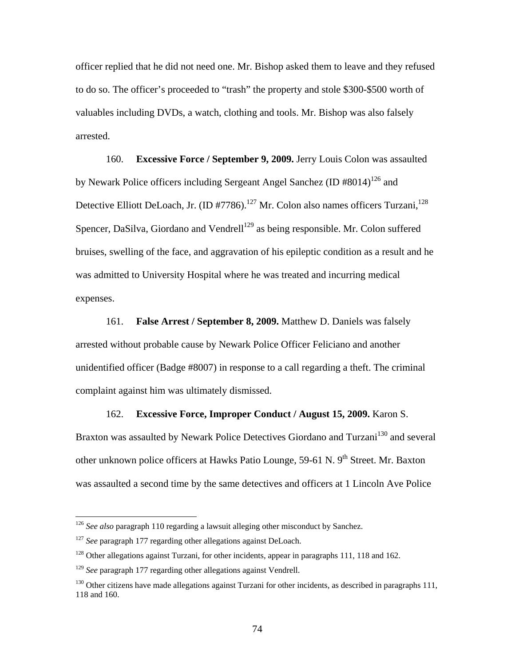officer replied that he did not need one. Mr. Bishop asked them to leave and they refused to do so. The officer's proceeded to "trash" the property and stole \$300-\$500 worth of valuables including DVDs, a watch, clothing and tools. Mr. Bishop was also falsely arrested.

160. **Excessive Force / September 9, 2009.** Jerry Louis Colon was assaulted by Newark Police officers including Sergeant Angel Sanchez (ID #8014)<sup>126</sup> and Detective Elliott DeLoach, Jr. (ID #7786).<sup>127</sup> Mr. Colon also names officers Turzani,<sup>128</sup> Spencer, DaSilva, Giordano and Vendrell<sup>129</sup> as being responsible. Mr. Colon suffered bruises, swelling of the face, and aggravation of his epileptic condition as a result and he was admitted to University Hospital where he was treated and incurring medical expenses.

161. **False Arrest / September 8, 2009.** Matthew D. Daniels was falsely arrested without probable cause by Newark Police Officer Feliciano and another unidentified officer (Badge #8007) in response to a call regarding a theft. The criminal complaint against him was ultimately dismissed.

### 162. **Excessive Force, Improper Conduct / August 15, 2009.** Karon S.

Braxton was assaulted by Newark Police Detectives Giordano and Turzani<sup>130</sup> and several other unknown police officers at Hawks Patio Lounge, 59-61 N. 9<sup>th</sup> Street. Mr. Baxton was assaulted a second time by the same detectives and officers at 1 Lincoln Ave Police

<sup>&</sup>lt;sup>126</sup> See also paragraph 110 regarding a lawsuit alleging other misconduct by Sanchez.

<sup>&</sup>lt;sup>127</sup> *See* paragraph 177 regarding other allegations against DeLoach.

<sup>&</sup>lt;sup>128</sup> Other allegations against Turzani, for other incidents, appear in paragraphs 111, 118 and 162.

<sup>129</sup> *See* paragraph 177 regarding other allegations against Vendrell.

<sup>&</sup>lt;sup>130</sup> Other citizens have made allegations against Turzani for other incidents, as described in paragraphs 111, 118 and 160.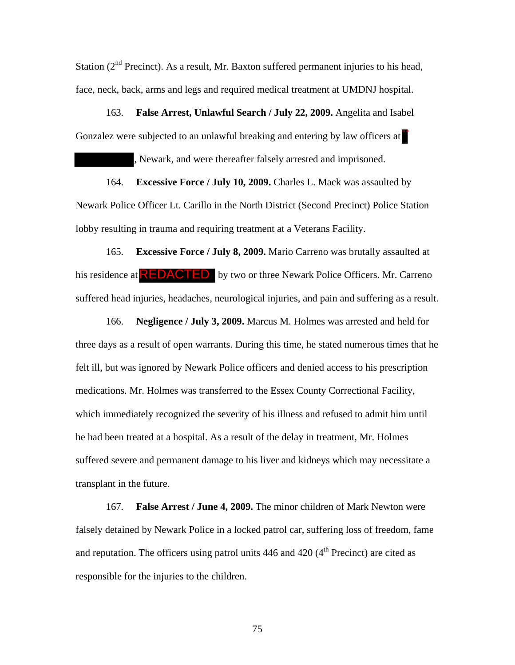Station  $(2<sup>nd</sup>$  Precinct). As a result, Mr. Baxton suffered permanent injuries to his head, face, neck, back, arms and legs and required medical treatment at UMDNJ hospital.

163. **False Arrest, Unlawful Search / July 22, 2009.** Angelita and Isabel Gonzalez were subjected to an unlawful breaking and entering by law officers at

, Newark, and were thereafter falsely arrested and imprisoned.

164. **Excessive Force / July 10, 2009.** Charles L. Mack was assaulted by Newark Police Officer Lt. Carillo in the North District (Second Precinct) Police Station lobby resulting in trauma and requiring treatment at a Veterans Facility.

165. **Excessive Force / July 8, 2009.** Mario Carreno was brutally assaulted at his residence at **REDACTED** by two or three Newark Police Officers. Mr. Carreno suffered head injuries, headaches, neurological injuries, and pain and suffering as a result.

166. **Negligence / July 3, 2009.** Marcus M. Holmes was arrested and held for three days as a result of open warrants. During this time, he stated numerous times that he felt ill, but was ignored by Newark Police officers and denied access to his prescription medications. Mr. Holmes was transferred to the Essex County Correctional Facility, which immediately recognized the severity of his illness and refused to admit him until he had been treated at a hospital. As a result of the delay in treatment, Mr. Holmes suffered severe and permanent damage to his liver and kidneys which may necessitate a transplant in the future.

167. **False Arrest / June 4, 2009.** The minor children of Mark Newton were falsely detained by Newark Police in a locked patrol car, suffering loss of freedom, fame and reputation. The officers using patrol units  $446$  and  $420$  ( $4<sup>th</sup>$  Precinct) are cited as responsible for the injuries to the children.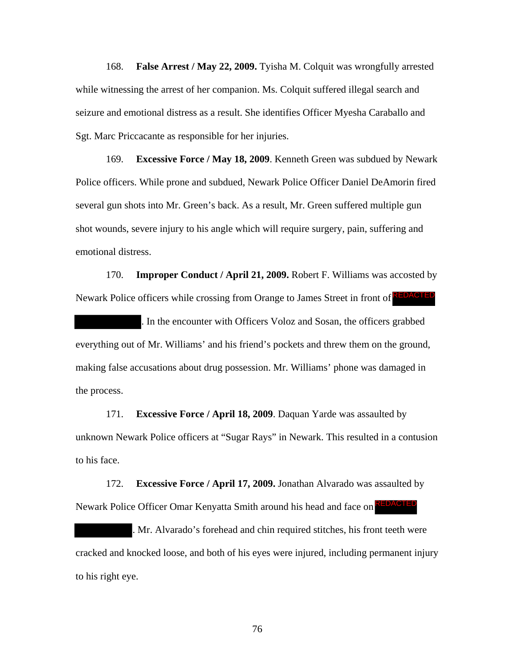168. **False Arrest / May 22, 2009.** Tyisha M. Colquit was wrongfully arrested while witnessing the arrest of her companion. Ms. Colquit suffered illegal search and seizure and emotional distress as a result. She identifies Officer Myesha Caraballo and Sgt. Marc Priccacante as responsible for her injuries.

169. **Excessive Force / May 18, 2009**. Kenneth Green was subdued by Newark Police officers. While prone and subdued, Newark Police Officer Daniel DeAmorin fired several gun shots into Mr. Green's back. As a result, Mr. Green suffered multiple gun shot wounds, severe injury to his angle which will require surgery, pain, suffering and emotional distress.

170. **Improper Conduct / April 21, 2009.** Robert F. Williams was accosted by Newark Police officers while crossing from Orange to James Street in front of REDACTED

. In the encounter with Officers Voloz and Sosan, the officers grabbed everything out of Mr. Williams' and his friend's pockets and threw them on the ground, making false accusations about drug possession. Mr. Williams' phone was damaged in the process.

171. **Excessive Force / April 18, 2009**. Daquan Yarde was assaulted by unknown Newark Police officers at "Sugar Rays" in Newark. This resulted in a contusion to his face.

172. **Excessive Force / April 17, 2009.** Jonathan Alvarado was assaulted by Newark Police Officer Omar Kenyatta Smith around his head and face on **REDACTED** 

. Mr. Alvarado's forehead and chin required stitches, his front teeth were cracked and knocked loose, and both of his eyes were injured, including permanent injury to his right eye.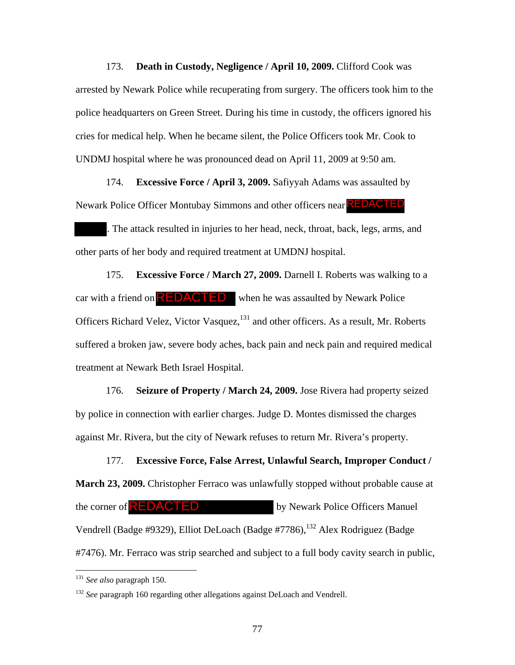173. **Death in Custody, Negligence / April 10, 2009.** Clifford Cook was arrested by Newark Police while recuperating from surgery. The officers took him to the police headquarters on Green Street. During his time in custody, the officers ignored his cries for medical help. When he became silent, the Police Officers took Mr. Cook to UNDMJ hospital where he was pronounced dead on April 11, 2009 at 9:50 am.

174. **Excessive Force / April 3, 2009.** Safiyyah Adams was assaulted by Newark Police Officer Montubay Simmons and other officers near REDACTED

. The attack resulted in injuries to her head, neck, throat, back, legs, arms, and other parts of her body and required treatment at UMDNJ hospital.

175. **Excessive Force / March 27, 2009.** Darnell I. Roberts was walking to a car with a friend on  $\mathsf{REDACTED}$  when he was assaulted by Newark Police Officers Richard Velez, Victor Vasquez,<sup>131</sup> and other officers. As a result, Mr. Roberts suffered a broken jaw, severe body aches, back pain and neck pain and required medical treatment at Newark Beth Israel Hospital.

176. **Seizure of Property / March 24, 2009.** Jose Rivera had property seized by police in connection with earlier charges. Judge D. Montes dismissed the charges against Mr. Rivera, but the city of Newark refuses to return Mr. Rivera's property.

177. **Excessive Force, False Arrest, Unlawful Search, Improper Conduct / March 23, 2009.** Christopher Ferraco was unlawfully stopped without probable cause at by Newark Police Officers Manuel Vendrell (Badge #9329), Elliot DeLoach (Badge #7786),<sup>132</sup> Alex Rodriguez (Badge #7476). Mr. Ferraco was strip searched and subject to a full body cavity search in public, the corner of  $REDACTED$ 

<sup>131</sup> *See also* paragraph 150.

<sup>&</sup>lt;sup>132</sup> *See* paragraph 160 regarding other allegations against DeLoach and Vendrell.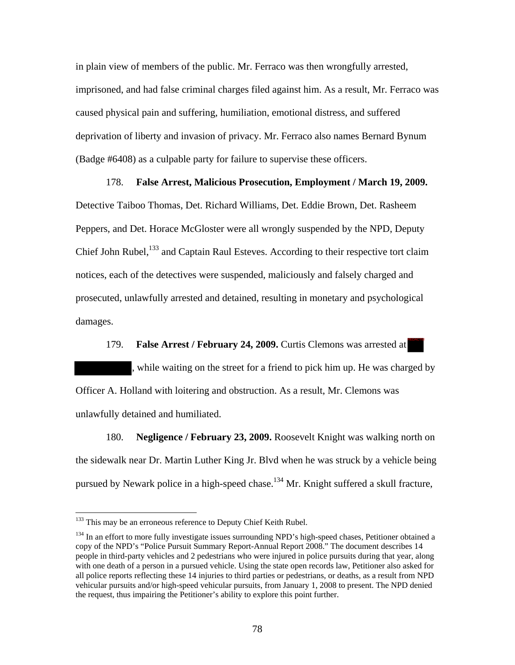in plain view of members of the public. Mr. Ferraco was then wrongfully arrested, imprisoned, and had false criminal charges filed against him. As a result, Mr. Ferraco was caused physical pain and suffering, humiliation, emotional distress, and suffered deprivation of liberty and invasion of privacy. Mr. Ferraco also names Bernard Bynum (Badge #6408) as a culpable party for failure to supervise these officers.

178. **False Arrest, Malicious Prosecution, Employment / March 19, 2009.**  Detective Taiboo Thomas, Det. Richard Williams, Det. Eddie Brown, Det. Rasheem Peppers, and Det. Horace McGloster were all wrongly suspended by the NPD, Deputy Chief John Rubel,<sup>133</sup> and Captain Raul Esteves. According to their respective tort claim notices, each of the detectives were suspended, maliciously and falsely charged and prosecuted, unlawfully arrested and detained, resulting in monetary and psychological

damages.

 $\overline{a}$ 

179. **False Arrest / February 24, 2009.** Curtis Clemons was arrested at , while waiting on the street for a friend to pick him up. He was charged by Officer A. Holland with loitering and obstruction. As a result, Mr. Clemons was unlawfully detained and humiliated.

REDACTED

180. **Negligence / February 23, 2009.** Roosevelt Knight was walking north on the sidewalk near Dr. Martin Luther King Jr. Blvd when he was struck by a vehicle being pursued by Newark police in a high-speed chase.<sup>134</sup> Mr. Knight suffered a skull fracture,

<sup>&</sup>lt;sup>133</sup> This may be an erroneous reference to Deputy Chief Keith Rubel.

<sup>&</sup>lt;sup>134</sup> In an effort to more fully investigate issues surrounding NPD's high-speed chases, Petitioner obtained a copy of the NPD's "Police Pursuit Summary Report-Annual Report 2008." The document describes 14 people in third-party vehicles and 2 pedestrians who were injured in police pursuits during that year, along with one death of a person in a pursued vehicle. Using the state open records law, Petitioner also asked for all police reports reflecting these 14 injuries to third parties or pedestrians, or deaths, as a result from NPD vehicular pursuits and/or high-speed vehicular pursuits, from January 1, 2008 to present. The NPD denied the request, thus impairing the Petitioner's ability to explore this point further.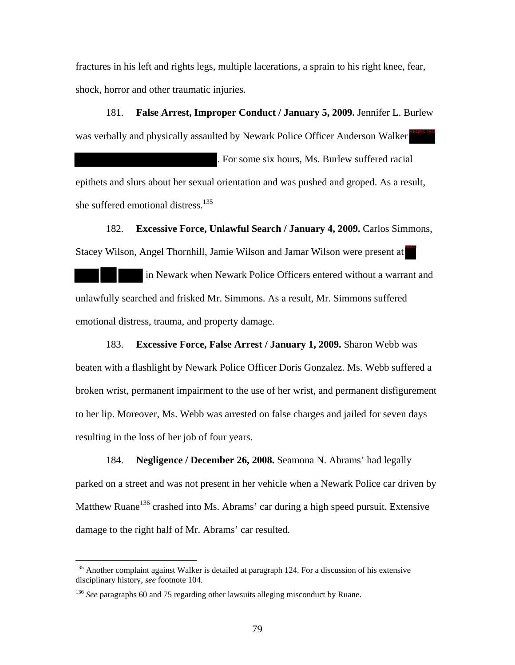fractures in his left and rights legs, multiple lacerations, a sprain to his right knee, fear, shock, horror and other traumatic injuries.

181. **False Arrest, Improper Conduct / January 5, 2009.** Jennifer L. Burlew was verbally and physically assaulted by Newark Police Officer Anderson Walker . For some six hours, Ms. Burlew suffered racial epithets and slurs about her sexual orientation and was pushed and groped. As a result, she suffered emotional distress.<sup>135</sup> REDACTED

182. **Excessive Force, Unlawful Search / January 4, 2009.** Carlos Simmons, Stacey Wilson, Angel Thornhill, Jamie Wilson and Jamar Wilson were present at

 in Newark when Newark Police Officers entered without a warrant and unlawfully searched and frisked Mr. Simmons. As a result, Mr. Simmons suffered emotional distress, trauma, and property damage.

183. **Excessive Force, False Arrest / January 1, 2009.** Sharon Webb was beaten with a flashlight by Newark Police Officer Doris Gonzalez. Ms. Webb suffered a broken wrist, permanent impairment to the use of her wrist, and permanent disfigurement to her lip. Moreover, Ms. Webb was arrested on false charges and jailed for seven days resulting in the loss of her job of four years.

184. **Negligence / December 26, 2008.** Seamona N. Abrams' had legally parked on a street and was not present in her vehicle when a Newark Police car driven by Matthew Ruane<sup>136</sup> crashed into Ms. Abrams' car during a high speed pursuit. Extensive damage to the right half of Mr. Abrams' car resulted.

<sup>&</sup>lt;sup>135</sup> Another complaint against Walker is detailed at paragraph 124. For a discussion of his extensive disciplinary history, *see* footnote 104.

<sup>136</sup> *See* paragraphs 60 and 75 regarding other lawsuits alleging misconduct by Ruane.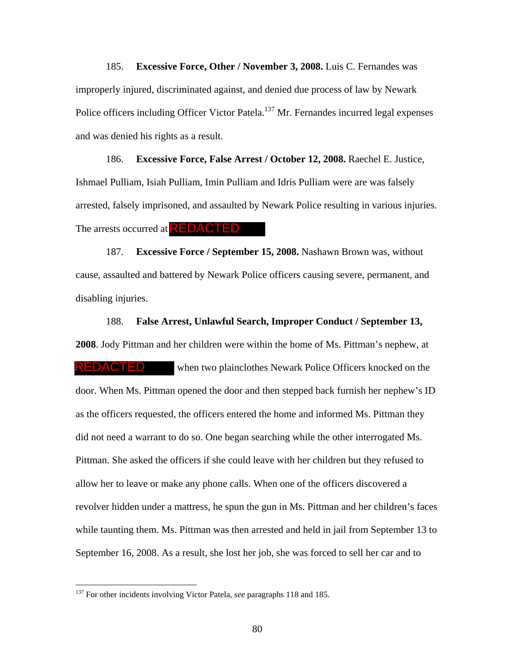185. **Excessive Force, Other / November 3, 2008.** Luis C. Fernandes was improperly injured, discriminated against, and denied due process of law by Newark Police officers including Officer Victor Patela.<sup>137</sup> Mr. Fernandes incurred legal expenses and was denied his rights as a result.

186. **Excessive Force, False Arrest / October 12, 2008.** Raechel E. Justice, Ishmael Pulliam, Isiah Pulliam, Imin Pulliam and Idris Pulliam were are was falsely arrested, falsely imprisoned, and assaulted by Newark Police resulting in various injuries. The arrests occurred at **REDACTED** 

187. **Excessive Force / September 15, 2008.** Nashawn Brown was, without cause, assaulted and battered by Newark Police officers causing severe, permanent, and disabling injuries.

188. **False Arrest, Unlawful Search, Improper Conduct / September 13, 2008**. Jody Pittman and her children were within the home of Ms. Pittman's nephew, at when two plainclothes Newark Police Officers knocked on the door. When Ms. Pittman opened the door and then stepped back furnish her nephew's ID as the officers requested, the officers entered the home and informed Ms. Pittman they did not need a warrant to do so. One began searching while the other interrogated Ms. Pittman. She asked the officers if she could leave with her children but they refused to allow her to leave or make any phone calls. When one of the officers discovered a revolver hidden under a mattress, he spun the gun in Ms. Pittman and her children's faces while taunting them. Ms. Pittman was then arrested and held in jail from September 13 to September 16, 2008. As a result, she lost her job, she was forced to sell her car and to REDACTED

<sup>&</sup>lt;sup>137</sup> For other incidents involving Victor Patela, *see* paragraphs 118 and 185.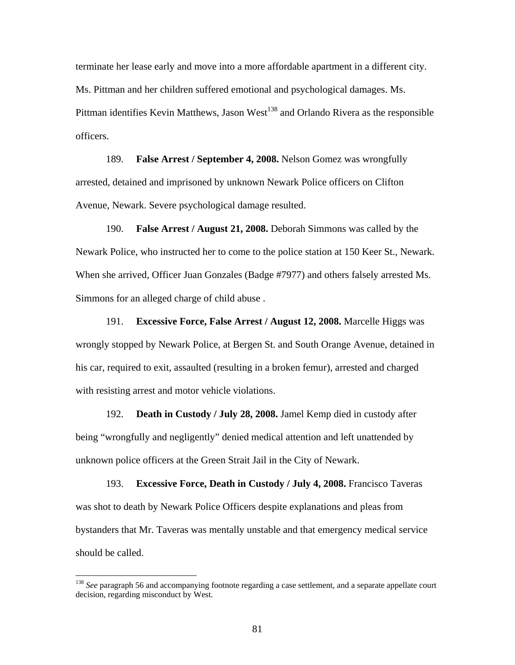terminate her lease early and move into a more affordable apartment in a different city. Ms. Pittman and her children suffered emotional and psychological damages. Ms. Pittman identifies Kevin Matthews, Jason West<sup>138</sup> and Orlando Rivera as the responsible officers.

189. **False Arrest / September 4, 2008.** Nelson Gomez was wrongfully arrested, detained and imprisoned by unknown Newark Police officers on Clifton Avenue, Newark. Severe psychological damage resulted.

190. **False Arrest / August 21, 2008.** Deborah Simmons was called by the Newark Police, who instructed her to come to the police station at 150 Keer St., Newark. When she arrived, Officer Juan Gonzales (Badge #7977) and others falsely arrested Ms. Simmons for an alleged charge of child abuse .

191. **Excessive Force, False Arrest / August 12, 2008.** Marcelle Higgs was wrongly stopped by Newark Police, at Bergen St. and South Orange Avenue, detained in his car, required to exit, assaulted (resulting in a broken femur), arrested and charged with resisting arrest and motor vehicle violations.

192. **Death in Custody / July 28, 2008.** Jamel Kemp died in custody after being "wrongfully and negligently" denied medical attention and left unattended by unknown police officers at the Green Strait Jail in the City of Newark.

193. **Excessive Force, Death in Custody / July 4, 2008.** Francisco Taveras was shot to death by Newark Police Officers despite explanations and pleas from bystanders that Mr. Taveras was mentally unstable and that emergency medical service should be called.

<sup>&</sup>lt;sup>138</sup> *See* paragraph 56 and accompanying footnote regarding a case settlement, and a separate appellate court decision, regarding misconduct by West.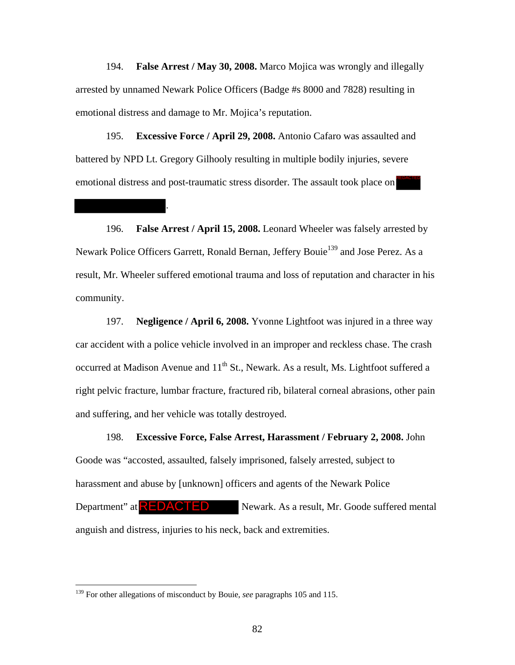194. **False Arrest / May 30, 2008.** Marco Mojica was wrongly and illegally arrested by unnamed Newark Police Officers (Badge #s 8000 and 7828) resulting in emotional distress and damage to Mr. Mojica's reputation.

195. **Excessive Force / April 29, 2008.** Antonio Cafaro was assaulted and battered by NPD Lt. Gregory Gilhooly resulting in multiple bodily injuries, severe emotional distress and post-traumatic stress disorder. The assault took place on

.

196. **False Arrest / April 15, 2008.** Leonard Wheeler was falsely arrested by Newark Police Officers Garrett, Ronald Bernan, Jeffery Bouie<sup>139</sup> and Jose Perez. As a result, Mr. Wheeler suffered emotional trauma and loss of reputation and character in his community.

197. **Negligence / April 6, 2008.** Yvonne Lightfoot was injured in a three way car accident with a police vehicle involved in an improper and reckless chase. The crash occurred at Madison Avenue and 11<sup>th</sup> St., Newark. As a result, Ms. Lightfoot suffered a right pelvic fracture, lumbar fracture, fractured rib, bilateral corneal abrasions, other pain and suffering, and her vehicle was totally destroyed.

198. **Excessive Force, False Arrest, Harassment / February 2, 2008.** John Goode was "accosted, assaulted, falsely imprisoned, falsely arrested, subject to harassment and abuse by [unknown] officers and agents of the Newark Police Newark. As a result, Mr. Goode suffered mental anguish and distress, injuries to his neck, back and extremities. Department" at  $REDACTED$ 

<u>.</u>

<sup>&</sup>lt;sup>139</sup> For other allegations of misconduct by Bouie, *see* paragraphs 105 and 115.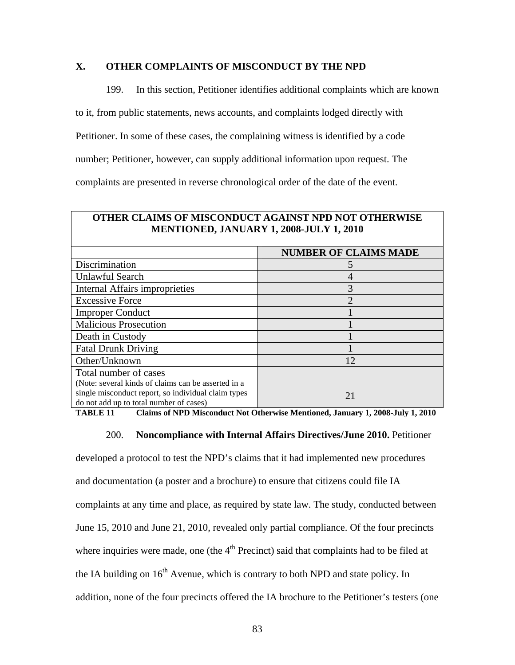# **X. OTHER COMPLAINTS OF MISCONDUCT BY THE NPD**

199. In this section, Petitioner identifies additional complaints which are known

to it, from public statements, news accounts, and complaints lodged directly with

Petitioner. In some of these cases, the complaining witness is identified by a code

number; Petitioner, however, can supply additional information upon request. The

complaints are presented in reverse chronological order of the date of the event.

| <b>OTHER CLAIMS OF MISCONDUCT AGAINST NPD NOT OTHERWISE</b><br>MENTIONED, JANUARY 1, 2008-JULY 1, 2010 |                              |  |  |
|--------------------------------------------------------------------------------------------------------|------------------------------|--|--|
|                                                                                                        | <b>NUMBER OF CLAIMS MADE</b> |  |  |
| Discrimination                                                                                         | C.                           |  |  |
| Unlawful Search                                                                                        | 4                            |  |  |
| <b>Internal Affairs improprieties</b>                                                                  | 3                            |  |  |
| <b>Excessive Force</b>                                                                                 | $\overline{2}$               |  |  |
| <b>Improper Conduct</b>                                                                                |                              |  |  |
| <b>Malicious Prosecution</b>                                                                           |                              |  |  |
| Death in Custody                                                                                       |                              |  |  |
| <b>Fatal Drunk Driving</b>                                                                             |                              |  |  |
| Other/Unknown                                                                                          | 12                           |  |  |
| Total number of cases                                                                                  |                              |  |  |
| (Note: several kinds of claims can be asserted in a                                                    |                              |  |  |
| single misconduct report, so individual claim types<br>do not add up to total number of cases)         | 21                           |  |  |

**TABLE 11 Claims of NPD Misconduct Not Otherwise Mentioned, January 1, 2008-July 1, 2010** 

### 200. **Noncompliance with Internal Affairs Directives/June 2010.** Petitioner

developed a protocol to test the NPD's claims that it had implemented new procedures and documentation (a poster and a brochure) to ensure that citizens could file IA complaints at any time and place, as required by state law. The study, conducted between June 15, 2010 and June 21, 2010, revealed only partial compliance. Of the four precincts where inquiries were made, one (the  $4<sup>th</sup>$  Precinct) said that complaints had to be filed at the IA building on  $16<sup>th</sup>$  Avenue, which is contrary to both NPD and state policy. In addition, none of the four precincts offered the IA brochure to the Petitioner's testers (one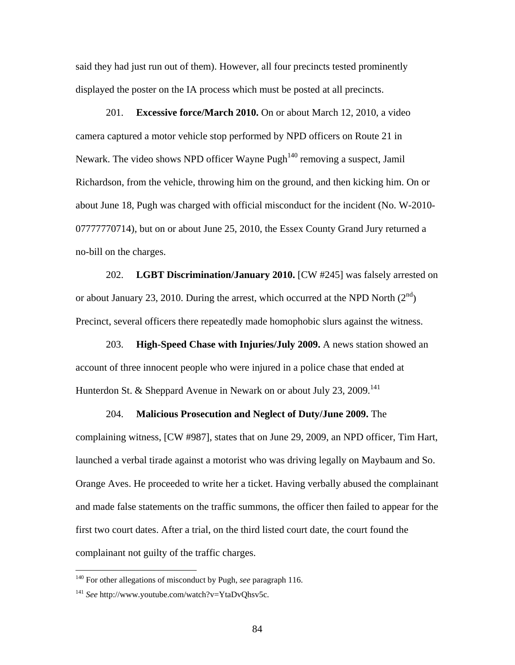said they had just run out of them). However, all four precincts tested prominently displayed the poster on the IA process which must be posted at all precincts.

201. **Excessive force/March 2010.** On or about March 12, 2010, a video camera captured a motor vehicle stop performed by NPD officers on Route 21 in Newark. The video shows NPD officer Wayne Pugh<sup> $140$ </sup> removing a suspect, Jamil Richardson, from the vehicle, throwing him on the ground, and then kicking him. On or about June 18, Pugh was charged with official misconduct for the incident (No. W-2010- 07777770714), but on or about June 25, 2010, the Essex County Grand Jury returned a no-bill on the charges.

202. **LGBT Discrimination/January 2010.** [CW #245] was falsely arrested on or about January 23, 2010. During the arrest, which occurred at the NPD North  $(2^{nd})$ Precinct, several officers there repeatedly made homophobic slurs against the witness.

203. **High-Speed Chase with Injuries/July 2009.** A news station showed an account of three innocent people who were injured in a police chase that ended at Hunterdon St. & Sheppard Avenue in Newark on or about July 23, 2009.<sup>141</sup>

204. **Malicious Prosecution and Neglect of Duty/June 2009.** The complaining witness, [CW #987], states that on June 29, 2009, an NPD officer, Tim Hart, launched a verbal tirade against a motorist who was driving legally on Maybaum and So. Orange Aves. He proceeded to write her a ticket. Having verbally abused the complainant and made false statements on the traffic summons, the officer then failed to appear for the first two court dates. After a trial, on the third listed court date, the court found the complainant not guilty of the traffic charges.

<sup>140</sup> For other allegations of misconduct by Pugh, *see* paragraph 116.

<sup>&</sup>lt;sup>141</sup> See http://www.youtube.com/watch?v=YtaDvQhsv5c.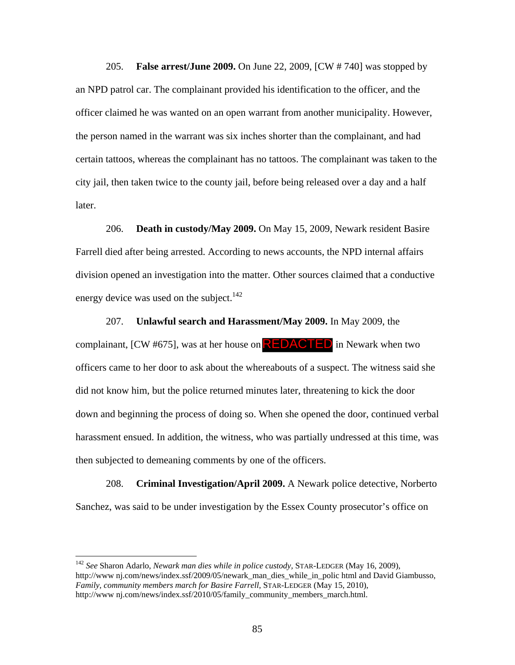205. **False arrest/June 2009.** On June 22, 2009, [CW # 740] was stopped by an NPD patrol car. The complainant provided his identification to the officer, and the officer claimed he was wanted on an open warrant from another municipality. However, the person named in the warrant was six inches shorter than the complainant, and had certain tattoos, whereas the complainant has no tattoos. The complainant was taken to the city jail, then taken twice to the county jail, before being released over a day and a half later.

206. **Death in custody/May 2009.** On May 15, 2009, Newark resident Basire Farrell died after being arrested. According to news accounts, the NPD internal affairs division opened an investigation into the matter. Other sources claimed that a conductive energy device was used on the subject.<sup>142</sup>

207. **Unlawful search and Harassment/May 2009.** In May 2009, the complainant, [CW #675], was at her house on **REDACTED** in Newark when two officers came to her door to ask about the whereabouts of a suspect. The witness said she did not know him, but the police returned minutes later, threatening to kick the door down and beginning the process of doing so. When she opened the door, continued verbal harassment ensued. In addition, the witness, who was partially undressed at this time, was then subjected to demeaning comments by one of the officers.

208. **Criminal Investigation/April 2009.** A Newark police detective, Norberto Sanchez, was said to be under investigation by the Essex County prosecutor's office on

<sup>142</sup> *See* Sharon Adarlo, *Newark man dies while in police custody,* STAR-LEDGER (May 16, 2009), http://www.nj.com/news/index.ssf/2009/05/newark\_man\_dies\_while\_in\_polic html and David Giambusso, *Family, community members march for Basire Farrell*, STAR-LEDGER (May 15, 2010), http://www nj.com/news/index.ssf/2010/05/family\_community\_members\_march.html.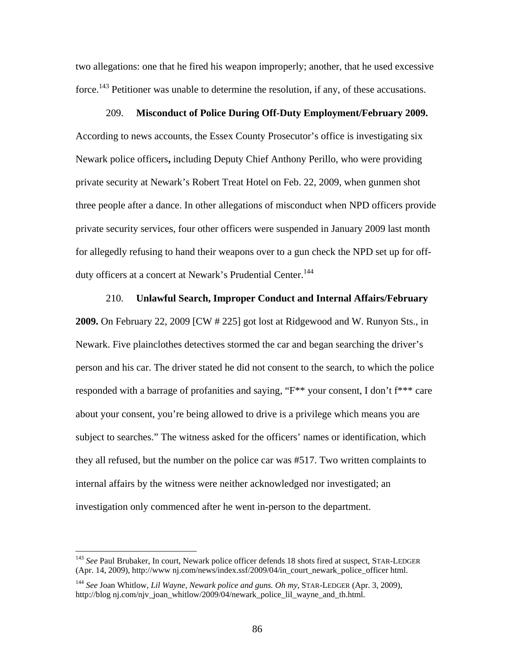two allegations: one that he fired his weapon improperly; another, that he used excessive force.<sup>143</sup> Petitioner was unable to determine the resolution, if any, of these accusations.

#### 209. **Misconduct of Police During Off-Duty Employment/February 2009.**

According to news accounts, the Essex County Prosecutor's office is investigating six Newark police officers**,** including Deputy Chief Anthony Perillo, who were providing private security at Newark's Robert Treat Hotel on Feb. 22, 2009, when gunmen shot three people after a dance. In other allegations of misconduct when NPD officers provide private security services, four other officers were suspended in January 2009 last month for allegedly refusing to hand their weapons over to a gun check the NPD set up for offduty officers at a concert at Newark's Prudential Center.<sup>144</sup>

210. **Unlawful Search, Improper Conduct and Internal Affairs/February 2009.** On February 22, 2009 [CW # 225] got lost at Ridgewood and W. Runyon Sts., in Newark. Five plainclothes detectives stormed the car and began searching the driver's person and his car. The driver stated he did not consent to the search, to which the police responded with a barrage of profanities and saying, "F\*\* your consent, I don't f\*\*\* care about your consent, you're being allowed to drive is a privilege which means you are subject to searches." The witness asked for the officers' names or identification, which they all refused, but the number on the police car was #517. Two written complaints to internal affairs by the witness were neither acknowledged nor investigated; an investigation only commenced after he went in-person to the department.

<sup>143</sup> *See* Paul Brubaker, In court, Newark police officer defends 18 shots fired at suspect, STAR-LEDGER (Apr. 14, 2009), http://www nj.com/news/index.ssf/2009/04/in\_court\_newark\_police\_officer html.

<sup>144</sup> *See* Joan Whitlow, *Lil Wayne, Newark police and guns. Oh my*, STAR-LEDGER (Apr. 3, 2009), http://blog nj.com/njv\_joan\_whitlow/2009/04/newark\_police\_lil\_wayne\_and\_th.html.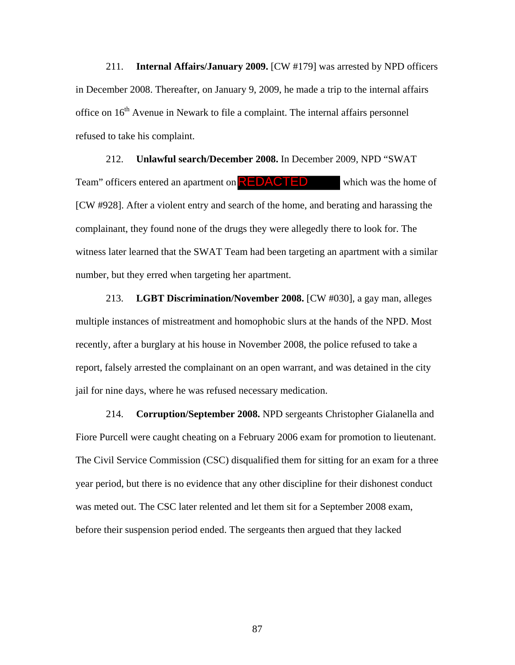211. **Internal Affairs/January 2009.** [CW #179] was arrested by NPD officers in December 2008. Thereafter, on January 9, 2009, he made a trip to the internal affairs office on  $16<sup>th</sup>$  Avenue in Newark to file a complaint. The internal affairs personnel refused to take his complaint.

212. **Unlawful search/December 2008.** In December 2009, NPD "SWAT Team" officers entered an apartment on **REDACTED** which was the home of [CW #928]. After a violent entry and search of the home, and berating and harassing the complainant, they found none of the drugs they were allegedly there to look for. The witness later learned that the SWAT Team had been targeting an apartment with a similar number, but they erred when targeting her apartment.

213. **LGBT Discrimination/November 2008.** [CW #030], a gay man, alleges multiple instances of mistreatment and homophobic slurs at the hands of the NPD. Most recently, after a burglary at his house in November 2008, the police refused to take a report, falsely arrested the complainant on an open warrant, and was detained in the city jail for nine days, where he was refused necessary medication.

214. **Corruption/September 2008.** NPD sergeants Christopher Gialanella and Fiore Purcell were caught cheating on a February 2006 exam for promotion to lieutenant. The Civil Service Commission (CSC) disqualified them for sitting for an exam for a three year period, but there is no evidence that any other discipline for their dishonest conduct was meted out. The CSC later relented and let them sit for a September 2008 exam, before their suspension period ended. The sergeants then argued that they lacked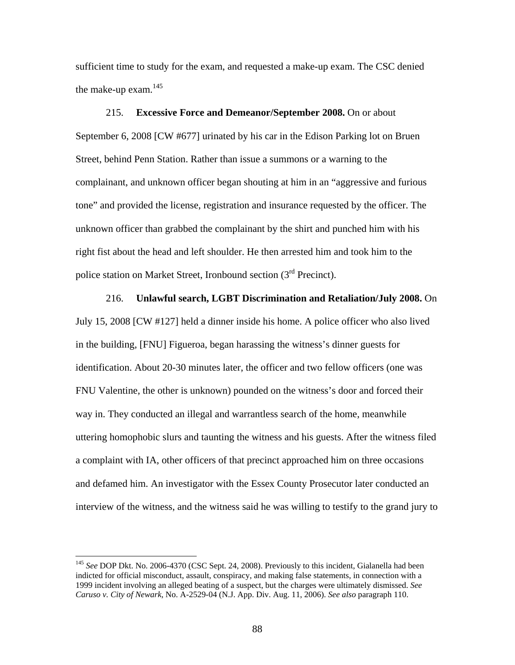sufficient time to study for the exam, and requested a make-up exam. The CSC denied the make-up exam.<sup>145</sup>

215. **Excessive Force and Demeanor/September 2008.** On or about September 6, 2008 [CW #677] urinated by his car in the Edison Parking lot on Bruen Street, behind Penn Station. Rather than issue a summons or a warning to the complainant, and unknown officer began shouting at him in an "aggressive and furious tone" and provided the license, registration and insurance requested by the officer. The unknown officer than grabbed the complainant by the shirt and punched him with his right fist about the head and left shoulder. He then arrested him and took him to the police station on Market Street, Ironbound section (3<sup>rd</sup> Precinct).

216. **Unlawful search, LGBT Discrimination and Retaliation/July 2008.** On July 15, 2008 [CW #127] held a dinner inside his home. A police officer who also lived in the building, [FNU] Figueroa, began harassing the witness's dinner guests for identification. About 20-30 minutes later, the officer and two fellow officers (one was FNU Valentine, the other is unknown) pounded on the witness's door and forced their way in. They conducted an illegal and warrantless search of the home, meanwhile uttering homophobic slurs and taunting the witness and his guests. After the witness filed a complaint with IA, other officers of that precinct approached him on three occasions and defamed him. An investigator with the Essex County Prosecutor later conducted an interview of the witness, and the witness said he was willing to testify to the grand jury to

<sup>&</sup>lt;sup>145</sup> See DOP Dkt. No. 2006-4370 (CSC Sept. 24, 2008). Previously to this incident, Gialanella had been indicted for official misconduct, assault, conspiracy, and making false statements, in connection with a 1999 incident involving an alleged beating of a suspect, but the charges were ultimately dismissed. *See Caruso v. City of Newark*, No. A-2529-04 (N.J. App. Div. Aug. 11, 2006). *See also* paragraph 110.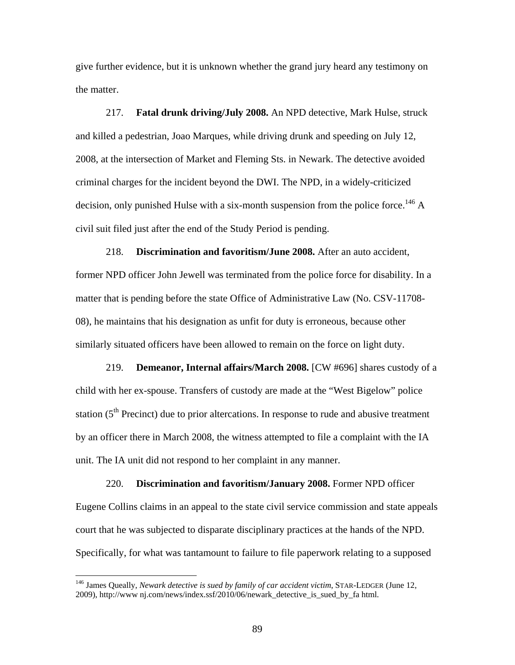give further evidence, but it is unknown whether the grand jury heard any testimony on the matter.

217. **Fatal drunk driving/July 2008.** An NPD detective, Mark Hulse, struck and killed a pedestrian, Joao Marques, while driving drunk and speeding on July 12, 2008, at the intersection of Market and Fleming Sts. in Newark. The detective avoided criminal charges for the incident beyond the DWI. The NPD, in a widely-criticized decision, only punished Hulse with a six-month suspension from the police force.<sup>146</sup> A civil suit filed just after the end of the Study Period is pending.

218. **Discrimination and favoritism/June 2008.** After an auto accident, former NPD officer John Jewell was terminated from the police force for disability. In a matter that is pending before the state Office of Administrative Law (No. CSV-11708- 08), he maintains that his designation as unfit for duty is erroneous, because other similarly situated officers have been allowed to remain on the force on light duty.

219. **Demeanor, Internal affairs/March 2008.** [CW #696] shares custody of a child with her ex-spouse. Transfers of custody are made at the "West Bigelow" police station  $(5<sup>th</sup>$  Precinct) due to prior altercations. In response to rude and abusive treatment by an officer there in March 2008, the witness attempted to file a complaint with the IA unit. The IA unit did not respond to her complaint in any manner.

220. **Discrimination and favoritism/January 2008.** Former NPD officer Eugene Collins claims in an appeal to the state civil service commission and state appeals court that he was subjected to disparate disciplinary practices at the hands of the NPD. Specifically, for what was tantamount to failure to file paperwork relating to a supposed

<sup>146</sup> James Queally, *Newark detective is sued by family of car accident victim*, STAR-LEDGER (June 12, 2009), http://www nj.com/news/index.ssf/2010/06/newark\_detective\_is\_sued\_by\_fa html.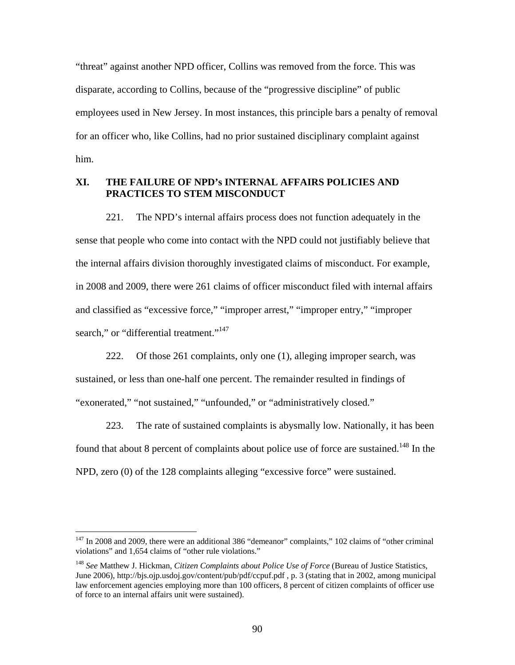"threat" against another NPD officer, Collins was removed from the force. This was disparate, according to Collins, because of the "progressive discipline" of public employees used in New Jersey. In most instances, this principle bars a penalty of removal for an officer who, like Collins, had no prior sustained disciplinary complaint against him.

# **XI. THE FAILURE OF NPD's INTERNAL AFFAIRS POLICIES AND PRACTICES TO STEM MISCONDUCT**

221. The NPD's internal affairs process does not function adequately in the sense that people who come into contact with the NPD could not justifiably believe that the internal affairs division thoroughly investigated claims of misconduct. For example, in 2008 and 2009, there were 261 claims of officer misconduct filed with internal affairs and classified as "excessive force," "improper arrest," "improper entry," "improper search," or "differential treatment."<sup>147</sup>

222. Of those 261 complaints, only one (1), alleging improper search, was sustained, or less than one-half one percent. The remainder resulted in findings of "exonerated," "not sustained," "unfounded," or "administratively closed."

223. The rate of sustained complaints is abysmally low. Nationally, it has been found that about 8 percent of complaints about police use of force are sustained.<sup>148</sup> In the NPD, zero (0) of the 128 complaints alleging "excessive force" were sustained.

<sup>&</sup>lt;sup>147</sup> In 2008 and 2009, there were an additional 386 "demeanor" complaints," 102 claims of "other criminal violations" and 1,654 claims of "other rule violations."

<sup>148</sup> *See* Matthew J. Hickman, *Citizen Complaints about Police Use of Force* (Bureau of Justice Statistics, June 2006), http://bjs.ojp.usdoj.gov/content/pub/pdf/ccpuf.pdf , p. 3 (stating that in 2002, among municipal law enforcement agencies employing more than 100 officers, 8 percent of citizen complaints of officer use of force to an internal affairs unit were sustained).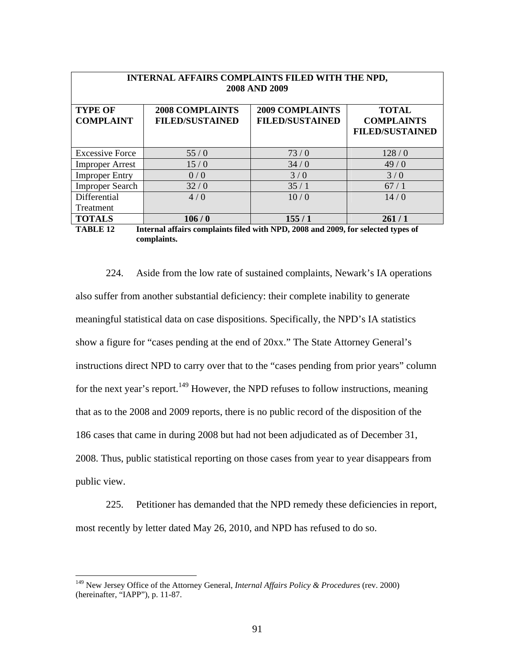| INTERNAL AFFAIRS COMPLAINTS FILED WITH THE NPD,<br>2008 AND 2009 |                                                    |                                                  |                                                             |
|------------------------------------------------------------------|----------------------------------------------------|--------------------------------------------------|-------------------------------------------------------------|
| <b>TYPE OF</b><br><b>COMPLAINT</b>                               | <b>2008 COMPLAINTS</b><br><b>FILED/SUSTAINED</b>   | <b>2009 COMPLAINTS</b><br><b>FILED/SUSTAINED</b> | <b>TOTAL</b><br><b>COMPLAINTS</b><br><b>FILED/SUSTAINED</b> |
| <b>Excessive Force</b>                                           | 55/0                                               | 73/0                                             | 128/0                                                       |
| <b>Improper Arrest</b>                                           | 15/0                                               | 34/0                                             | 49/0                                                        |
| <b>Improper Entry</b>                                            | 0/0                                                | 3/0                                              | 3/0                                                         |
| <b>Improper Search</b>                                           | 32/0                                               | 35/1                                             | 67/1                                                        |
| Differential                                                     | 4/0                                                | 10/0                                             | 14/0                                                        |
| Treatment                                                        |                                                    |                                                  |                                                             |
| <b>TOTALS</b><br>m + n T T 10                                    | 106/0<br>THE REPORT OF THE METHOD AGO TAGO PLAIN C | 155/1                                            | 261/1                                                       |

**TABLE 12 Internal affairs complaints filed with NPD, 2008 and 2009, for selected types of complaints.** 

224. Aside from the low rate of sustained complaints, Newark's IA operations also suffer from another substantial deficiency: their complete inability to generate meaningful statistical data on case dispositions. Specifically, the NPD's IA statistics show a figure for "cases pending at the end of 20xx." The State Attorney General's instructions direct NPD to carry over that to the "cases pending from prior years" column for the next year's report.<sup>149</sup> However, the NPD refuses to follow instructions, meaning that as to the 2008 and 2009 reports, there is no public record of the disposition of the 186 cases that came in during 2008 but had not been adjudicated as of December 31, 2008. Thus, public statistical reporting on those cases from year to year disappears from public view.

225. Petitioner has demanded that the NPD remedy these deficiencies in report, most recently by letter dated May 26, 2010, and NPD has refused to do so.

<sup>149</sup> New Jersey Office of the Attorney General, *Internal Affairs Policy & Procedures* (rev. 2000) (hereinafter, "IAPP"), p. 11-87.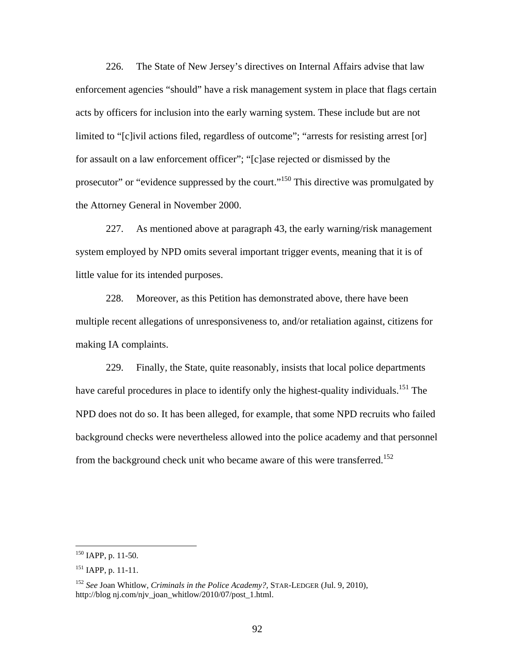226. The State of New Jersey's directives on Internal Affairs advise that law enforcement agencies "should" have a risk management system in place that flags certain acts by officers for inclusion into the early warning system. These include but are not limited to "[c]ivil actions filed, regardless of outcome"; "arrests for resisting arrest [or] for assault on a law enforcement officer"; "[c]ase rejected or dismissed by the prosecutor" or "evidence suppressed by the court."<sup>150</sup> This directive was promulgated by the Attorney General in November 2000.

227. As mentioned above at paragraph 43, the early warning/risk management system employed by NPD omits several important trigger events, meaning that it is of little value for its intended purposes.

228. Moreover, as this Petition has demonstrated above, there have been multiple recent allegations of unresponsiveness to, and/or retaliation against, citizens for making IA complaints.

229. Finally, the State, quite reasonably, insists that local police departments have careful procedures in place to identify only the highest-quality individuals.<sup>151</sup> The NPD does not do so. It has been alleged, for example, that some NPD recruits who failed background checks were nevertheless allowed into the police academy and that personnel from the background check unit who became aware of this were transferred.<sup>152</sup>

<u>.</u>

 $150$  IAPP, p. 11-50.

<sup>&</sup>lt;sup>151</sup> IAPP, p. 11-11.

<sup>152</sup> *See* Joan Whitlow, *Criminals in the Police Academy?,* STAR-LEDGER (Jul. 9, 2010), http://blog nj.com/njv\_joan\_whitlow/2010/07/post\_1.html.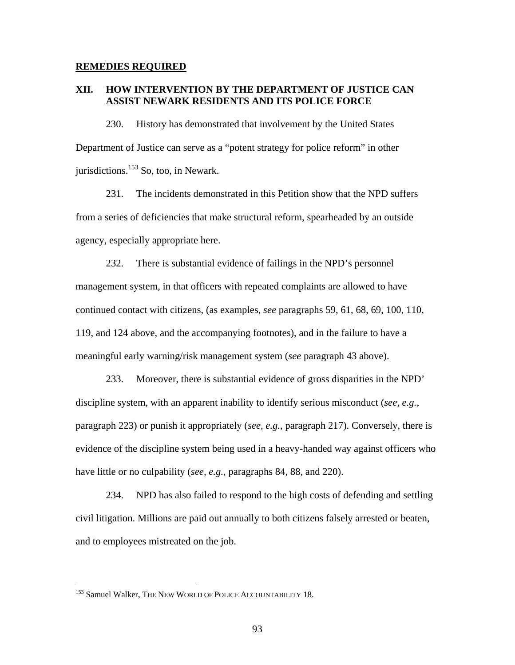#### **REMEDIES REQUIRED**

## **XII. HOW INTERVENTION BY THE DEPARTMENT OF JUSTICE CAN ASSIST NEWARK RESIDENTS AND ITS POLICE FORCE**

230. History has demonstrated that involvement by the United States Department of Justice can serve as a "potent strategy for police reform" in other jurisdictions. $153$  So, too, in Newark.

231. The incidents demonstrated in this Petition show that the NPD suffers from a series of deficiencies that make structural reform, spearheaded by an outside agency, especially appropriate here.

232. There is substantial evidence of failings in the NPD's personnel management system, in that officers with repeated complaints are allowed to have continued contact with citizens, (as examples, *see* paragraphs 59, 61, 68, 69, 100, 110, 119, and 124 above, and the accompanying footnotes), and in the failure to have a meaningful early warning/risk management system (*see* paragraph 43 above).

233. Moreover, there is substantial evidence of gross disparities in the NPD' discipline system, with an apparent inability to identify serious misconduct (*see, e.g.*, paragraph 223) or punish it appropriately (*see, e.g.*, paragraph 217). Conversely, there is evidence of the discipline system being used in a heavy-handed way against officers who have little or no culpability (*see, e.g.*, paragraphs 84, 88, and 220).

234. NPD has also failed to respond to the high costs of defending and settling civil litigation. Millions are paid out annually to both citizens falsely arrested or beaten, and to employees mistreated on the job.

<u>.</u>

<sup>&</sup>lt;sup>153</sup> Samuel Walker, THE NEW WORLD OF POLICE ACCOUNTABILITY 18.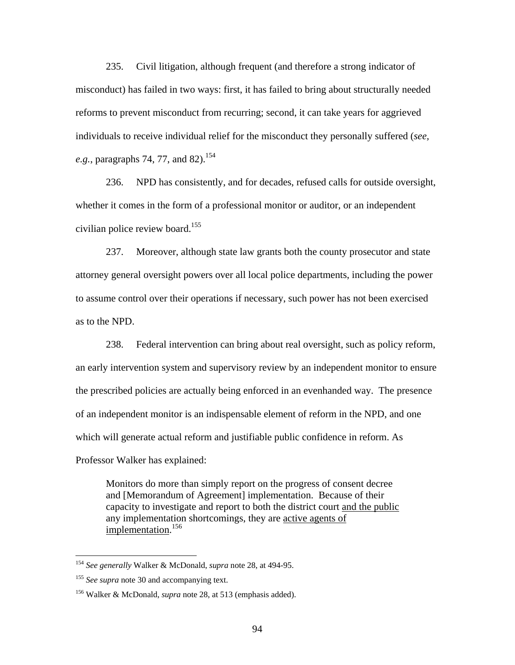235. Civil litigation, although frequent (and therefore a strong indicator of misconduct) has failed in two ways: first, it has failed to bring about structurally needed reforms to prevent misconduct from recurring; second, it can take years for aggrieved individuals to receive individual relief for the misconduct they personally suffered (*see, e.g.*, paragraphs 74, 77, and 82).<sup>154</sup>

236. NPD has consistently, and for decades, refused calls for outside oversight, whether it comes in the form of a professional monitor or auditor, or an independent civilian police review board.<sup>155</sup>

237. Moreover, although state law grants both the county prosecutor and state attorney general oversight powers over all local police departments, including the power to assume control over their operations if necessary, such power has not been exercised as to the NPD.

238. Federal intervention can bring about real oversight, such as policy reform, an early intervention system and supervisory review by an independent monitor to ensure the prescribed policies are actually being enforced in an evenhanded way. The presence of an independent monitor is an indispensable element of reform in the NPD, and one which will generate actual reform and justifiable public confidence in reform. As Professor Walker has explained:

Monitors do more than simply report on the progress of consent decree and [Memorandum of Agreement] implementation. Because of their capacity to investigate and report to both the district court and the public any implementation shortcomings, they are active agents of implementation.<sup>156</sup>

<sup>154</sup> *See generally* Walker & McDonald, *supra* note 28, at 494-95.

<sup>&</sup>lt;sup>155</sup> See supra note 30 and accompanying text.

<sup>156</sup> Walker & McDonald, *supra* note 28, at 513 (emphasis added).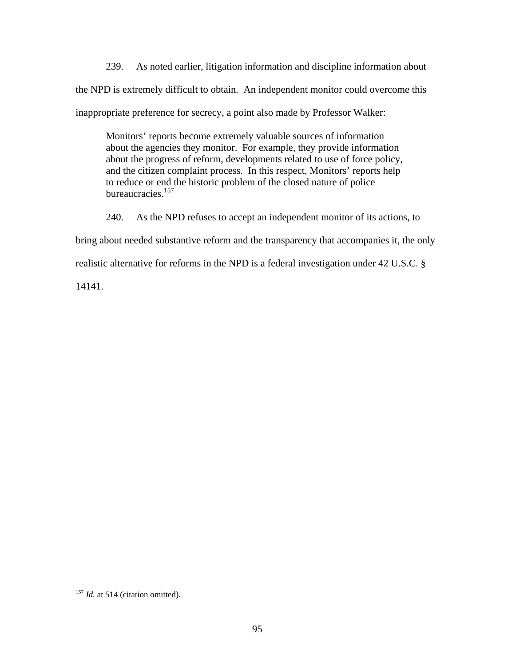239. As noted earlier, litigation information and discipline information about the NPD is extremely difficult to obtain. An independent monitor could overcome this inappropriate preference for secrecy, a point also made by Professor Walker:

Monitors' reports become extremely valuable sources of information about the agencies they monitor. For example, they provide information about the progress of reform, developments related to use of force policy, and the citizen complaint process. In this respect, Monitors' reports help to reduce or end the historic problem of the closed nature of police bureaucracies.157

240. As the NPD refuses to accept an independent monitor of its actions, to

bring about needed substantive reform and the transparency that accompanies it, the only

realistic alternative for reforms in the NPD is a federal investigation under 42 U.S.C. §

14141.

<sup>&</sup>lt;sup>157</sup> *Id.* at 514 (citation omitted).